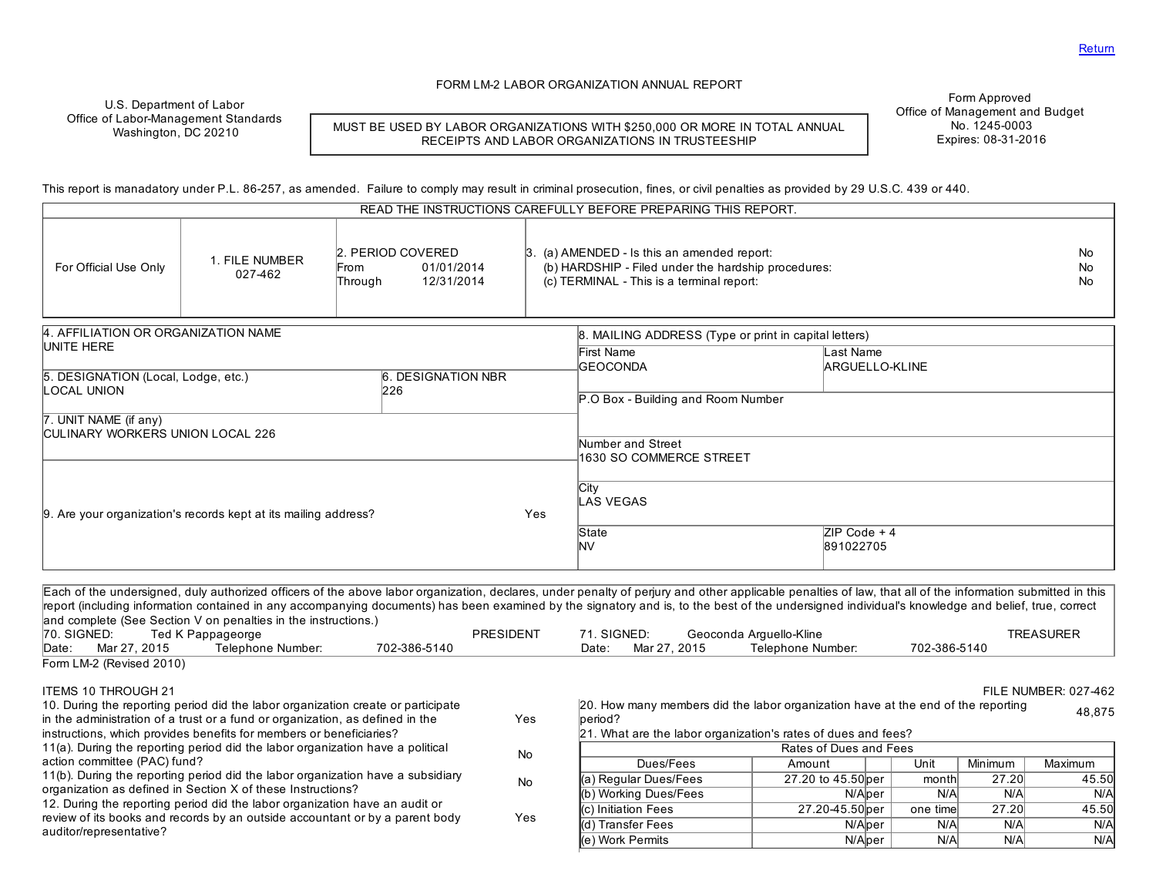### FORM LM2 LABOR ORGANIZATION ANNUAL REPORT

U.S. Department of Labor Office of Labor-Management Standards Washington, DC 20210

MUST BE USED BY LABOR ORGANIZATIONS WITH \$250,000 OR MORE IN TOTAL ANNUAL RECEIPTS AND LABOR ORGANIZATIONS IN TRUSTEESHIP

Form Approved Office of Management and Budget No. 1245-0003 Expires: 08-31-2016

This report is manadatory under P.L. 86-257, as amended. Failure to comply may result in criminal prosecution, fines, or civil penalties as provided by 29 U.S.C. 439 or 440.

| READ THE INSTRUCTIONS CAREFULLY BEFORE PREPARING THIS REPORT. |                                                                 |                                      |                           |     |                                                                                                                                                        |  |                             |                         |
|---------------------------------------------------------------|-----------------------------------------------------------------|--------------------------------------|---------------------------|-----|--------------------------------------------------------------------------------------------------------------------------------------------------------|--|-----------------------------|-------------------------|
| For Official Use Only                                         | 1. FILE NUMBER<br>027-462                                       | 2. PERIOD COVERED<br>From<br>Through | 01/01/2014<br>12/31/2014  |     | $\beta$ . (a) AMENDED - Is this an amended report:<br>(b) HARDSHIP - Filed under the hardship procedures:<br>(c) TERMINAL - This is a terminal report: |  |                             | <b>No</b><br>No.<br>No. |
| 4. AFFILIATION OR ORGANIZATION NAME                           |                                                                 |                                      |                           |     | 8. MAILING ADDRESS (Type or print in capital letters)                                                                                                  |  |                             |                         |
| UNITE HERE                                                    |                                                                 |                                      |                           |     | First Name<br><b>GEOCONDA</b>                                                                                                                          |  | ast Name<br>ARGUELLO-KLINE  |                         |
| 5. DESIGNATION (Local, Lodge, etc.)<br><b>LOCAL UNION</b>     |                                                                 | 226                                  | <b>6. DESIGNATION NBR</b> |     |                                                                                                                                                        |  |                             |                         |
|                                                               |                                                                 |                                      |                           |     | P.O Box - Building and Room Number                                                                                                                     |  |                             |                         |
| 7. UNIT NAME (if any)<br>CULINARY WORKERS UNION LOCAL 226     |                                                                 |                                      |                           |     |                                                                                                                                                        |  |                             |                         |
|                                                               |                                                                 |                                      |                           |     | Number and Street                                                                                                                                      |  |                             |                         |
|                                                               |                                                                 |                                      |                           |     | 1630 SO COMMERCE STREET                                                                                                                                |  |                             |                         |
|                                                               | 9. Are your organization's records kept at its mailing address? |                                      |                           | Yes | <b>City</b><br>LAS VEGAS                                                                                                                               |  |                             |                         |
|                                                               |                                                                 |                                      |                           |     | State<br><b>NV</b>                                                                                                                                     |  | $ZIP Code + 4$<br>891022705 |                         |

Each of the undersigned, duly authorized officers of the above labor organization, declares, under penalty of perjury and other applicable penalties of law, that all of the information submitted in this report (including information contained in any accompanying documents) has been examined by the signatory and is, to the best of the undersigned individual's knowledge and belief, true, correct and complete (See Section V on penalties in the instructions.)<br>70. SIGNED: Ted K Pappageorge 70. SIGNED: Ted K Pappageorge PRESIDENT 71. SIGNED: Geoconda ArguelloKline TREASURER Date: Mar 27, 2015 Telephone Number: 702-386-5140 Date: Date: Form LM-2 (Revised 2010) ITEMS 10 THROUGH 21 FILE NUMBER: 027462 10. During the reporting period did the labor organization create or participate in the administration of a trust or a fund or organization, as defined in the instructions, which provides benefits for members or beneficiaries? Yes 11(a). During the reporting period did the labor organization have a political action committee (PAC) fund? No 11(b). During the reporting period did the labor organization have a subsidiary organization as defined in Section X of these Instructions? No 12. During the reporting period did the labor organization have an audit or review of its books and records by an outside accountant or by a parent body auditor/representative? Yes 20. How many members did the labor organization have at the end of the reporting period? 48,875 21. What are the labor organization's rates of dues and fees? Rates of Dues and Fees Dues/Fees | Amount | Unit Minimum Maximum (a) Regular Dues/Fees 27.20 to 45.50 per month  $27.20$  45.50 (b) Working Dues/Fees Nicholas Nicholas Nicholas Nicholas Nicholas Nicholas Nicholas Nicholas Nicholas Nicholas Nicholas Nicholas Nicholas Nicholas Nicholas Nicholas Nicholas Nicholas Nicholas Nicholas Nicholas Nicholas Ni (c) Initiation Fees 27.20 45.50 per one time  $(27.20 \times 45.50)$ (d) Transfer Fees The Nicolas Nicolas Network Nicolas Nicolas Nicolas Nicolas Nicolas Nicolas Nicolas Nicolas N (e) Work Permits N/Alper | N/A N/A N/A N/A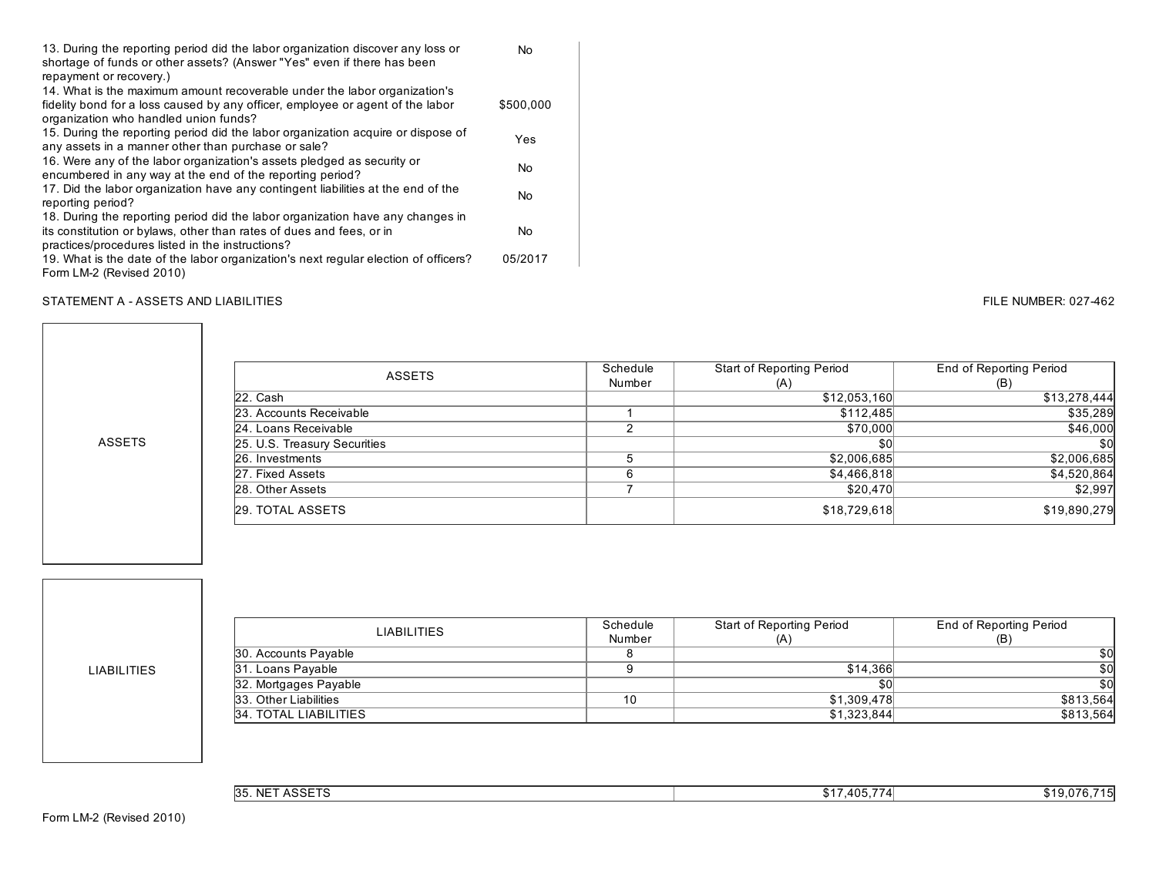| 13. During the reporting period did the labor organization discover any loss or     | No        |
|-------------------------------------------------------------------------------------|-----------|
| shortage of funds or other assets? (Answer "Yes" even if there has been             |           |
| repayment or recovery.)                                                             |           |
| 14. What is the maximum amount recoverable under the labor organization's           |           |
| fidelity bond for a loss caused by any officer, employee or agent of the labor      | \$500,000 |
| organization who handled union funds?                                               |           |
| 15. During the reporting period did the labor organization acquire or dispose of    | Yes       |
| any assets in a manner other than purchase or sale?                                 |           |
| 16. Were any of the labor organization's assets pledged as security or              | No        |
| encumbered in any way at the end of the reporting period?                           |           |
| 17. Did the labor organization have any contingent liabilities at the end of the    | No        |
| reporting period?                                                                   |           |
| 18. During the reporting period did the labor organization have any changes in      |           |
| its constitution or bylaws, other than rates of dues and fees, or in                | No        |
| practices/procedures listed in the instructions?                                    |           |
| 19. What is the date of the labor organization's next regular election of officers? | 05/2017   |
| Form LM-2 (Revised 2010)                                                            |           |

### STATEMENT A - ASSETS AND LIABILITIES **FILE NUMBER: 027-462** FILE NUMBER: 027-462

| <b>ASSETS</b>                | Schedule | <b>Start of Reporting Period</b> | <b>End of Reporting Period</b> |  |
|------------------------------|----------|----------------------------------|--------------------------------|--|
|                              | Number   | (A)                              | (B)                            |  |
| 22. Cash                     |          | \$12,053,160                     | \$13,278,444                   |  |
| 23. Accounts Receivable      |          | \$112,485                        | \$35,289                       |  |
| 24. Loans Receivable         |          | \$70,000                         | \$46,000                       |  |
| 25. U.S. Treasury Securities |          | \$0                              | \$0                            |  |
| 26. Investments              |          | \$2,006,685                      | \$2,006,685                    |  |
| 27. Fixed Assets             | ี        | \$4,466,818                      | \$4,520,864                    |  |
| 28. Other Assets             |          | \$20,470                         | \$2,997                        |  |
| <b>29. TOTAL ASSETS</b>      |          | \$18,729,618                     | \$19,890,279                   |  |

LIABILITIES

ASSETS

| <b>LIABILITIES</b>           | Schedule | Start of Reporting Period | End of Reporting Period |  |
|------------------------------|----------|---------------------------|-------------------------|--|
|                              | Number   | (A)                       | (B)                     |  |
| 30. Accounts Payable         |          |                           | \$0l                    |  |
| 31. Loans Payable            |          | \$14,366                  | \$0l                    |  |
| 32. Mortgages Payable        |          | \$0                       | \$0                     |  |
| 33. Other Liabilities        | 10       | \$1,309,478               | \$813,564               |  |
| <b>34. TOTAL LIABILITIES</b> |          | \$1,323,844               | \$813,564               |  |

| $\sqrt{20}$<br>NIE.<br><b>35.</b><br><b>INL</b><br><b>AUJEIO</b> | .405 | . .<br>, u<br>. |
|------------------------------------------------------------------|------|-----------------|
|------------------------------------------------------------------|------|-----------------|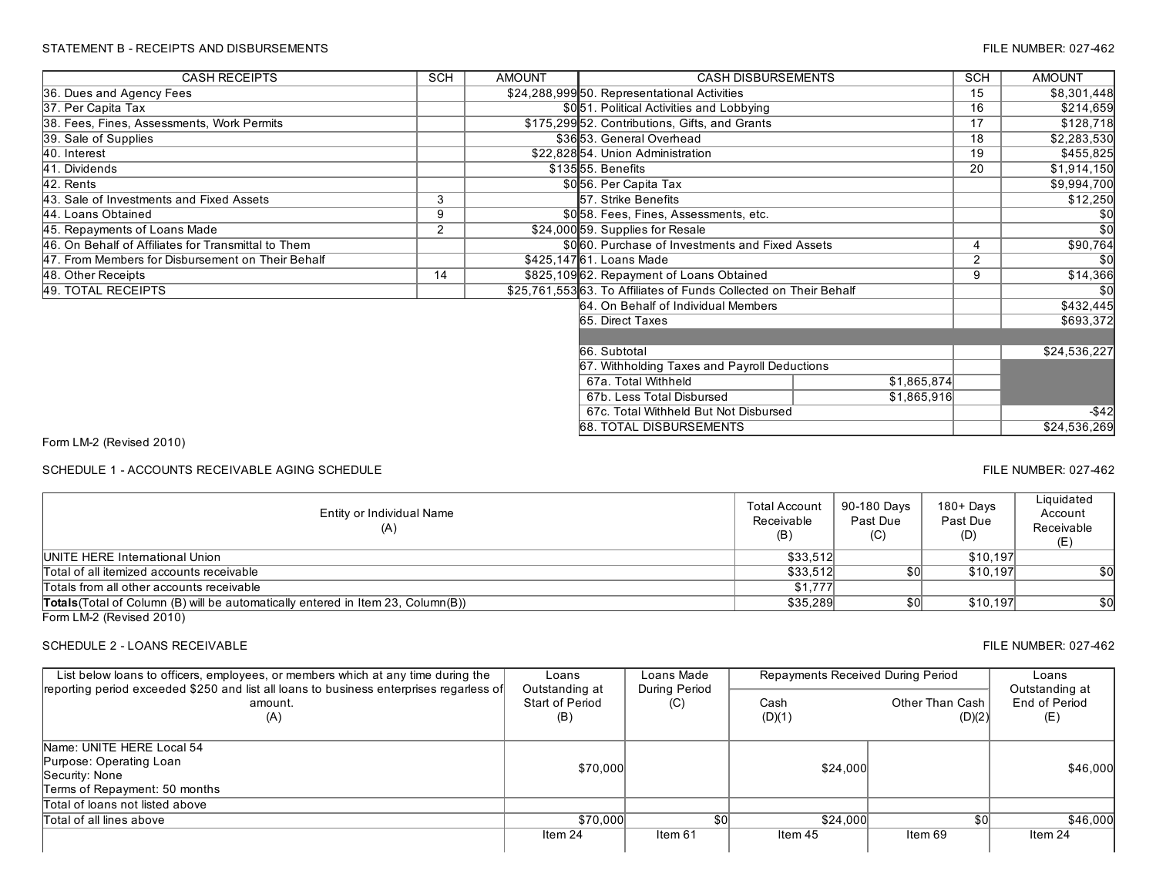### STATEMENT B - RECEIPTS AND DISBURSEMENTS FILE NUMBER: 027-462

| <b>CASH RECEIPTS</b>                                | <b>SCH</b> | <b>AMOUNT</b> | <b>CASH DISBURSEMENTS</b>                                        |             | <b>SCH</b> | <b>AMOUNT</b> |  |
|-----------------------------------------------------|------------|---------------|------------------------------------------------------------------|-------------|------------|---------------|--|
| 36. Dues and Agency Fees                            |            |               | \$24,288,99950. Representational Activities                      |             | 15         | \$8,301,448   |  |
| 37. Per Capita Tax                                  |            |               | \$051. Political Activities and Lobbying                         |             | 16         | \$214,659     |  |
| 38. Fees, Fines, Assessments, Work Permits          |            |               | \$175,299 52. Contributions, Gifts, and Grants                   |             | 17         | \$128,718     |  |
| 39. Sale of Supplies                                |            |               | \$3653. General Overhead                                         |             | 18         | \$2,283,530   |  |
| 40. Interest                                        |            |               | \$22,828 54. Union Administration                                |             | 19         | \$455,825     |  |
| 41. Dividends                                       |            |               | \$13555. Benefits                                                |             | 20         | \$1,914,150   |  |
| 42. Rents                                           |            |               | \$056. Per Capita Tax                                            |             |            | \$9,994,700   |  |
| 43. Sale of Investments and Fixed Assets            | 3          |               | 57. Strike Benefits                                              |             |            | \$12,250      |  |
| 44. Loans Obtained                                  | 9          |               | \$058. Fees, Fines, Assessments, etc.                            |             |            | \$0           |  |
| 45. Repayments of Loans Made                        | 2          |               | \$24,000 59. Supplies for Resale                                 |             |            | \$0           |  |
| 46. On Behalf of Affiliates for Transmittal to Them |            |               | \$060. Purchase of Investments and Fixed Assets                  |             |            | \$90,764      |  |
| 47. From Members for Disbursement on Their Behalf   |            |               | \$425,14761. Loans Made                                          |             | 2          | \$0           |  |
| 48. Other Receipts                                  | 14         |               | \$825,109 62. Repayment of Loans Obtained                        |             | 9          | \$14,366      |  |
| 49. TOTAL RECEIPTS                                  |            |               | \$25,761,55363. To Affiliates of Funds Collected on Their Behalf |             |            | <b>\$0</b>    |  |
|                                                     |            |               | 64. On Behalf of Individual Members                              |             |            | \$432,445     |  |
|                                                     |            |               | 65. Direct Taxes                                                 |             |            | \$693,372     |  |
|                                                     |            |               |                                                                  |             |            |               |  |
|                                                     |            |               | 66. Subtotal                                                     |             |            | \$24,536,227  |  |
| 67. Withholding Taxes and Payroll Deductions        |            |               |                                                                  |             |            |               |  |
|                                                     |            |               | 67a. Total Withheld                                              | \$1,865,874 |            |               |  |
|                                                     |            |               | \$1,865,916<br>67b. Less Total Disbursed                         |             |            |               |  |
|                                                     |            |               | 67c. Total Withheld But Not Disbursed                            |             |            | $-$ \$42      |  |
|                                                     |            |               | <b>68. TOTAL DISBURSEMENTS</b>                                   |             |            | \$24,536,269  |  |

Form LM-2 (Revised 2010)

SCHEDULE 1 - ACCOUNTS RECEIVABLE AGING SCHEDULE **FILE NUMBER: 027-462** FILE NUMBER: 027-462

Entity or Individual Name (A) Total Account Receivable (B) 90-180 Days Past Due  $(C)$ 180+ Days Past Due (D) **Liquidated** Account Receivable (E) Total of all itemized accounts receivable \$33,512 \$0 \$10,197 \$0<br>Totals from all other accounts receivable \$1,777 \$10,197 \$0 Totals from all other accounts receivable Totals(Total of Column (B) will be automatically entered in Item 23, Column(B)) \$35,289 \$0 \$10,197 \$0 \$10,197 \$0 UNITE HERE International Union \$10,197

Form LM-2 (Revised 2010)

# SCHEDULE 2 - LOANS RECEIVABLE 627-462

| List below loans to officers, employees, or members which at any time during the                          | Loans                                    | Loans Made           | Repayments Received During Period |                           | Loans                                  |
|-----------------------------------------------------------------------------------------------------------|------------------------------------------|----------------------|-----------------------------------|---------------------------|----------------------------------------|
| reporting period exceeded \$250 and list all loans to business enterprises regarless of<br>amount.<br>(A) | Outstanding at<br>Start of Period<br>(B) | During Period<br>(C) | Cash<br>(D)(1)                    | Other Than Cash<br>(D)(2) | Outstanding at<br>End of Period<br>(E) |
| Name: UNITE HERE Local 54<br>Purpose: Operating Loan<br>Security: None<br>Terms of Repayment: 50 months   | \$70,000                                 |                      | \$24,000                          |                           | \$46,000                               |
| Total of loans not listed above                                                                           |                                          |                      |                                   |                           |                                        |
| Total of all lines above                                                                                  | \$70,000                                 | \$0                  | \$24,000                          |                           | \$46,000                               |
|                                                                                                           | Item 24                                  | ltem 61              | Item 45                           | Item 69                   | Item 24                                |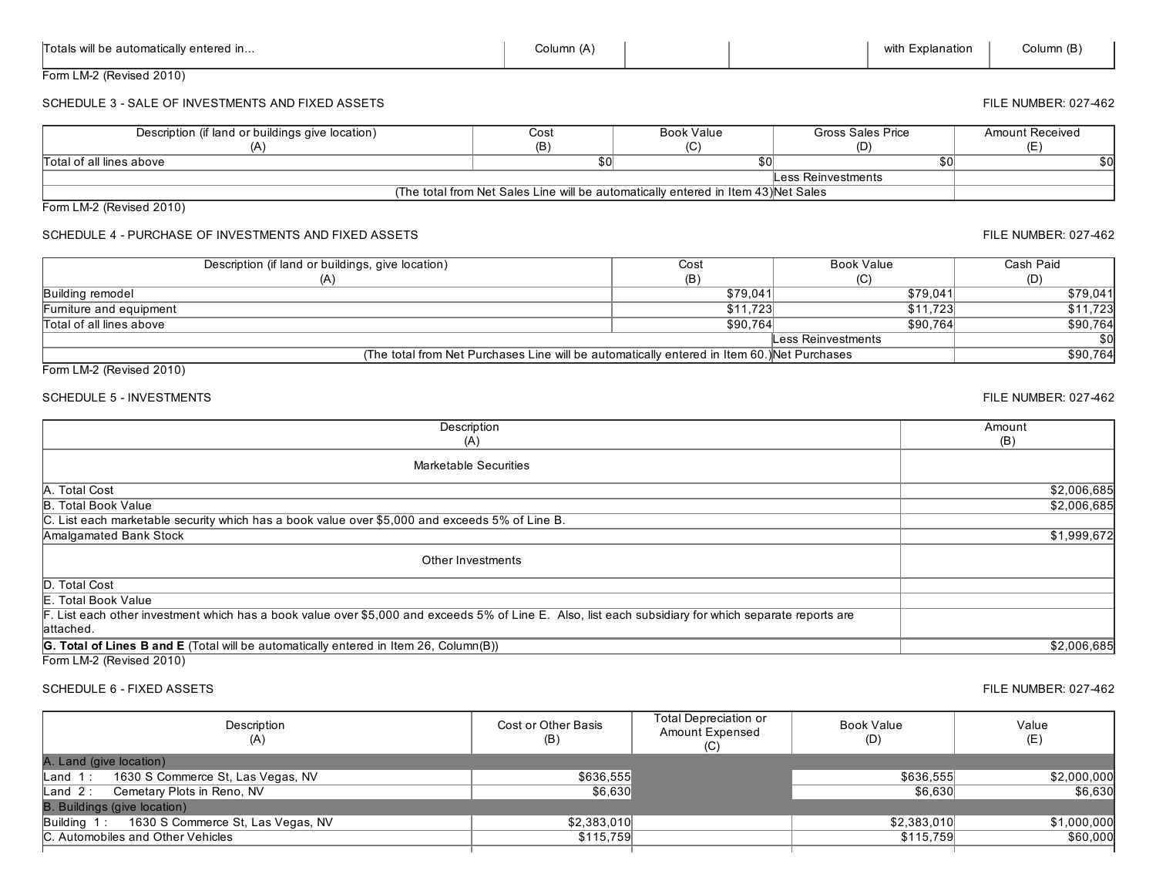| Totals will be automatically entered in                                                                                                                             | Column (A)                                                                                               |                                                                                             |                   | with Explanation | Column (B)             |
|---------------------------------------------------------------------------------------------------------------------------------------------------------------------|----------------------------------------------------------------------------------------------------------|---------------------------------------------------------------------------------------------|-------------------|------------------|------------------------|
| Form LM-2 (Revised 2010)                                                                                                                                            |                                                                                                          |                                                                                             |                   |                  |                        |
| SCHEDULE 3 - SALE OF INVESTMENTS AND FIXED ASSETS                                                                                                                   |                                                                                                          |                                                                                             |                   |                  | FILE NUMBER: 027-462   |
| Description (if land or buildings give location)                                                                                                                    | Cost                                                                                                     | <b>Book Value</b>                                                                           | Gross Sales Price |                  | <b>Amount Received</b> |
| (A)                                                                                                                                                                 | (B)                                                                                                      | (C)                                                                                         | (D)               |                  | (E)                    |
| Total of all lines above                                                                                                                                            | $\overline{30}$                                                                                          | $\overline{50}$                                                                             |                   | $\overline{50}$  | $\overline{50}$        |
|                                                                                                                                                                     | Less Reinvestments<br>(The total from Net Sales Line will be automatically entered in Item 43) Net Sales |                                                                                             |                   |                  |                        |
|                                                                                                                                                                     |                                                                                                          |                                                                                             |                   |                  |                        |
| Form LM-2 (Revised 2010)                                                                                                                                            |                                                                                                          |                                                                                             |                   |                  |                        |
| SCHEDULE 4 - PURCHASE OF INVESTMENTS AND FIXED ASSETS                                                                                                               |                                                                                                          |                                                                                             |                   |                  | FILE NUMBER: 027-462   |
| Description (if land or buildings, give location)                                                                                                                   |                                                                                                          | Cost                                                                                        | <b>Book Value</b> |                  | Cash Paid              |
| (A)                                                                                                                                                                 |                                                                                                          | (B)                                                                                         | (C)               |                  | (D)                    |
| <b>Building remodel</b>                                                                                                                                             |                                                                                                          | \$79,041                                                                                    |                   | \$79,041         | \$79,041               |
| Furniture and equipment                                                                                                                                             |                                                                                                          | \$11,723                                                                                    |                   | \$11,723         | \$11,723               |
| Total of all lines above                                                                                                                                            |                                                                                                          | \$90,764                                                                                    |                   | \$90,764         | \$90,764<br>\$0        |
|                                                                                                                                                                     | <b>Less Reinvestments</b>                                                                                |                                                                                             |                   |                  |                        |
| Form LM-2 (Revised 2010)                                                                                                                                            |                                                                                                          | (The total from Net Purchases Line will be automatically entered in Item 60.) Net Purchases |                   |                  | \$90,764               |
| <b>SCHEDULE 5 - INVESTMENTS</b>                                                                                                                                     |                                                                                                          |                                                                                             |                   |                  | FILE NUMBER: 027-462   |
| Description<br>(A)                                                                                                                                                  |                                                                                                          |                                                                                             |                   |                  | Amount<br>(B)          |
| <b>Marketable Securities</b>                                                                                                                                        |                                                                                                          |                                                                                             |                   |                  |                        |
| A. Total Cost                                                                                                                                                       |                                                                                                          |                                                                                             |                   |                  | \$2,006,685            |
| <b>B. Total Book Value</b>                                                                                                                                          |                                                                                                          |                                                                                             |                   |                  | \$2,006,685            |
| List each marketable security which has a book value over \$5,000 and exceeds 5% of Line B.                                                                         |                                                                                                          |                                                                                             |                   |                  |                        |
| Amalgamated Bank Stock                                                                                                                                              |                                                                                                          |                                                                                             |                   |                  | \$1,999,672            |
| Other Investments                                                                                                                                                   |                                                                                                          |                                                                                             |                   |                  |                        |
| D. Total Cost                                                                                                                                                       |                                                                                                          |                                                                                             |                   |                  |                        |
| . Total Book Value                                                                                                                                                  |                                                                                                          |                                                                                             |                   |                  |                        |
| F. List each other investment which has a book value over \$5,000 and exceeds 5% of Line E. Also, list each subsidiary for which separate reports are<br>lattached. |                                                                                                          |                                                                                             |                   |                  |                        |
| G. Total of Lines B and E (Total will be automatically entered in Item 26, Column(B))                                                                               |                                                                                                          |                                                                                             |                   |                  | \$2,006,685            |
| Form LM-2 (Revised 2010)                                                                                                                                            |                                                                                                          |                                                                                             |                   |                  |                        |
| <b>SCHEDULE 6 - FIXED ASSETS</b>                                                                                                                                    |                                                                                                          |                                                                                             |                   |                  | FILE NUMBER: 027-462   |

Description (A) Cost or Other Basis (B) Total Depreciation or Amount Expensed  $(C)$ Book Value (D) Value (E) A. Land (give location) Land 1 : 1630 S Commerce St, Las Vegas, NV \$636,555 \$636,555 \$2,000,000 Land 2 : Cemetary Plots in Reno, NV B. Buildings (give location) Building 1 : 1630 S Commerce St, Las Vegas, NV \$2,383,010 \$2,383,010 \$1,000,000 C. Automobiles and Other Vehicles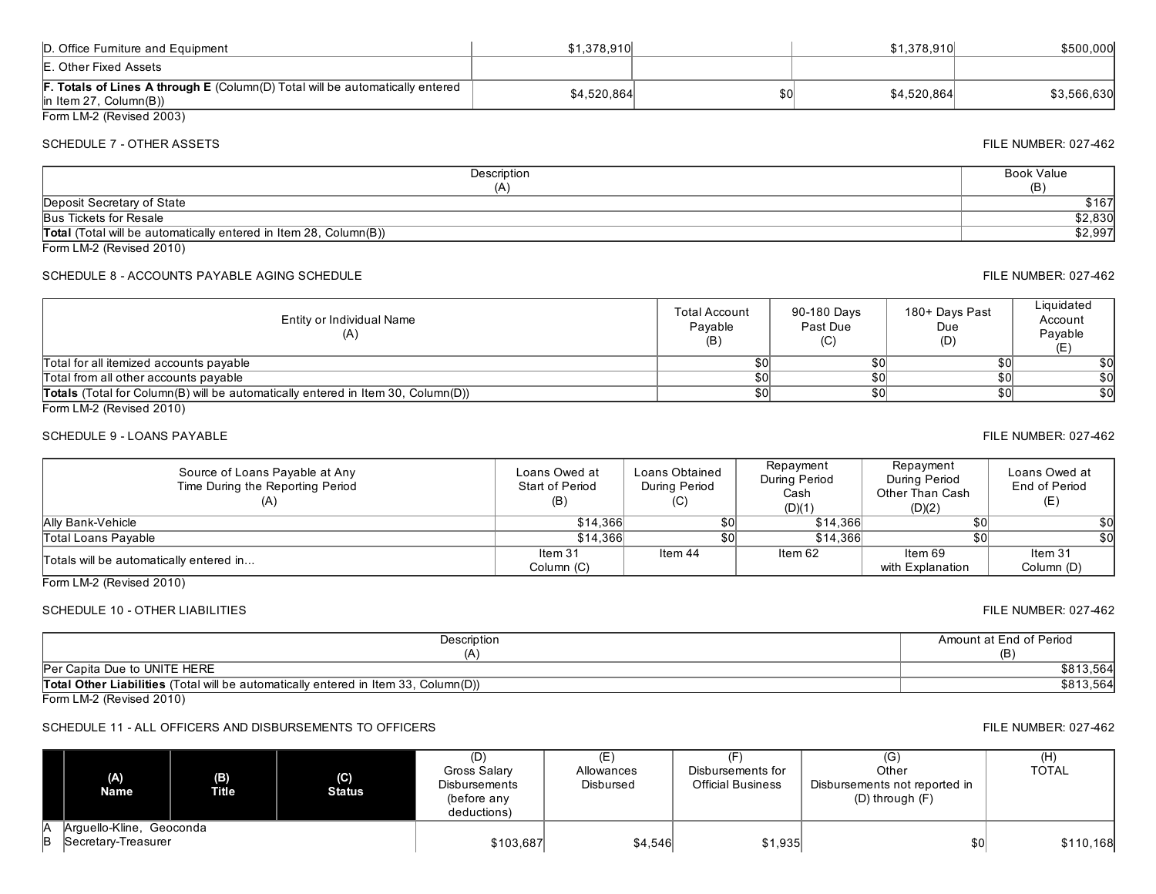| D. Office Furniture and Equipment                                                                                 | \$1.378.910 | \$1.378.910 | \$500,000   |
|-------------------------------------------------------------------------------------------------------------------|-------------|-------------|-------------|
| E. Other Fixed Assets                                                                                             |             |             |             |
| <b>F. Totals of Lines A through E</b> (Column(D) Total will be automatically entered<br>$\ln$ Item 27, Column(B)) | \$4.520.864 | \$4.520.864 | \$3,566,630 |
| Form LM-2 (Revised 2003)                                                                                          |             |             |             |

## SCHEDULE 7 - OTHER ASSETS FILE NUMBER: 027-462

### **Description** (A) Book Value (B) Total (Total will be automatically entered in Item 28, Column(B)) \$2,997 Peposit Secretary of State \$167<br>Bus Tickets for Resale \$2,830 Bus Tickets for Resale

Form LM-2 (Revised 2010)

# SCHEDULE 8 - ACCOUNTS PAYABLE AGING SCHEDULE FILE NUMBER: 027-462

| Entity or Individual Name<br>(A)                                                        | <b>Total Account</b><br>Pavable<br>(B) | 90-180 Days<br>Past Due<br>(C) | 180+ Days Past<br>Due<br>(D) | Liquidated<br>Account<br>Pavable |
|-----------------------------------------------------------------------------------------|----------------------------------------|--------------------------------|------------------------------|----------------------------------|
| Total for all itemized accounts payable                                                 | \$0                                    | \$0                            |                              | \$0                              |
| Total from all other accounts payable                                                   |                                        | \$0                            |                              | \$0                              |
| <b>Totals</b> (Total for Column(B) will be automatically entered in Item 30, Column(D)) | \$0                                    | \$0                            | \$0                          | \$0                              |
| $F_{\text{other}}$ $\uparrow$ $M \Omega$ (Devias d. 004.0)                              |                                        |                                |                              |                                  |

Form LM-2 (Revised 2010)

# SCHEDULE 9 LOANS PAYABLE FILE NUMBER: 027462

| Source of Loans Payable at Any<br>Time During the Reporting Period | Loans Owed at<br>Start of Period<br>(B) | Loans Obtained<br>During Period<br>(C) | Repayment<br>During Period<br>Cash<br>(D)(1) | Repayment<br>During Period<br>Other Than Cash<br>(D)(2) | Loans Owed at<br>End of Period<br>(E) |
|--------------------------------------------------------------------|-----------------------------------------|----------------------------------------|----------------------------------------------|---------------------------------------------------------|---------------------------------------|
| <b>Ally Bank-Vehicle</b>                                           | \$14.366                                |                                        | \$14.366                                     | s۵                                                      | \$0                                   |
| Total Loans Payable                                                | \$14.366                                | \$0                                    | \$14,366                                     | s۵                                                      | \$0                                   |
| Totals will be automatically entered in                            | Item 31                                 | Item 44                                | ltem 62                                      | Item 69                                                 | ltem 31                               |
|                                                                    | Column (C)                              |                                        |                                              | with Explanation                                        | Column (D)                            |

Form LM-2 (Revised 2010)

# SCHEDULE 10 - OTHER LIABILITIES FILE NUMBER: 027-462

| Description                                                                         | Amount at End of Period |
|-------------------------------------------------------------------------------------|-------------------------|
| 1 Δ                                                                                 |                         |
| Per Capita Due to UNITE HERE                                                        | \$813,564               |
| Total Other Liabilities (Total will be automatically entered in Item 33, Column(D)) | \$813,564               |

Form LM-2 (Revised 2010)

# SCHEDULE 11 - ALL OFFICERS AND DISBURSEMENTS TO OFFICERS FILE NUMBER: 027-462

| (A)<br>Name              | (B)<br><b>Title</b> | (C)<br><b>Status</b> | Gross Salary<br><b>Disbursements</b><br>(before any<br>deductions) | Allowances<br>Disbursed | (F<br>Disbursements for<br><b>Official Business</b> | (G)<br>Other<br>Disbursements not reported in<br>$(D)$ through $(F)$ | (H)<br>TOTAL |
|--------------------------|---------------------|----------------------|--------------------------------------------------------------------|-------------------------|-----------------------------------------------------|----------------------------------------------------------------------|--------------|
| Arguello-Kline, Geoconda |                     |                      |                                                                    |                         |                                                     |                                                                      |              |
| Secretary-Treasurer      |                     |                      | \$103,687                                                          | \$4,546                 | \$1,935                                             | \$0 <sub>0</sub>                                                     | \$110,168    |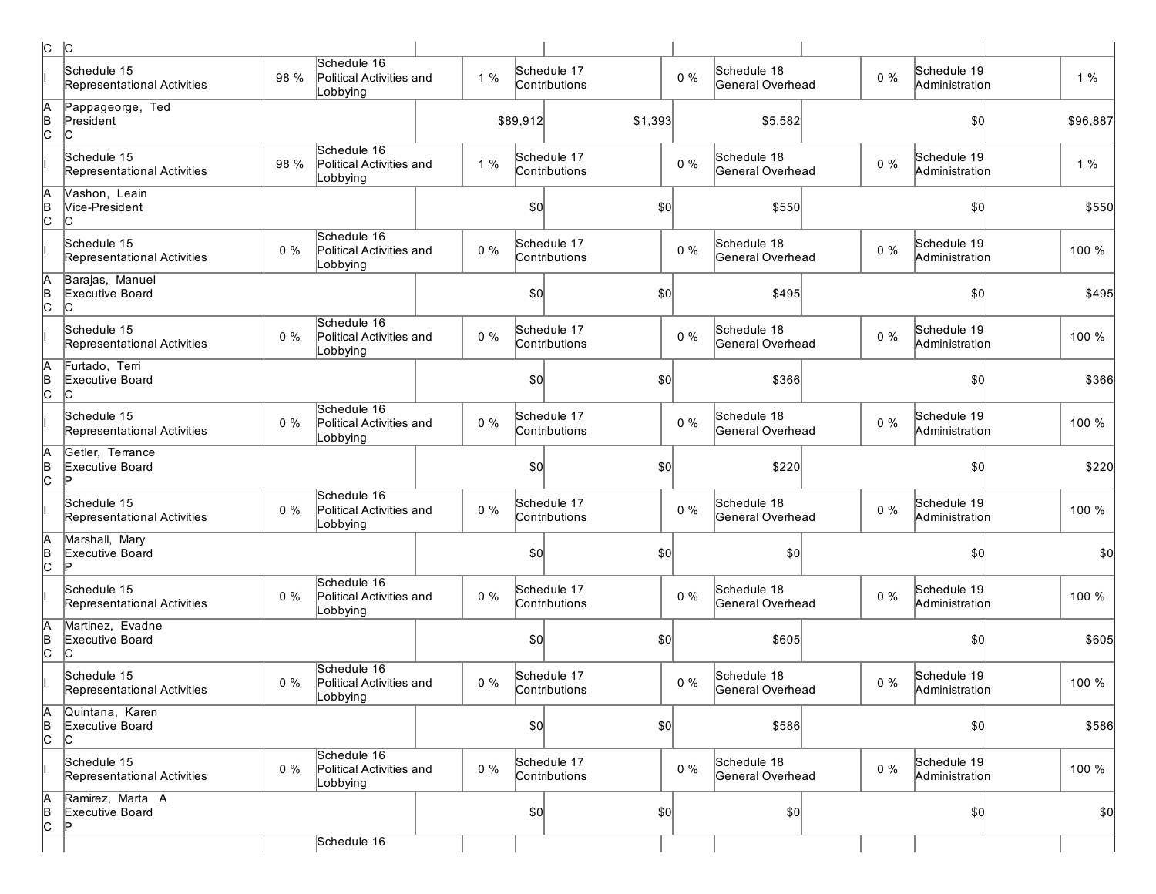| c              | $ {\rm C}$                                 |       |                                                      |       |          |                              |       |                                 |       |                               |          |
|----------------|--------------------------------------------|-------|------------------------------------------------------|-------|----------|------------------------------|-------|---------------------------------|-------|-------------------------------|----------|
|                | Schedule 15<br>Representational Activities | 98 %  | Schedule 16<br>Political Activities and<br>Lobbying  | 1%    |          | Schedule 17<br>Contributions | $0\%$ | Schedule 18<br>General Overhead | $0\%$ | Schedule 19<br>Administration | 1%       |
| A<br>B<br>C    | Pappageorge, Ted<br>President<br>С         |       |                                                      |       | \$89,912 | \$1,393                      |       | \$5,582                         |       | \$0                           | \$96,887 |
|                | Schedule 15<br>Representational Activities | 98 %  | Schedule 16<br>Political Activities and<br>Lobbying  | 1%    |          | Schedule 17<br>Contributions | 0%    | Schedule 18<br>General Overhead | $0\%$ | Schedule 19<br>Administration | 1%       |
| A<br>þ         | Vashon, Leain<br>Vice-President<br>IC.     |       |                                                      |       | \$0      |                              | \$0   | \$550                           |       | \$0                           | \$550    |
|                | Schedule 15<br>Representational Activities | $0\%$ | Schedule 16<br>Political Activities and<br>Lobbying  | $0\%$ |          | Schedule 17<br>Contributions | $0\%$ | Schedule 18<br>General Overhead | $0\%$ | Schedule 19<br>Administration | 100 %    |
| A<br> в<br> С  | Barajas, Manuel<br>Executive Board<br>С    |       |                                                      |       | \$0      |                              | \$0   | \$495                           |       | \$0                           | \$495    |
|                | Schedule 15<br>Representational Activities | $0\%$ | Schedule 16<br>Political Activities and<br>Lobbying  | $0\%$ |          | Schedule 17<br>Contributions | $0\%$ | Schedule 18<br>General Overhead | $0\%$ | Schedule 19<br>Administration | 100 %    |
| A<br> в<br>С   | Furtado, Terri<br>Executive Board<br>C     |       |                                                      |       | 50       |                              | \$0   | \$366                           |       | \$0                           | \$366    |
|                | Schedule 15<br>Representational Activities | $0\%$ | Schedule 16<br>Political Activities and<br>Lobbying  | $0\%$ |          | Schedule 17<br>Contributions | $0\%$ | Schedule 18<br>General Overhead | $0\%$ | Schedule 19<br>Administration | 100 %    |
| A<br>B<br>c    | Getler, Terrance<br>Executive Board<br>Þ   |       |                                                      |       | \$0      |                              | \$0   | \$220                           |       | \$0                           | \$220    |
|                | Schedule 15<br>Representational Activities | $0\%$ | Schedule 16<br>Political Activities and<br>Lobbying  | $0\%$ |          | Schedule 17<br>Contributions | $0\%$ | Schedule 18<br>General Overhead | $0\%$ | Schedule 19<br>Administration | 100 %    |
| $\frac{A}{C}$  | Marshall, Mary<br>Executive Board<br>Þ     |       |                                                      |       | \$0      |                              | \$0   | \$0                             |       | \$0                           | \$0      |
|                | Schedule 15<br>Representational Activities | 0%    | Schedule 16<br>Political Activities and<br>Lobbying  | $0\%$ |          | Schedule 17<br>Contributions | $0\%$ | Schedule 18<br>General Overhead | $0\%$ | Schedule 19<br>Administration | 100 %    |
| A<br>B<br>C    | Martinez, Evadne<br>Executive Board<br>IC. |       |                                                      |       | \$0      |                              | \$0   | \$605                           |       | \$0                           | \$605    |
|                | Schedule 15<br>Representational Activities | $0\%$ | Schedule 16<br>Political Activities and<br>∣Lobbying | $0\%$ |          | Schedule 17<br>Contributions | $0\%$ | Schedule 18<br>General Overhead | $0\%$ | Schedule 19<br>Administration | 100 %    |
| A<br>B<br>C    | Quintana, Karen<br>Executive Board<br>IC.  |       |                                                      |       | \$0      |                              | \$0   | \$586                           |       | \$0                           | \$586    |
|                | Schedule 15<br>Representational Activities | $0\%$ | Schedule 16<br>Political Activities and<br>Lobbying  | $0\%$ |          | Schedule 17<br>Contributions | $0\%$ | Schedule 18<br>General Overhead | $0\%$ | Schedule 19<br>Administration | 100 %    |
| $\overline{6}$ | Ramirez, Marta A<br>Executive Board<br>D   |       |                                                      |       | 50       |                              | \$0   | \$0                             |       | \$0                           | \$0      |
|                |                                            |       | Schedule 16                                          |       |          |                              |       |                                 |       |                               |          |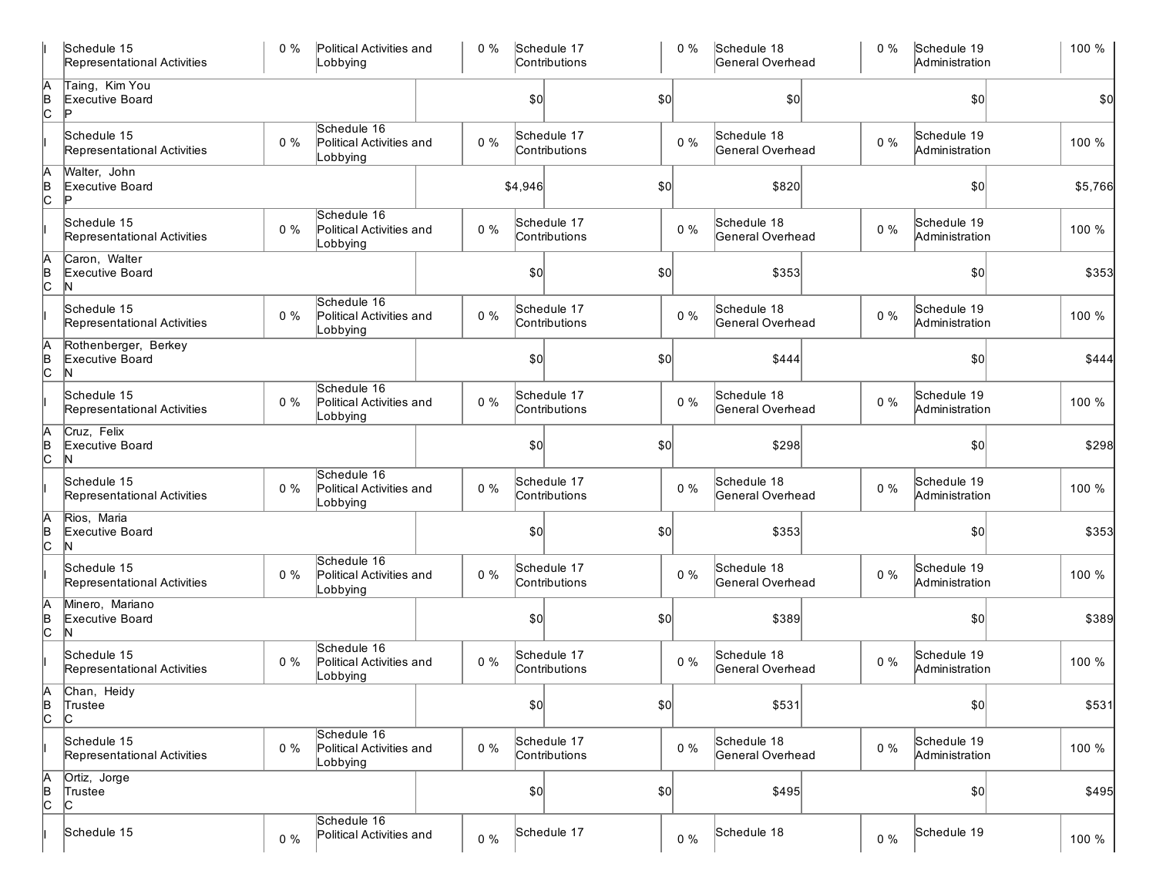|                      | Schedule 15<br>Representational Activities   | $0\%$ | Political Activities and<br>Lobbying                | $0\%$ |              | Schedule 17<br>Contributions |              | $0\%$ | Schedule 18<br>General Overhead | $0\%$ | Schedule 19<br>Administration | 100 %   |
|----------------------|----------------------------------------------|-------|-----------------------------------------------------|-------|--------------|------------------------------|--------------|-------|---------------------------------|-------|-------------------------------|---------|
| $\overline{C}$       | Taing, Kim You<br>Executive Board            |       |                                                     |       | \$0          |                              | $ 10\rangle$ |       | 50                              |       | \$0                           | \$0     |
|                      | Schedule 15<br>Representational Activities   | $0\%$ | Schedule 16<br>Political Activities and<br>Lobbying | $0\%$ |              | Schedule 17<br>Contributions |              | $0\%$ | Schedule 18<br>General Overhead | $0\%$ | Schedule 19<br>Administration | 100 %   |
|                      | Walter, John<br>Executive Board<br>Þ         |       |                                                     |       | \$4,946      |                              | \$0          |       | \$820                           |       | \$0                           | \$5,766 |
|                      | Schedule 15<br>Representational Activities   | $0\%$ | Schedule 16<br>Political Activities and<br>Lobbying | $0\%$ |              | Schedule 17<br>Contributions |              | 0%    | Schedule 18<br>General Overhead | $0\%$ | Schedule 19<br>Administration | 100 %   |
|                      | Caron, Walter<br>Executive Board<br>N        |       |                                                     |       | \$0          |                              | \$0          |       | \$353                           |       | \$0                           | \$353   |
|                      | Schedule 15<br>Representational Activities   | $0\%$ | Schedule 16<br>Political Activities and<br>Lobbying | $0\%$ |              | Schedule 17<br>Contributions |              | $0\%$ | Schedule 18<br>General Overhead | $0\%$ | Schedule 19<br>Administration | 100 %   |
| $\overline{C}$       | Rothenberger, Berkey<br>Executive Board<br>N |       |                                                     |       | \$0          |                              | $ 10\rangle$ |       | \$444                           |       | \$0                           | \$444   |
|                      | Schedule 15<br>Representational Activities   | $0\%$ | Schedule 16<br>Political Activities and<br>Lobbying | $0\%$ |              | Schedule 17<br>Contributions |              | $0\%$ | Schedule 18<br>General Overhead | $0\%$ | Schedule 19<br>Administration | 100 %   |
| c                    | Cruz, Felix<br>Executive Board<br>N          |       |                                                     |       | \$0          |                              | \$0          |       | \$298                           |       | \$0                           | \$298   |
|                      | Schedule 15<br>Representational Activities   | $0\%$ | Schedule 16<br>Political Activities and<br>Lobbying | $0\%$ |              | Schedule 17<br>Contributions |              | $0\%$ | Schedule 18<br>General Overhead | $0\%$ | Schedule 19<br>Administration | 100 %   |
| $\overline{c}$       | Rios, Maria<br>Executive Board<br>ΙN         |       |                                                     |       | \$0          |                              | $ 10\rangle$ |       | \$353                           |       | \$0                           | \$353   |
|                      | Schedule 15<br>Representational Activities   | $0\%$ | Schedule 16<br>Political Activities and<br>Lobbying | $0\%$ |              | Schedule 17<br>Contributions |              | $0\%$ | Schedule 18<br>General Overhead | $0\%$ | Schedule 19<br>Administration | 100 %   |
| B                    | Minero, Mariano<br>Executive Board<br>ΙN     |       |                                                     |       | \$0          |                              | \$0          |       | \$389                           |       | \$0                           | \$389   |
|                      | Schedule 15<br>Representational Activities   | $0\%$ | Schedule 16<br>Political Activities and<br>Lobbying | $0\%$ |              | Schedule 17<br>Contributions |              | $0\%$ | Schedule 18<br>General Overhead | $0\%$ | Schedule 19<br>Administration | 100 %   |
| IА<br>$\overline{C}$ | Chan, Heidy<br>Trustee<br>IС                 |       |                                                     |       | $ 10\rangle$ |                              | $ 10\rangle$ |       | \$531                           |       | \$0                           | \$531   |
|                      | Schedule 15<br>Representational Activities   | $0\%$ | Schedule 16<br>Political Activities and<br>Lobbying | $0\%$ |              | Schedule 17<br>Contributions |              | $0\%$ | Schedule 18<br>General Overhead | $0\%$ | Schedule 19<br>Administration | 100 %   |
| А<br>$\overline{C}$  | Ortiz, Jorge<br>Trustee<br>IС                |       |                                                     |       | 0            |                              | $ 10\rangle$ |       | \$495                           |       | \$0                           | \$495   |
|                      | Schedule 15                                  | $0\%$ | Schedule 16<br>Political Activities and             | $0\%$ |              | Schedule 17                  |              | $0\%$ | Schedule 18                     | $0\%$ | Schedule 19                   | 100 %   |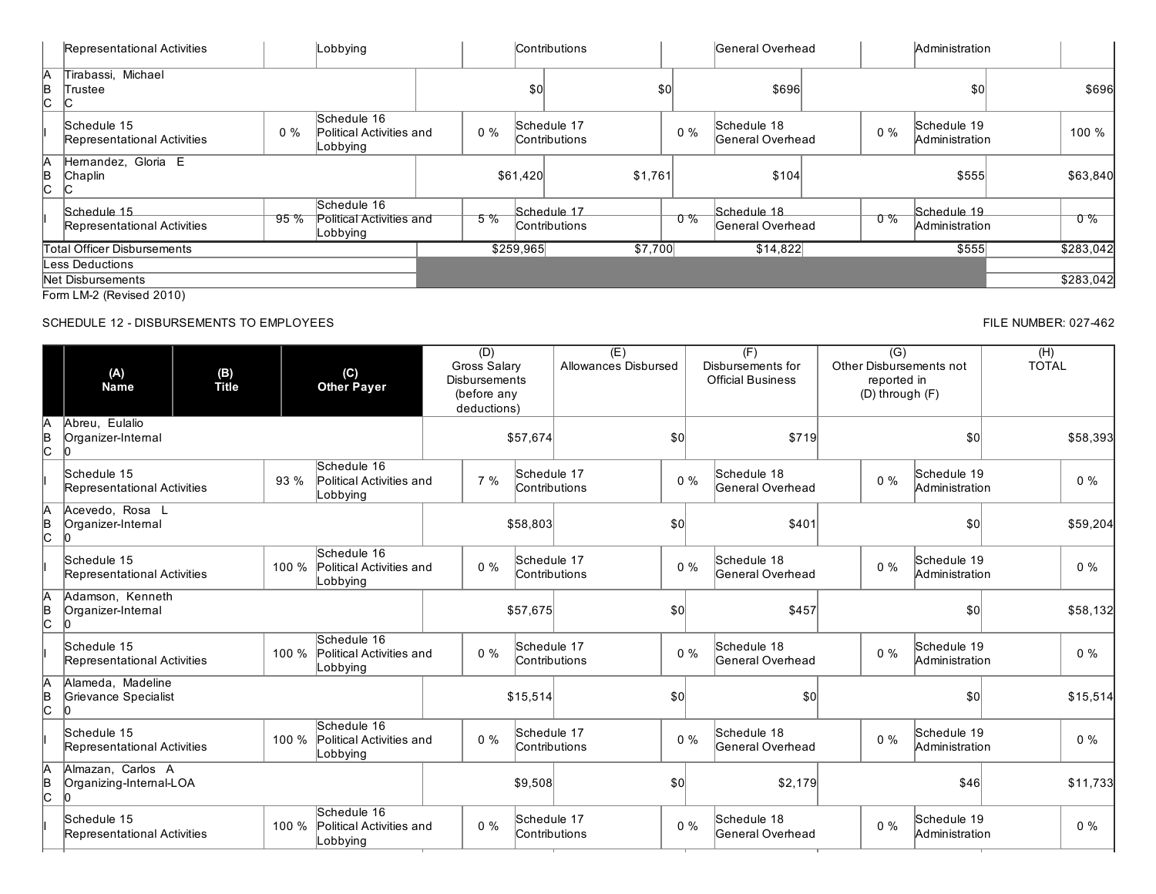|               | Representational Activities                |       | Lobbying                                            |       |           | <b>Contributions</b>                |     |       | General Overhead                 |           | Administration                |           |
|---------------|--------------------------------------------|-------|-----------------------------------------------------|-------|-----------|-------------------------------------|-----|-------|----------------------------------|-----------|-------------------------------|-----------|
| И<br>B<br>IC. | Tirabassi, Michael<br>Trustee              |       |                                                     |       | \$0       |                                     | \$0 |       | \$696                            |           | \$0                           | \$696     |
|               | Schedule 15<br>Representational Activities | $0\%$ | Schedule 16<br>Political Activities and<br>Lobbying | $0\%$ |           | Schedule 17<br><b>Contributions</b> |     | $0\%$ | Schedule 18<br>lGeneral Overhead | $0\%$     | Schedule 19<br>Administration | 100 %     |
| A<br>B<br>IС. | Hernandez, Gloria E<br>Chaplin             |       |                                                     |       | \$61,420  | \$1,761                             |     |       | \$104                            |           | \$555                         | \$63,840  |
|               | Schedule 15<br>Representational Activities | 95%   | Schedule 16<br>Political Activities and<br>Lobbying | $5\%$ |           | Schedule 17<br>Contributions        |     | _0 %  | Schedule 18<br>General Overhead  | <u>ዕ%</u> | Schedule 19<br>Administration | $0\%$     |
|               | Total Officer Disbursements                |       |                                                     |       | \$259,965 | \$7,700                             |     |       | \$14,822                         |           | \$555                         | \$283,042 |
|               | Less Deductions                            |       |                                                     |       |           |                                     |     |       |                                  |           |                               |           |
|               | Net Disbursements                          |       |                                                     |       |           |                                     |     |       |                                  |           |                               | \$283,042 |
|               | Form LM-2 (Revised 2010)                   |       |                                                     |       |           |                                     |     |       |                                  |           |                               |           |

# SCHEDULE 12 - DISBURSEMENTS TO EMPLOYEES FILE NUMBER: 027-462

### (A) Name (B) Title (C) Other Payer  $(D)$ Gross Salary Disbursements (before any deductions)  $(E)$ Allowances Disbursed  $(F)$ Disbursements for Official Business  $\overline{(G)}$ Other Disbursements not reported in (D) through (F)  $(H)$ TOTAL A B C Abreu, Eulalio OrganizerInternal  $\sqrt{2}$ \$57,674 \$0 \$0 \$0 \$719 \$719 \$0 \$0 \$58,393 I Schedule 15 Representational Activities 93 % Schedule 16 Political Activities and Lobbying 7 % Schedule 17 Contributions 0 % Schedule 18 General Overhead 0 % Schedule 19 Administration 0 % A B  $\overline{c}$ Acevedo, Rosa L Organizer-Internal  $\mathsf{I}^{\mathsf{O}}$ \$58,803 \$0 \$401 \$0 \$59,204 I Schedule 15 Representational Activities 100 % Political Activities and Schedule 16 Lobbying 0 % Schedule 17 Contributions 0 % Schedule 18 General Overhead 0 % Schedule 19 Administration 0 % A B C Adamson, Kenneth Organizer-Internal  $\sqrt{2}$ \$57,675 \$0 \$0 \$0 \$0 \$457 \$0 \$457 \$0 \$58,132 I Schedule 15 Representational Activities 100 % Schedule 16 Political Activities and Lobbying 0 % Schedule 17 Contributions 0 % Schedule 18 General Overhead 0 % Schedule 19 Administration 0 % A B  $\mathsf{c}$ Alameda, Madeline Grievance Specialist 0  $$15,514$   $$0$   $$15,514$ I Schedule 15 Representational Activities 100 % Political Activities and Schedule 16 Lobbying 0 % Schedule 17 Contributions 0 % Schedule 18 General Overhead 0 % Schedule 19 Administration 0 % A B C Almazan, Carlos A Organizing-Internal-LOA 0 \$9,508 \$0 \$2,179 \$46 \$11,733 I Schedule 15 Representational Activities 100 % Political Activities and Schedule 16 Lobbying 0 % Schedule 17 Contributions 0 % Schedule 18 General Overhead 0 % Schedule 19 Administration 0 %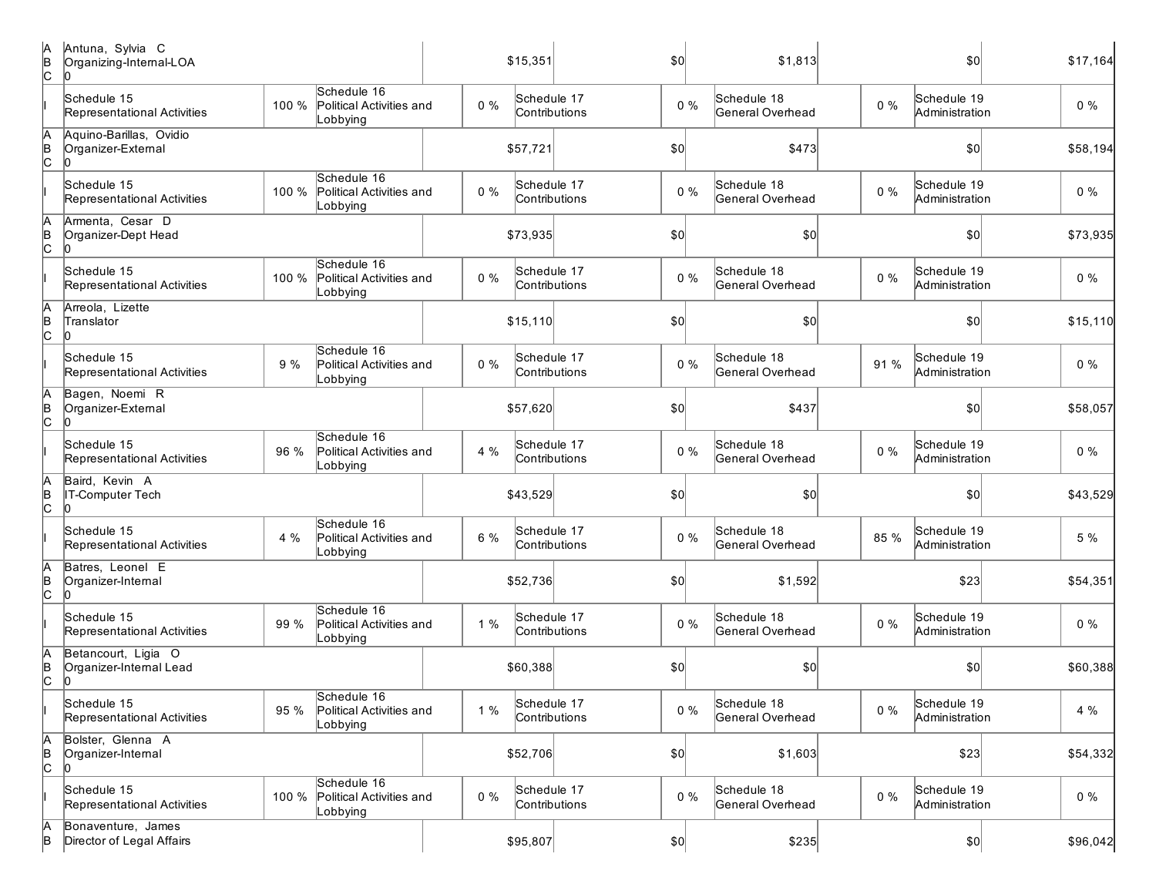| IA<br>B<br>c | Antuna, Sylvia C<br>Organizing-Internal-LOA         |       |                                                     |       | \$15,351                     | \$0          | \$1,813                         |       | \$0                           | \$17,164 |
|--------------|-----------------------------------------------------|-------|-----------------------------------------------------|-------|------------------------------|--------------|---------------------------------|-------|-------------------------------|----------|
|              | Schedule 15<br>Representational Activities          | 100 % | Schedule 16<br>Political Activities and<br>Lobbying | $0\%$ | Schedule 17<br>Contributions | $0\%$        | Schedule 18<br>General Overhead | $0\%$ | Schedule 19<br>Administration | $0\%$    |
| A<br>B<br>C  | Aquino-Barillas, Ovidio<br>Organizer-External<br>10 |       |                                                     |       | \$57,721                     | \$0          | \$473                           |       | \$0                           | \$58,194 |
|              | Schedule 15<br>Representational Activities          | 100 % | Schedule 16<br>Political Activities and<br>Lobbying | $0\%$ | Schedule 17<br>Contributions | $0\%$        | Schedule 18<br>General Overhead | $0\%$ | Schedule 19<br>Administration | $0\%$    |
| A<br>B<br>c  | Armenta, Cesar D<br>Organizer-Dept Head             |       |                                                     |       | \$73,935                     | \$0          | \$0                             |       | \$0                           | \$73,935 |
|              | Schedule 15<br>Representational Activities          | 100 % | Schedule 16<br>Political Activities and<br>Lobbying | $0\%$ | Schedule 17<br>Contributions | $0\%$        | Schedule 18<br>General Overhead | $0\%$ | Schedule 19<br>Administration | $0\%$    |
| A<br>B<br>c  | Arreola, Lizette<br>Translator                      |       |                                                     |       | \$15,110                     | \$0          | \$0                             |       | \$0                           | \$15,110 |
|              | Schedule 15<br>Representational Activities          | 9 %   | Schedule 16<br>Political Activities and<br>Lobbying | $0\%$ | Schedule 17<br>Contributions | $0\%$        | Schedule 18<br>General Overhead | 91 %  | Schedule 19<br>Administration | $0\%$    |
| A<br>B<br>c  | Bagen, Noemi R<br>Organizer-External                |       |                                                     |       | \$57,620                     | \$0          | \$437                           |       | \$0                           | \$58,057 |
|              | Schedule 15<br>Representational Activities          | 96 %  | Schedule 16<br>Political Activities and<br>Lobbying | 4 %   | Schedule 17<br>Contributions | $0\%$        | Schedule 18<br>General Overhead | $0\%$ | Schedule 19<br>Administration | $0\%$    |
| A<br>B<br>C  | Baird, Kevin A<br>IT-Computer Tech                  |       |                                                     |       | \$43,529                     | \$0          | \$0                             |       | \$0                           | \$43,529 |
|              | Schedule 15<br>Representational Activities          | 4 %   | Schedule 16<br>Political Activities and<br>Lobbying | 6 %   | Schedule 17<br>Contributions | $0\%$        | Schedule 18<br>General Overhead | 85 %  | Schedule 19<br>Administration | 5 %      |
| A<br>B<br>C  | Batres, Leonel E<br>Organizer-Internal              |       |                                                     |       | \$52,736                     | \$0]         | \$1,592                         |       | \$23                          | \$54,351 |
|              | Schedule 15<br>Representational Activities          | 99 %  | Schedule 16<br>Political Activities and<br>Lobbying | 1%    | Schedule 17<br>Contributions | $0\%$        | Schedule 18<br>General Overhead | $0\%$ | Schedule 19<br>Administration | $0\%$    |
| A<br>B<br>C  | Betancourt, Ligia O<br>Organizer-Internal Lead      |       |                                                     |       | \$60,388                     | \$0          | \$0                             |       | $ 10\rangle$                  | \$60,388 |
|              | Schedule 15<br>Representational Activities          | 95 %  | Schedule 16<br>Political Activities and<br>Lobbying | 1%    | Schedule 17<br>Contributions | $0\%$        | Schedule 18<br>General Overhead | $0\%$ | Schedule 19<br>Administration | 4 %      |
| A<br>B<br>C  | Bolster, Glenna A<br>Organizer-Internal<br>10       |       |                                                     |       | \$52,706                     | \$0]         | \$1,603                         |       | \$23                          | \$54,332 |
|              | Schedule 15<br>Representational Activities          | 100 % | Schedule 16<br>Political Activities and<br>Lobbying | $0\%$ | Schedule 17<br>Contributions | $0\%$        | Schedule 18<br>General Overhead | $0\%$ | Schedule 19<br>Administration | $0\%$    |
| A<br>B       | Bonaventure, James<br>Director of Legal Affairs     |       |                                                     |       | \$95,807                     | $ 10\rangle$ | \$235                           |       | $ 10\rangle$                  | \$96,042 |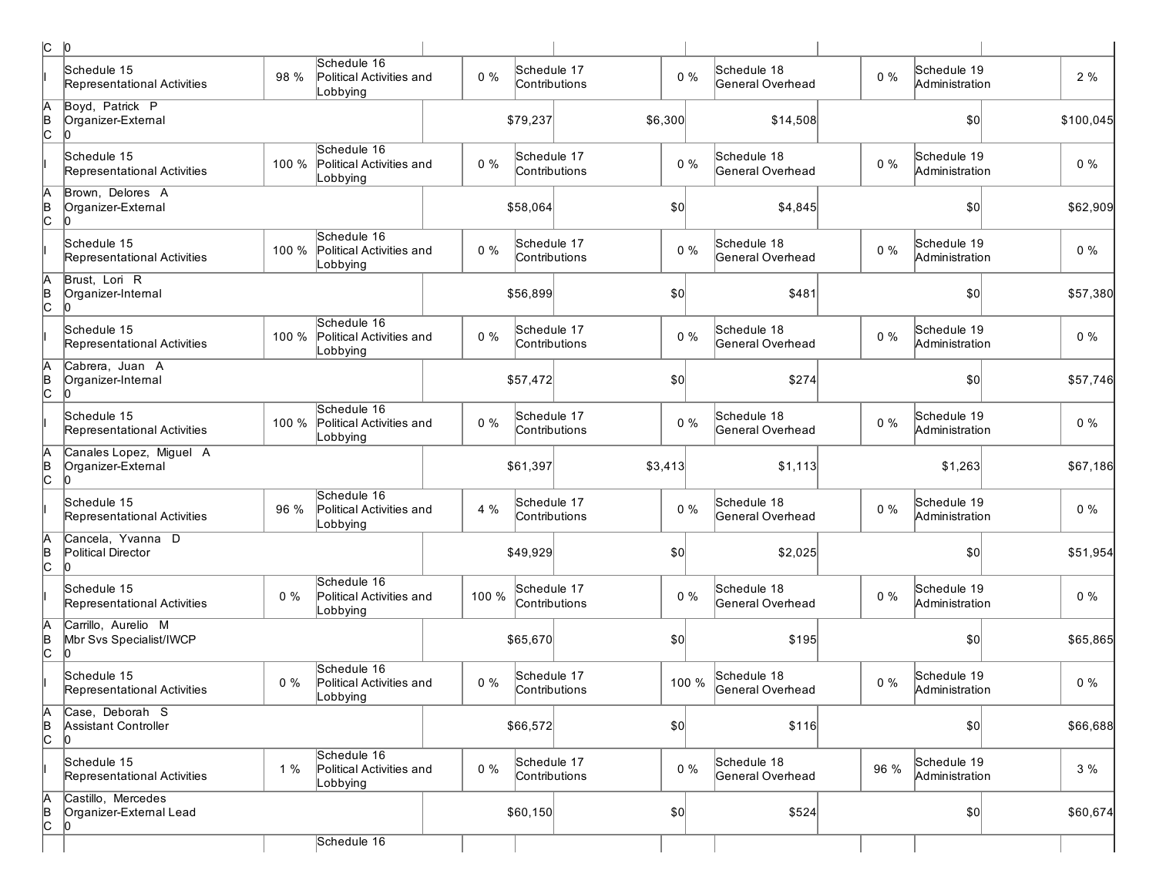| c             | 0                                                    |       |                                                      |       |                              |         |                                 |       |                               |           |
|---------------|------------------------------------------------------|-------|------------------------------------------------------|-------|------------------------------|---------|---------------------------------|-------|-------------------------------|-----------|
|               | Schedule 15<br>Representational Activities           | 98 %  | Schedule 16<br>Political Activities and<br>Lobbying  | $0\%$ | Schedule 17<br>Contributions | $0\%$   | Schedule 18<br>General Overhead | $0\%$ | Schedule 19<br>Administration | 2 %       |
| A<br>B<br>C   | Boyd, Patrick P<br>Organizer-External                |       |                                                      |       | \$79,237                     | \$6,300 | \$14,508                        |       | \$0                           | \$100,045 |
|               | Schedule 15<br>Representational Activities           | 100 % | Schedule 16<br>Political Activities and<br>Lobbying  | $0\%$ | Schedule 17<br>Contributions | $0\%$   | Schedule 18<br>General Overhead | $0\%$ | Schedule 19<br>Administration | $0\%$     |
| Ā<br> в<br> С | Brown, Delores A<br>Organizer-External               |       |                                                      |       | \$58,064                     | \$0     | \$4,845                         |       | \$0                           | \$62,909  |
|               | Schedule 15<br>Representational Activities           | 100 % | Schedule 16<br>Political Activities and<br>Lobbying  | $0\%$ | Schedule 17<br>Contributions | $0\%$   | Schedule 18<br>General Overhead | $0\%$ | Schedule 19<br>Administration | $0\%$     |
| Ā<br> в<br> С | Brust, Lori R<br>Organizer-Internal<br>In            |       |                                                      |       | \$56,899                     | \$0     | \$481                           |       | 0                             | \$57,380  |
|               | Schedule 15<br>Representational Activities           | 100 % | Schedule 16<br>Political Activities and<br>Lobbying  | $0\%$ | Schedule 17<br>Contributions | $0\%$   | Schedule 18<br>General Overhead | $0\%$ | Schedule 19<br>Administration | $0\%$     |
| A<br> B<br> C | Cabrera, Juan A<br>Organizer-Internal                |       |                                                      |       | \$57,472                     | \$0     | \$274                           |       | \$0                           | \$57,746  |
|               | Schedule 15<br>Representational Activities           | 100 % | Schedule 16<br>Political Activities and<br>Lobbying  | $0\%$ | Schedule 17<br>Contributions | $0\%$   | Schedule 18<br>General Overhead | $0\%$ | Schedule 19<br>Administration | $0\%$     |
| A<br>B<br>C   | Canales Lopez, Miguel A<br>Organizer-External<br>In  |       |                                                      |       | \$61,397                     | \$3,413 | \$1,113                         |       | \$1,263                       | \$67,186  |
|               | Schedule 15<br>Representational Activities           | 96 %  | Schedule 16<br>Political Activities and<br>Lobbying  | 4 %   | Schedule 17<br>Contributions | $0\%$   | Schedule 18<br>General Overhead | $0\%$ | Schedule 19<br>Administration | $0\%$     |
| A<br>B<br>C   | Cancela, Yvanna D<br>Political Director<br>lo.       |       |                                                      |       | \$49,929                     | \$0     | \$2,025                         |       | \$0                           | \$51,954  |
|               | Schedule 15<br>Representational Activities           | $0\%$ | Schedule 16<br>Political Activities and<br>Lobbying  | 100 % | Schedule 17<br>Contributions | $0\%$   | Schedule 18<br>General Overhead | $0\%$ | Schedule 19<br>Administration | $0\%$     |
| A<br>B<br>C   | Carrillo, Aurelio M<br>Mbr Svs Specialist/IWCP<br>10 |       |                                                      |       | \$65,670                     | \$0     | \$195                           |       | \$0                           | \$65,865  |
|               | Schedule 15<br>Representational Activities           | $0\%$ | Schedule 16<br>Political Activities and<br>∥∟obbying | $0\%$ | Schedule 17<br>Contributions | 100 %   | Schedule 18<br>General Overhead | $0\%$ | Schedule 19<br>Administration | $0\%$     |
| A<br>B<br>C   | Case, Deborah S<br>Assistant Controller<br>lo.       |       |                                                      |       | \$66,572                     | \$0     | \$116                           |       | \$0                           | \$66,688  |
|               | Schedule 15<br>Representational Activities           | 1%    | Schedule 16<br>Political Activities and<br>Lobbying  | 0%    | Schedule 17<br>Contributions | $0\%$   | Schedule 18<br>General Overhead | 96 %  | Schedule 19<br>Administration | 3%        |
| A<br>B<br>C   | Castillo, Mercedes<br>Organizer-External Lead<br>In  |       |                                                      |       | \$60,150                     | \$0     | \$524                           |       | $ 10\rangle$                  | \$60,674  |
|               |                                                      |       | Schedule 16                                          |       |                              |         |                                 |       |                               |           |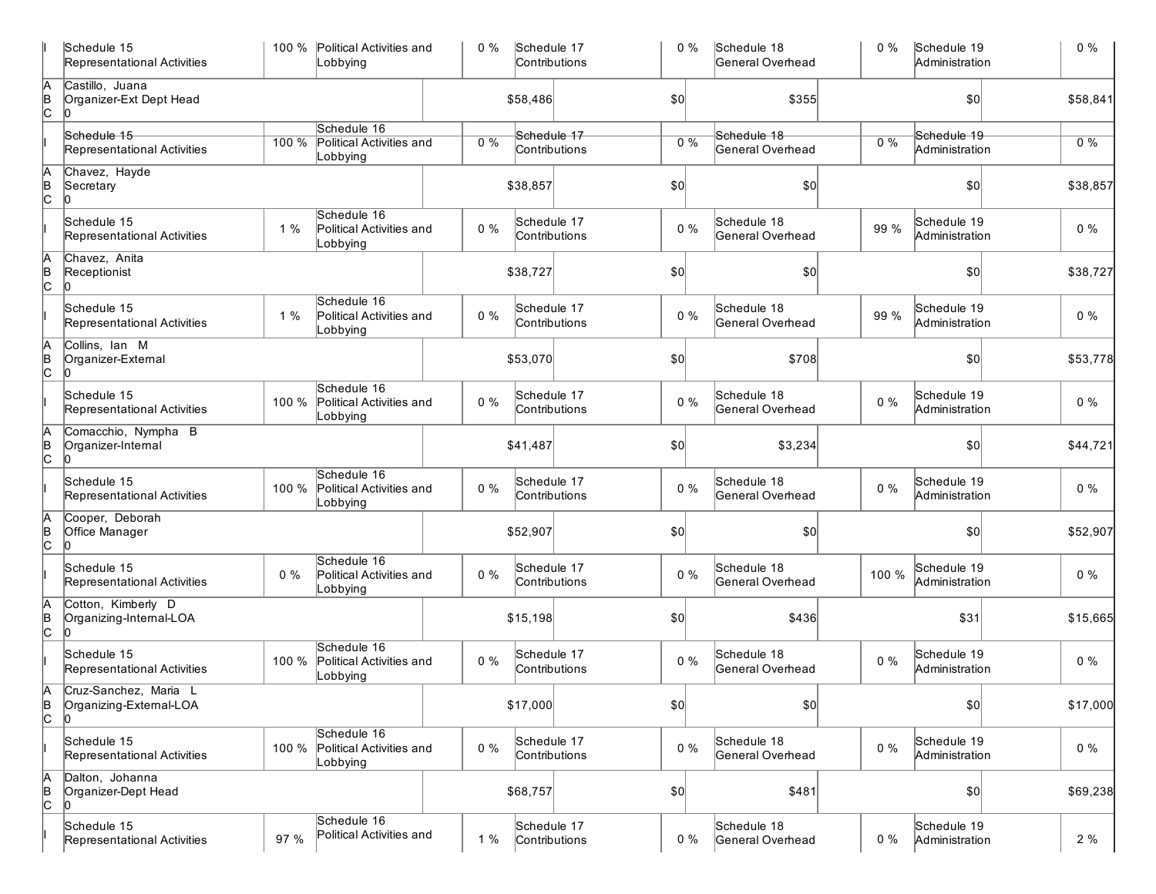|                      | Schedule 15<br>Representational Activities           |       | 100 % Political Activities and<br>Lobbying          | 0%    | Schedule 17 | Contributions                | $0\%$        | Schedule 18<br>General Overhead | $0\%$ | Schedule 19<br>Administration | $0\%$    |
|----------------------|------------------------------------------------------|-------|-----------------------------------------------------|-------|-------------|------------------------------|--------------|---------------------------------|-------|-------------------------------|----------|
| A<br>∣e<br> C        | Castillo, Juana<br>Organizer-Ext Dept Head           |       |                                                     |       | \$58,486    |                              | \$0          | \$355                           |       | \$0                           | \$58,841 |
|                      | Schedule 15                                          |       | Schedule 16                                         |       |             | Schedule 17                  |              | Schedule 18                     |       | Schedule 19                   |          |
|                      | Representational Activities                          | 100 % | <b>Political Activities and</b><br>Lobbying         | 0%    |             | Contributions                | $0\%$        | General Overhead                | 0%    | Administration                | $0\%$    |
| A<br>B<br>C          | Chavez, Hayde<br>Secretary<br>l0                     |       |                                                     |       | \$38,857    |                              | \$0          | \$0                             |       | \$0                           | \$38,857 |
|                      | Schedule 15<br>Representational Activities           | 1%    | Schedule 16<br>Political Activities and<br>Lobbying | $0\%$ |             | Schedule 17<br>Contributions | $0\%$        | Schedule 18<br>General Overhead | 99 %  | Schedule 19<br>Administration | $0\%$    |
| $\frac{A}{C}$        | Chavez, Anita<br>Receptionist<br>10                  |       |                                                     |       | \$38,727    |                              | \$0          | \$0                             |       | \$0                           | \$38,727 |
|                      | Schedule 15<br>Representational Activities           | 1%    | Schedule 16<br>Political Activities and<br>Lobbying | $0\%$ |             | Schedule 17<br>Contributions | $0\%$        | Schedule 18<br>General Overhead | 99 %  | Schedule 19<br>Administration | $0\%$    |
| þ<br>Þ<br>c          | Collins, Ian M<br>Organizer-External<br>10           |       |                                                     |       | \$53,070    |                              | \$0          | \$708                           |       | \$0                           | \$53,778 |
|                      | Schedule 15<br>Representational Activities           | 100 % | Schedule 16<br>Political Activities and<br>Lobbying | $0\%$ |             | Schedule 17<br>Contributions | $0\%$        | Schedule 18<br>General Overhead | $0\%$ | Schedule 19<br>Administration | $0\%$    |
| $A$ <sub>B</sub> $C$ | Comacchio, Nympha B<br>Organizer-Internal<br>n       |       |                                                     |       | \$41,487    |                              | \$0          | \$3,234                         |       | \$0                           | \$44,721 |
|                      | Schedule 15<br>Representational Activities           | 100 % | Schedule 16<br>Political Activities and<br>Lobbying | $0\%$ |             | Schedule 17<br>Contributions | $0\%$        | Schedule 18<br>General Overhead | $0\%$ | Schedule 19<br>Administration | $0\%$    |
| A<br>B<br>C          | Cooper, Deborah<br>Office Manager                    |       |                                                     |       | \$52,907    |                              | \$0          | \$0                             |       | \$0                           | \$52,907 |
|                      | Schedule 15<br>Representational Activities           | $0\%$ | Schedule 16<br>Political Activities and<br>Lobbying | $0\%$ |             | Schedule 17<br>Contributions | $0\%$        | Schedule 18<br>General Overhead | 100 % | Schedule 19<br>Administration | $0\%$    |
| $A$ <sub>B</sub> $C$ | Cotton, Kimberly D<br>Organizing-Internal-LOA        |       |                                                     |       | \$15,198    |                              | \$0          | \$436                           |       | \$31                          | \$15,665 |
|                      | Schedule 15<br>Representational Activities           | 100 % | Schedule 16<br>Political Activities and<br>Lobbying | $0\%$ |             | Schedule 17<br>Contributions | $0\%$        | Schedule 18<br>General Overhead | $0\%$ | Schedule 19<br>Administration | $0\%$    |
| ΙA<br> в<br> С       | Cruz-Sanchez, Maria<br>Organizing-External-LOA<br>10 |       |                                                     |       | \$17,000    |                              | $ 10\rangle$ | \$0]                            |       | \$0]                          | \$17,000 |
|                      | Schedule 15<br>Representational Activities           | 100 % | Schedule 16<br>Political Activities and<br>Lobbying | $0\%$ |             | Schedule 17<br>Contributions | $0\%$        | Schedule 18<br>General Overhead | $0\%$ | Schedule 19<br>Administration | $0\%$    |
| $A$ <sub>B</sub> $C$ | Dalton, Johanna<br>Organizer-Dept Head<br>IO         |       |                                                     |       | \$68,757    |                              | 50           | \$481                           |       | \$0]                          | \$69,238 |
|                      | Schedule 15<br>Representational Activities           | 97 %  | Schedule 16<br>Political Activities and             | 1%    |             | Schedule 17<br>Contributions | $0\%$        | Schedule 18<br>General Overhead | $0\%$ | Schedule 19<br>Administration | 2%       |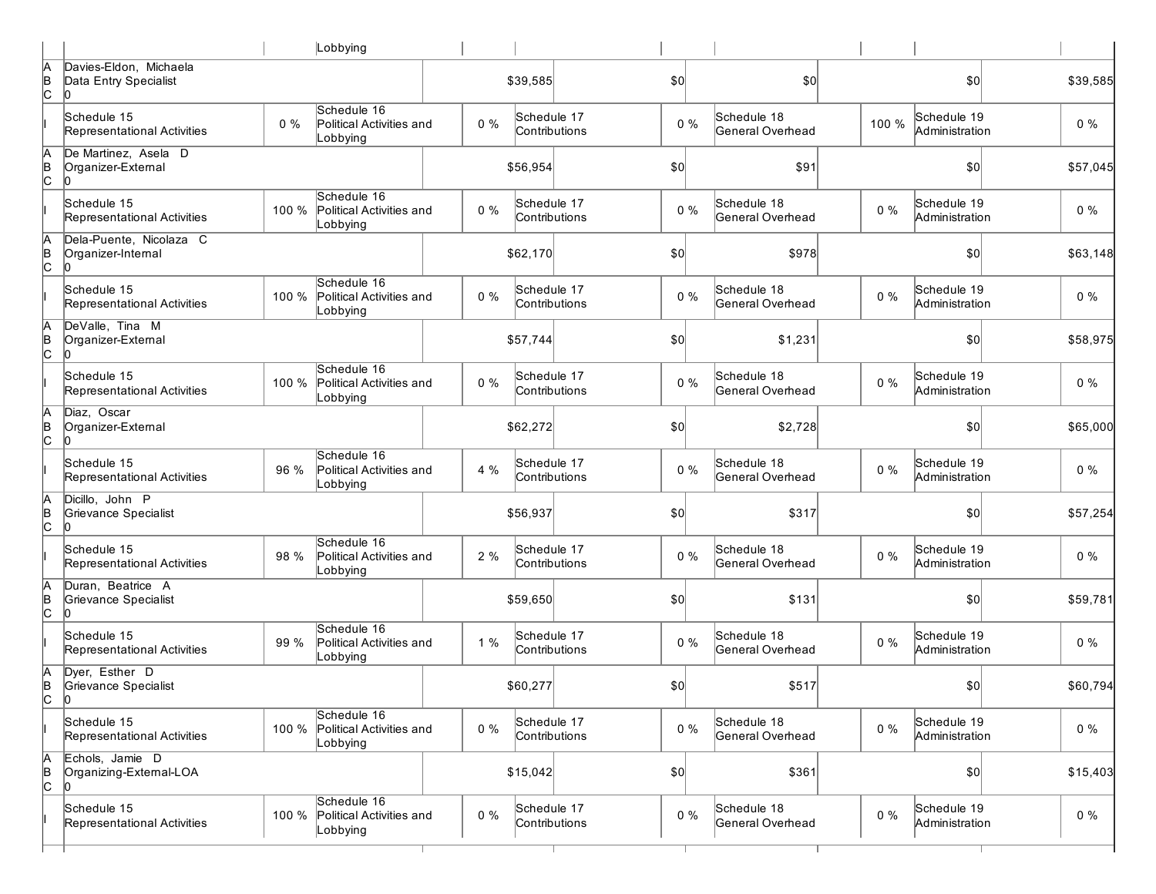|               |                                                       |       | Lobbying                                            |       |                              |                  |                                 |       |                               |          |
|---------------|-------------------------------------------------------|-------|-----------------------------------------------------|-------|------------------------------|------------------|---------------------------------|-------|-------------------------------|----------|
| Ā<br>∣<br>C   | Davies-Eldon, Michaela<br>Data Entry Specialist       |       |                                                     |       | \$39,585                     | \$0              | \$0                             |       | \$0                           | \$39,585 |
|               | Schedule 15<br>Representational Activities            | $0\%$ | Schedule 16<br>Political Activities and<br>Lobbying | $0\%$ | Schedule 17<br>Contributions | $0\%$            | Schedule 18<br>General Overhead | 100 % | Schedule 19<br>Administration | $0\%$    |
| A<br>B<br>C   | De Martinez, Asela D<br>Organizer-External            |       |                                                     |       | \$56,954                     | \$0              | \$91                            |       | \$0                           | \$57,045 |
|               | Schedule 15<br>Representational Activities            | 100 % | Schedule 16<br>Political Activities and<br>Lobbying | $0\%$ | Schedule 17<br>Contributions | $0\%$            | Schedule 18<br>General Overhead | $0\%$ | Schedule 19<br>Administration | $0\%$    |
| A<br>B<br>C   | Dela-Puente, Nicolaza C<br>Organizer-Intemal<br>l0    |       |                                                     |       | \$62,170                     | \$0              | \$978                           |       | \$0                           | \$63,148 |
|               | Schedule 15<br>Representational Activities            | 100 % | Schedule 16<br>Political Activities and<br>Lobbying | $0\%$ | Schedule 17<br>Contributions | $0\%$            | Schedule 18<br>General Overhead | $0\%$ | Schedule 19<br>Administration | $0\%$    |
| A<br>B<br>C   | DeValle, Tina M<br>Organizer-External<br>10           |       |                                                     |       | \$57,744                     | \$0              | \$1,231                         |       | \$0                           | \$58,975 |
|               | Schedule 15<br>Representational Activities            | 100 % | Schedule 16<br>Political Activities and<br>Lobbying | $0\%$ | Schedule 17<br>Contributions | $0\%$            | Schedule 18<br>General Overhead | $0\%$ | Schedule 19<br>Administration | $0\%$    |
| Α<br> в<br> C | Diaz, Oscar<br>Organizer-External<br>10               |       |                                                     |       | \$62,272                     | \$0              | \$2,728                         |       | \$0                           | \$65,000 |
|               | Schedule 15<br>Representational Activities            | 96 %  | Schedule 16<br>Political Activities and<br>Lobbying | 4 %   | Schedule 17<br>Contributions | $0\%$            | Schedule 18<br>General Overhead | $0\%$ | Schedule 19<br>Administration | $0\%$    |
| A<br>B<br>C   | Dicillo, John P<br>Grievance Specialist<br>IO         |       |                                                     |       | \$56,937                     | \$0 <sub>0</sub> | \$317                           |       | \$0                           | \$57,254 |
|               | Schedule 15<br>Representational Activities            | 98 %  | Schedule 16<br>Political Activities and<br>Lobbying | 2 %   | Schedule 17<br>Contributions | $0\%$            | Schedule 18<br>General Overhead | $0\%$ | Schedule 19<br>Administration | $0\%$    |
| A<br>B<br>C   | Duran, Beatrice A<br>Grievance Specialist<br>In       |       |                                                     |       | \$59,650                     | \$0              | \$131                           |       | \$0                           | \$59,781 |
|               | Schedule 15<br>Representational Activities            | 99 %  | Schedule 16<br>Political Activities and<br>Lobbying | 1%    | Schedule 17<br>Contributions | $0\%$            | Schedule 18<br>General Overhead | $0\%$ | Schedule 19<br>Administration | $0\%$    |
| Α<br>Þ<br>C   | Dyer, Esther D<br>Grievance Specialist<br>$ 0\rangle$ |       |                                                     |       | \$60,277                     | \$0              | \$517                           |       | \$0                           | \$60,794 |
|               | Schedule 15<br>Representational Activities            | 100 % | Schedule 16<br>Political Activities and<br>Lobbying | $0\%$ | Schedule 17<br>Contributions | $0\%$            | Schedule 18<br>General Overhead | $0\%$ | Schedule 19<br>Administration | $0\%$    |
| Ā<br> в<br> С | Echols, Jamie D<br>Organizing-External-LOA<br>l0      |       |                                                     |       | \$15,042                     | \$0              | \$361                           |       | \$0]                          | \$15,403 |
|               | Schedule 15<br>Representational Activities            | 100 % | Schedule 16<br>Political Activities and<br>Lobbying | $0\%$ | Schedule 17<br>Contributions | $0\%$            | Schedule 18<br>General Overhead | $0\%$ | Schedule 19<br>Administration | $0\%$    |
|               |                                                       |       |                                                     |       |                              |                  |                                 |       |                               |          |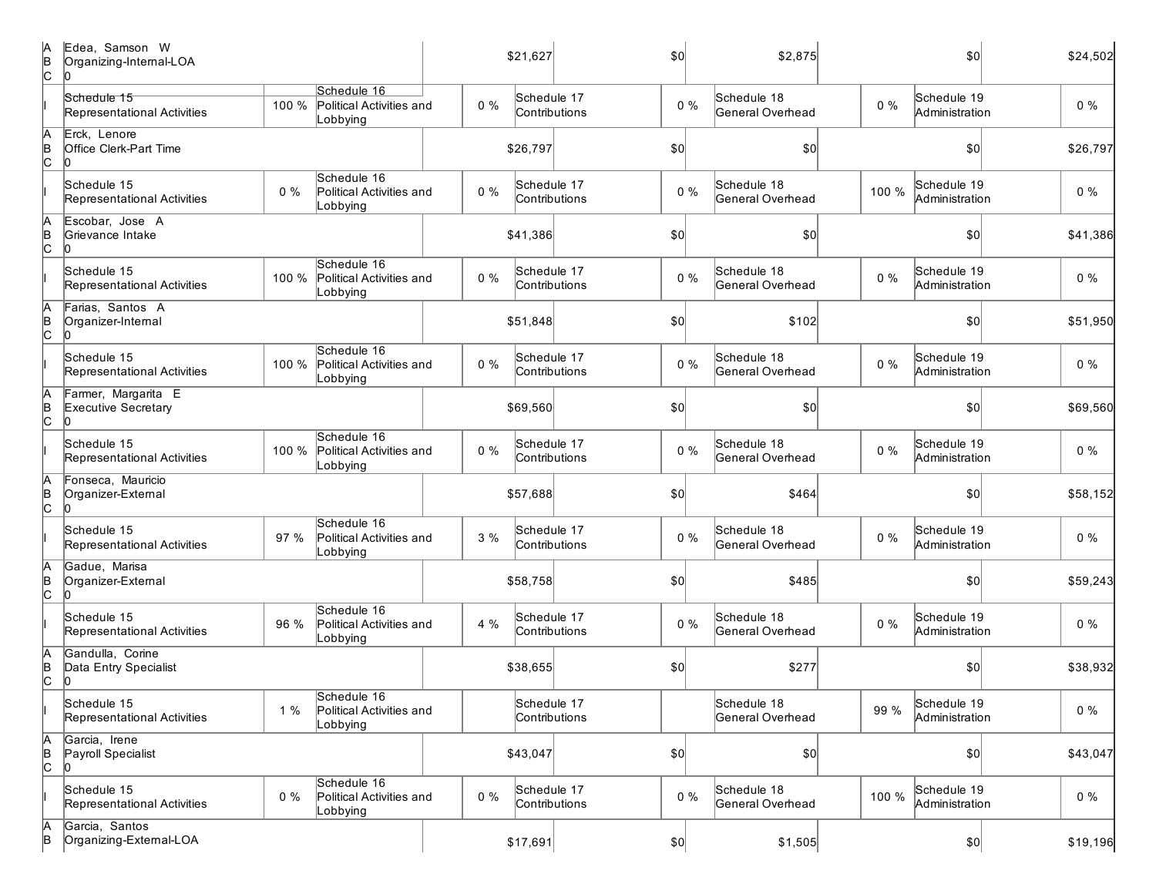| IА<br>B<br>c | Edea, Samson W<br>Organizing-Internal-LOA<br>10     |       |                                                     |       | \$21,627                     | \$0          | \$2,875                         |       | \$0                           | \$24,502 |
|--------------|-----------------------------------------------------|-------|-----------------------------------------------------|-------|------------------------------|--------------|---------------------------------|-------|-------------------------------|----------|
|              | Schedule 15<br>Representational Activities          | 100 % | Schedule 16<br>Political Activities and<br>Lobbying | $0\%$ | Schedule 17<br>Contributions | $0\%$        | Schedule 18<br>General Overhead | $0\%$ | Schedule 19<br>Administration | $0\%$    |
| Ā<br>þ<br>c  | Erck, Lenore<br><b>Office Clerk-Part Time</b><br>10 |       |                                                     |       | \$26,797                     | \$0          | \$0                             |       | \$0                           | \$26,797 |
|              | Schedule 15<br>Representational Activities          | $0\%$ | Schedule 16<br>Political Activities and<br>Lobbying | $0\%$ | Schedule 17<br>Contributions | $0\%$        | Schedule 18<br>General Overhead | 100 % | Schedule 19<br>Administration | $0\%$    |
| A<br>þ<br>c  | Escobar, Jose A<br>Grievance Intake<br>10           |       |                                                     |       | \$41,386                     | \$0          | \$0                             |       | \$0                           | \$41,386 |
|              | Schedule 15<br>Representational Activities          | 100 % | Schedule 16<br>Political Activities and<br>Lobbying | $0\%$ | Schedule 17<br>Contributions | $0\%$        | Schedule 18<br>General Overhead | $0\%$ | Schedule 19<br>Administration | $0\%$    |
| þ.<br>c      | Farias, Santos A<br>Organizer-Internal<br>10        |       |                                                     |       | \$51,848                     | \$0          | \$102                           |       | \$0                           | \$51,950 |
|              | Schedule 15<br>Representational Activities          | 100 % | Schedule 16<br>Political Activities and<br>Lobbying | $0\%$ | Schedule 17<br>Contributions | $0\%$        | Schedule 18<br>General Overhead | $0\%$ | Schedule 19<br>Administration | $0\%$    |
| þ<br>c       | Farmer, Margarita E<br>Executive Secretary          |       |                                                     |       | \$69,560                     | \$0          | \$0                             |       | \$0                           | \$69,560 |
|              | Schedule 15<br>Representational Activities          | 100 % | Schedule 16<br>Political Activities and<br>Lobbying | $0\%$ | Schedule 17<br>Contributions | $0\%$        | Schedule 18<br>General Overhead | $0\%$ | Schedule 19<br>Administration | $0\%$    |
| A<br>B<br>C  | Fonseca, Mauricio<br>Organizer-External<br>10       |       |                                                     |       | \$57,688                     | \$0          | \$464                           |       | \$0                           | \$58,152 |
|              | Schedule 15<br>Representational Activities          | 97 %  | Schedule 16<br>Political Activities and<br>Lobbying | 3%    | Schedule 17<br>Contributions | $0\%$        | Schedule 18<br>General Overhead | $0\%$ | Schedule 19<br>Administration | $0\%$    |
| A<br>B<br>C  | Gadue, Marisa<br>Organizer-External                 |       |                                                     |       | \$58,758                     | \$0          | \$485                           |       | 50                            | \$59,243 |
|              | Schedule 15<br>Representational Activities          | 96 %  | Schedule 16<br>Political Activities and<br>Lobbying | 4 %   | Schedule 17<br>Contributions | $0\%$        | Schedule 18<br>General Overhead | $0\%$ | Schedule 19<br>Administration | $0\%$    |
| B<br>C       | Gandulla, Corine<br>Data Entry Specialist           |       |                                                     |       | \$38,655                     | \$0          | \$277                           |       | \$0                           | \$38,932 |
|              | Schedule 15<br>Representational Activities          | $1\%$ | Schedule 16<br>Political Activities and<br>Lobbying |       | Schedule 17<br>Contributions |              | Schedule 18<br>General Overhead | 99 %  | Schedule 19<br>Administration | $0\%$    |
| A<br>B<br>C  | Garcia, Irene<br>Payroll Specialist<br>lo.          |       |                                                     |       | \$43,047                     | \$0          | $ 10\rangle$                    |       | 50                            | \$43,047 |
|              | Schedule 15<br>Representational Activities          | $0\%$ | Schedule 16<br>Political Activities and<br>Lobbying | $0\%$ | Schedule 17<br>Contributions | $0\%$        | Schedule 18<br>General Overhead | 100 % | Schedule 19<br>Administration | $0\%$    |
| A<br>B       | Garcia, Santos<br>Organizing-External-LOA           |       |                                                     |       | \$17,691                     | $ 10\rangle$ | \$1,505                         |       |                               | \$19,196 |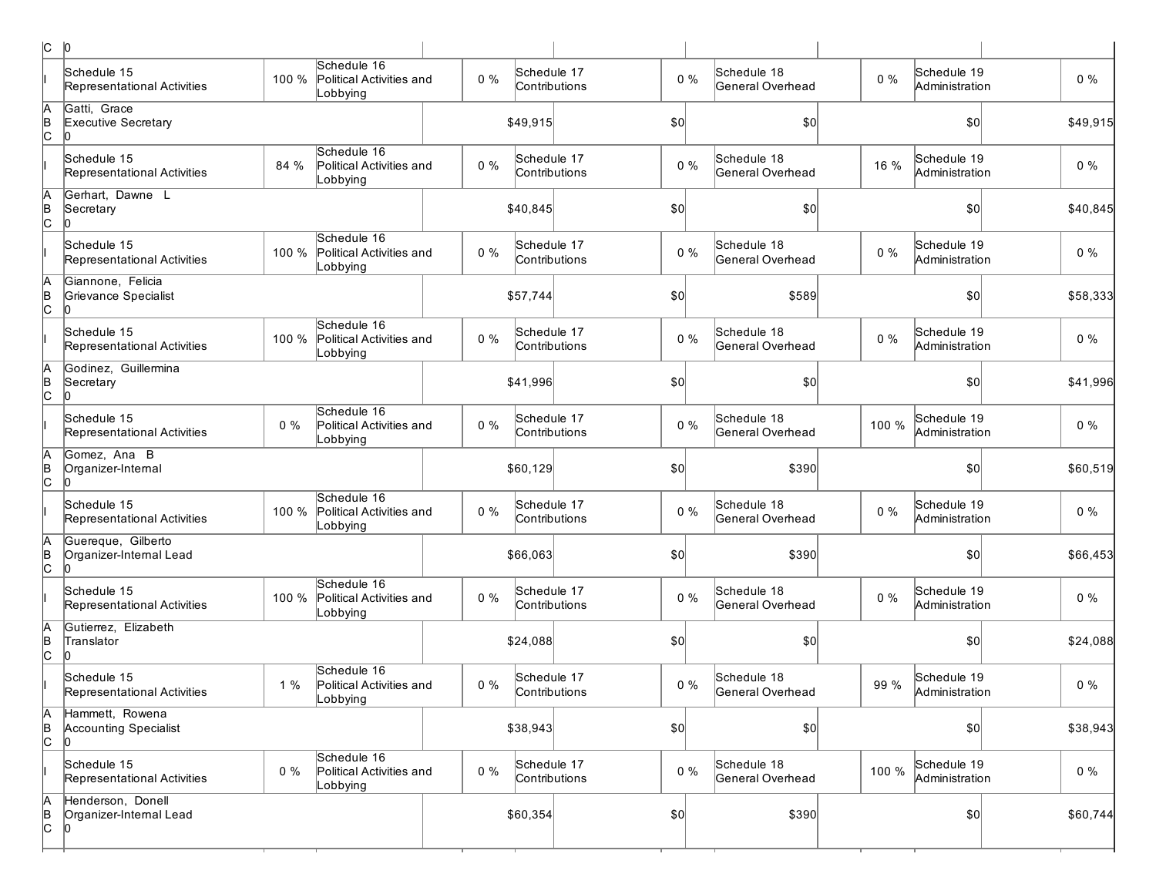| C              | $ 0\rangle$                                           |       |                                                     |       |                              |               |       |                                 |       |                               |          |
|----------------|-------------------------------------------------------|-------|-----------------------------------------------------|-------|------------------------------|---------------|-------|---------------------------------|-------|-------------------------------|----------|
|                | Schedule 15<br>Representational Activities            | 100 % | Schedule 16<br>Political Activities and<br>Lobbying | $0\%$ | Schedule 17<br>Contributions |               | $0\%$ | Schedule 18<br>General Overhead | $0\%$ | Schedule 19<br>Administration | $0\%$    |
| A<br>B<br>C    | Gatti, Grace<br>Executive Secretary<br>10             |       |                                                     |       | \$49,915                     |               | \$0   | \$0                             |       | \$0                           | \$49,915 |
|                | Schedule 15<br>Representational Activities            | 84 %  | Schedule 16<br>Political Activities and<br>Lobbying | $0\%$ | Schedule 17<br>Contributions |               | $0\%$ | Schedule 18<br>General Overhead | 16 %  | Schedule 19<br>Administration | $0\%$    |
| A<br>B<br>C    | Gerhart, Dawne L<br>Secretary<br>10                   |       |                                                     |       | \$40,845                     |               | \$0   | \$0                             |       | \$0                           | \$40,845 |
|                | Schedule 15<br>Representational Activities            | 100 % | Schedule 16<br>Political Activities and<br>Lobbying | $0\%$ | Schedule 17<br>Contributions |               | $0\%$ | Schedule 18<br>General Overhead | $0\%$ | Schedule 19<br>Administration | $0\%$    |
| в<br> С        | Giannone, Felicia<br>Grievance Specialist             |       |                                                     |       | \$57,744                     |               | \$0   | \$589                           |       | \$0                           | \$58,333 |
|                | Schedule 15<br>Representational Activities            | 100 % | Schedule 16<br>Political Activities and<br>Lobbying | $0\%$ | Schedule 17<br>Contributions |               | $0\%$ | Schedule 18<br>General Overhead | $0\%$ | Schedule 19<br>Administration | $0\%$    |
| в<br> С        | Godinez, Guillermina<br>Secretary<br>Ю                |       |                                                     |       | \$41,996                     |               | \$0   | \$0                             |       | \$0                           | \$41,996 |
|                | Schedule 15<br>Representational Activities            | 0%    | Schedule 16<br>Political Activities and<br>Lobbying | $0\%$ | Schedule 17<br>Contributions |               | $0\%$ | Schedule 18<br>General Overhead | 100 % | Schedule 19<br>Administration | $0\%$    |
| в<br> С        | Gomez, Ana B<br>Organizer-Internal<br>IO              |       |                                                     |       | \$60,129                     |               | \$0   | \$390                           |       | \$0                           | \$60,519 |
|                | Schedule 15<br>Representational Activities            | 100 % | Schedule 16<br>Political Activities and<br>Lobbying | $0\%$ | Schedule 17                  | Contributions | $0\%$ | Schedule 18<br>General Overhead | $0\%$ | Schedule 19<br>Administration | $0\%$    |
| $\overline{c}$ | Guereque, Gilberto<br>Organizer-Internal Lead         |       |                                                     |       | \$66,063                     |               | \$0   | \$390                           |       | \$0                           | \$66,453 |
|                | Schedule 15<br>Representational Activities            | 100 % | Schedule 16<br>Political Activities and<br>Lobbying | $0\%$ | Schedule 17<br>Contributions |               | $0\%$ | Schedule 18<br>General Overhead | $0\%$ | Schedule 19<br>Administration | $0\%$    |
| в<br> С        | Gutierrez, Elizabeth<br>Translator<br>lO              |       |                                                     |       | \$24,088                     |               | \$0   | \$0                             |       | \$0                           | \$24,088 |
|                | Schedule 15<br>Representational Activities            | 1%    | Schedule 16<br>Political Activities and<br>Lobbying | $0\%$ | Schedule 17<br>Contributions |               | $0\%$ | Schedule 18<br>General Overhead | 99 %  | Schedule 19<br>Administration | $0\%$    |
| A<br>B<br>C    | Hammett, Rowena<br><b>Accounting Specialist</b><br>10 |       |                                                     |       | \$38,943                     |               | \$0   | $ 10\rangle$                    |       | 50                            | \$38,943 |
|                | Schedule 15<br>Representational Activities            | $0\%$ | Schedule 16<br>Political Activities and<br>Lobbying | $0\%$ | Schedule 17<br>Contributions |               | $0\%$ | Schedule 18<br>General Overhead | 100 % | Schedule 19<br>Administration | $0\%$    |
| A<br>B<br>C    | Henderson, Donell<br>Organizer-Internal Lead<br>10    |       |                                                     |       | \$60,354                     |               | \$0]  | \$390                           |       |                               | \$60,744 |
|                |                                                       |       |                                                     |       |                              |               |       |                                 |       |                               |          |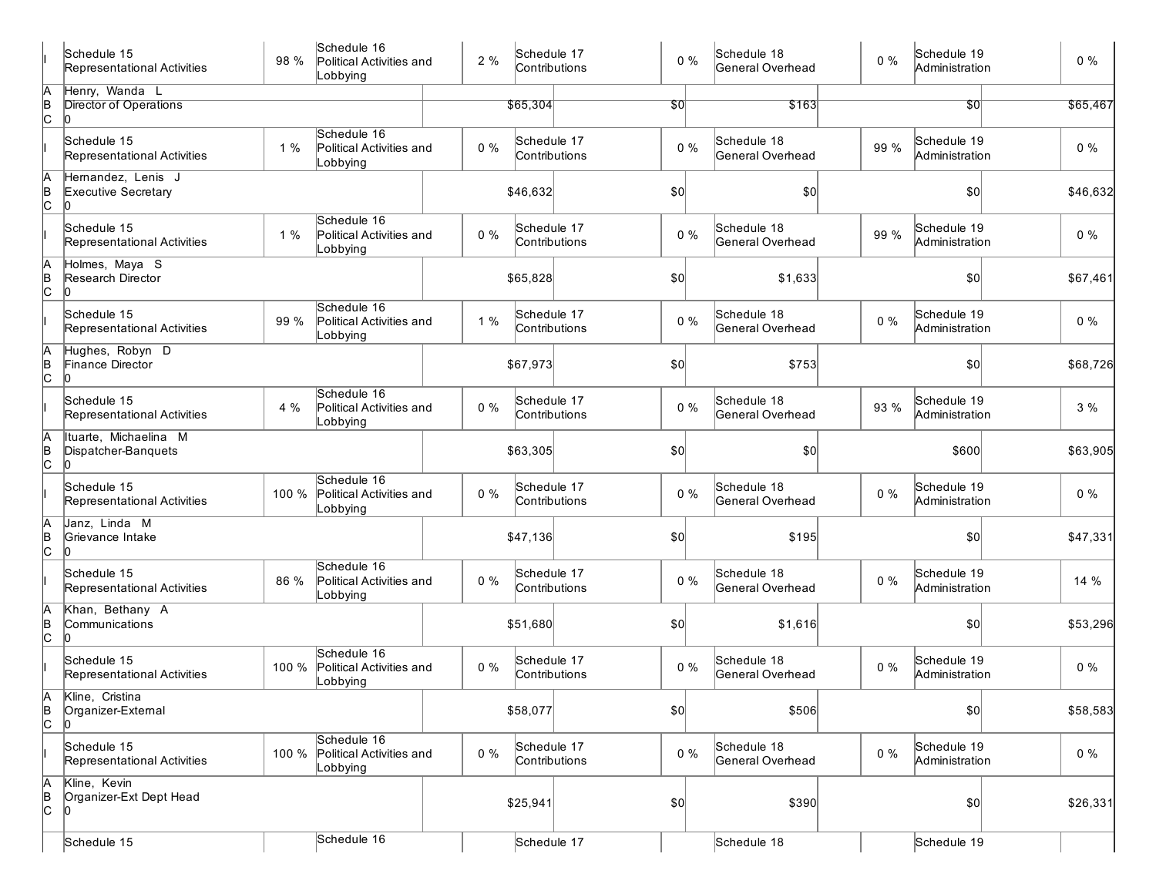|               | Schedule 15<br>Representational Activities     | 98 %  | Schedule 16<br>Political Activities and<br>Lobbying | 2%    | Schedule 17<br>Contributions | $0\%$ | Schedule 18<br>General Overhead | $0\%$ | Schedule 19<br>Administration | 0%       |
|---------------|------------------------------------------------|-------|-----------------------------------------------------|-------|------------------------------|-------|---------------------------------|-------|-------------------------------|----------|
|               | Henry, Wanda L                                 |       |                                                     |       |                              |       |                                 |       |                               |          |
| A<br>B<br>C   | <b>Director of Operations</b>                  |       |                                                     |       | \$65,304                     | 50    | \$163                           |       | \$0                           | \$65,467 |
|               | Schedule 15<br>Representational Activities     | 1%    | Schedule 16<br>Political Activities and<br>Lobbying | $0\%$ | Schedule 17<br>Contributions | $0\%$ | Schedule 18<br>General Overhead | 99 %  | Schedule 19<br>Administration | $0\%$    |
| A<br>B<br>C   | Hernandez, Lenis J<br>Executive Secretary      |       |                                                     |       | \$46,632                     | \$0   | \$0                             |       | \$0                           | \$46,632 |
|               | Schedule 15<br>Representational Activities     | 1%    | Schedule 16<br>Political Activities and<br>Lobbying | $0\%$ | Schedule 17<br>Contributions | $0\%$ | Schedule 18<br>General Overhead | 99 %  | Schedule 19<br>Administration | $0\%$    |
| A<br>B<br>C   | Holmes, Maya S<br>Research Director            |       |                                                     |       | \$65,828                     | \$0   | \$1,633                         |       | \$0                           | \$67,461 |
|               | Schedule 15<br>Representational Activities     | 99 %  | Schedule 16<br>Political Activities and<br>Lobbying | 1%    | Schedule 17<br>Contributions | $0\%$ | Schedule 18<br>General Overhead | $0\%$ | Schedule 19<br>Administration | $0\%$    |
| A<br>B<br>C   | Hughes, Robyn D<br>Finance Director<br>In      |       |                                                     |       | \$67,973                     | \$0   | \$753                           |       | \$0                           | \$68,726 |
|               | Schedule 15<br>Representational Activities     | 4 %   | Schedule 16<br>Political Activities and<br>Lobbying | $0\%$ | Schedule 17<br>Contributions | $0\%$ | Schedule 18<br>General Overhead | 93 %  | Schedule 19<br>Administration | 3%       |
| $\frac{A}{C}$ | Ituarte, Michaelina M<br>Dispatcher-Banquets   |       |                                                     |       | \$63,305                     | \$0   | \$0                             |       | \$600                         | \$63,905 |
|               | Schedule 15<br>Representational Activities     | 100 % | Schedule 16<br>Political Activities and<br>Lobbying | $0\%$ | Schedule 17<br>Contributions | $0\%$ | Schedule 18<br>General Overhead | $0\%$ | Schedule 19<br>Administration | 0%       |
| A<br> в<br> С | Janz, Linda M<br>Grievance Intake              |       |                                                     |       | \$47,136                     | \$0   | \$195                           |       | \$0                           | \$47,331 |
|               | Schedule 15<br>Representational Activities     | 86 %  | Schedule 16<br>Political Activities and<br>Lobbying | $0\%$ | Schedule 17<br>Contributions | $0\%$ | Schedule 18<br>General Overhead | $0\%$ | Schedule 19<br>Administration | 14 %     |
| A<br>B<br>C   | Khan, Bethany A<br>Communications              |       |                                                     |       | \$51,680                     | \$0   | \$1,616                         |       | \$0                           | \$53,296 |
|               | Schedule 15<br>Representational Activities     | 100 % | Schedule 16<br>Political Activities and<br>Lobbying | $0\%$ | Schedule 17<br>Contributions | $0\%$ | Schedule 18<br>General Overhead | 0%    | Schedule 19<br>Administration | $0\%$    |
| B<br>C        | Kline, Cristina<br>Organizer-External<br>l0    |       |                                                     |       | \$58,077                     | \$0   | \$506                           |       | \$0]                          | \$58,583 |
|               | Schedule 15<br>Representational Activities     | 100 % | Schedule 16<br>Political Activities and<br>Lobbying | $0\%$ | Schedule 17<br>Contributions | $0\%$ | Schedule 18<br>General Overhead | $0\%$ | Schedule 19<br>Administration | $0\%$    |
| A<br>B<br>C   | Kline, Kevin<br>Organizer-Ext Dept Head<br>lo. |       |                                                     |       | \$25,941                     | \$0]  | \$390                           |       | \$0                           | \$26,331 |
|               | Schedule 15                                    |       | Schedule 16                                         |       | Schedule 17                  |       | Schedule 18                     |       | Schedule 19                   |          |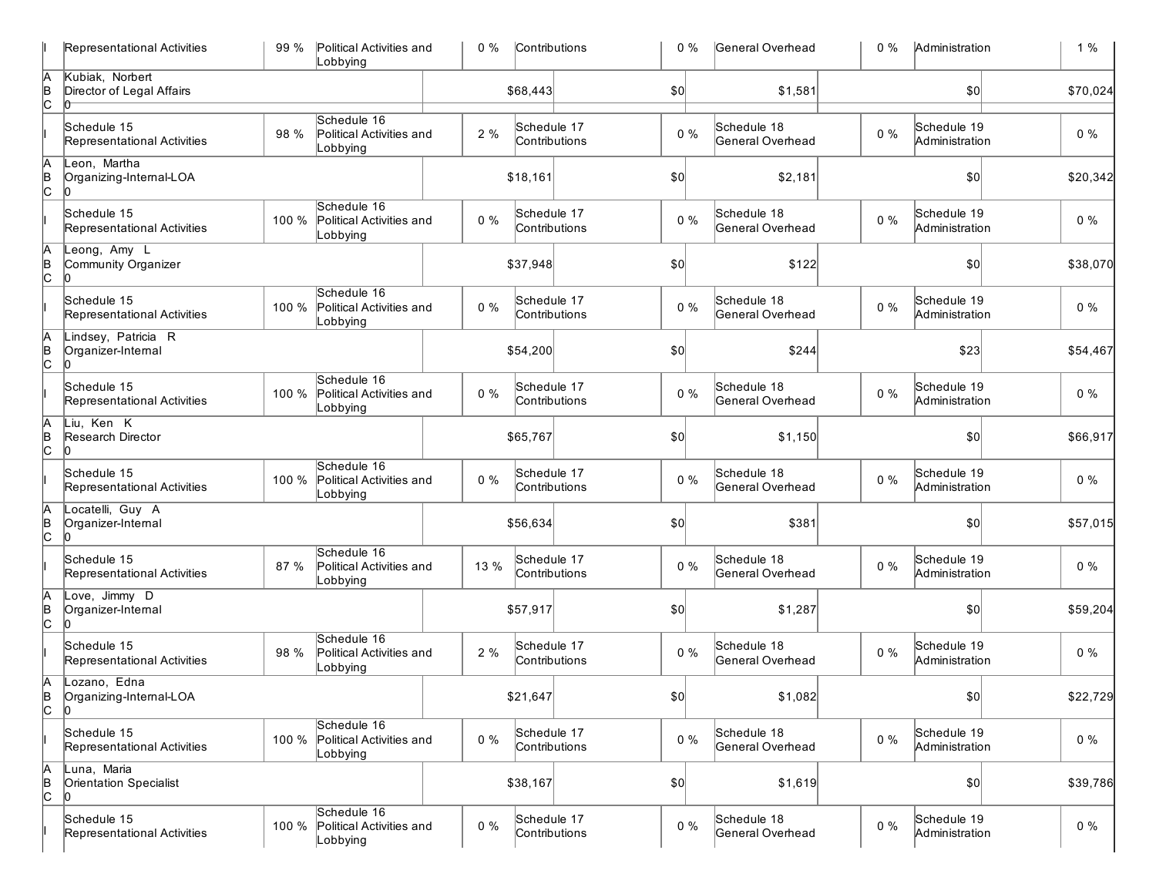|                 | Representational Activities                      | 99 %  | Political Activities and<br>Lobbying                | $0\%$ | Contributions                | 0%    | General Overhead                | $0\%$ | Administration                | $1\%$    |
|-----------------|--------------------------------------------------|-------|-----------------------------------------------------|-------|------------------------------|-------|---------------------------------|-------|-------------------------------|----------|
| A<br>B<br>C     | Kubiak, Norbert<br>Director of Legal Affairs     |       |                                                     |       | \$68,443                     | \$0   | \$1,581                         |       | \$0                           | \$70,024 |
|                 | Schedule 15<br>Representational Activities       | 98 %  | Schedule 16<br>Political Activities and<br>_obbying | 2%    | Schedule 17<br>Contributions | $0\%$ | Schedule 18<br>General Overhead | $0\%$ | Schedule 19<br>Administration | $0\%$    |
| A<br>B<br>C     | Leon, Martha<br>Organizing-Internal-LOA          |       |                                                     |       | \$18,161                     | \$0   | \$2,181                         |       | 0                             | \$20,342 |
|                 | Schedule 15<br>Representational Activities       | 100 % | Schedule 16<br>Political Activities and<br>Lobbying | $0\%$ | Schedule 17<br>Contributions | $0\%$ | Schedule 18<br>General Overhead | $0\%$ | Schedule 19<br>Administration | $0\%$    |
| $\overline{AB}$ | Leong, Amy L<br>Community Organizer              |       |                                                     |       | \$37,948                     | \$0   | \$122                           |       | \$0                           | \$38,070 |
|                 | Schedule 15<br>Representational Activities       | 100 % | Schedule 16<br>Political Activities and<br>Lobbying | $0\%$ | Schedule 17<br>Contributions | $0\%$ | Schedule 18<br>General Overhead | $0\%$ | Schedule 19<br>Administration | $0\%$    |
| A<br>B<br>C     | Lindsey, Patricia R<br>Organizer-Internal<br>ln. |       |                                                     |       | \$54,200                     | \$0   | \$244                           |       | \$23                          | \$54,467 |
|                 | Schedule 15<br>Representational Activities       | 100 % | Schedule 16<br>Political Activities and<br>Lobbying | $0\%$ | Schedule 17<br>Contributions | $0\%$ | Schedule 18<br>General Overhead | $0\%$ | Schedule 19<br>Administration | $0\%$    |
| A<br>B<br>C     | Liu, Ken K<br>Research Director<br>lo.           |       |                                                     |       | \$65,767                     | \$0   | \$1,150                         |       | \$0                           | \$66,917 |
|                 | Schedule 15<br>Representational Activities       | 100 % | Schedule 16<br>Political Activities and<br>Lobbying | $0\%$ | Schedule 17<br>Contributions | $0\%$ | Schedule 18<br>General Overhead | $0\%$ | Schedule 19<br>Administration | $0\%$    |
| A<br>B<br>C     | Locatelli, Guy A<br>Organizer-Internal<br>lo.    |       |                                                     |       | \$56,634                     | \$0   | \$381                           |       | \$0                           | \$57,015 |
|                 | Schedule 15<br>Representational Activities       | 87 %  | Schedule 16<br>Political Activities and<br>Lobbying | 13 %  | Schedule 17<br>Contributions | $0\%$ | Schedule 18<br>General Overhead | $0\%$ | Schedule 19<br>Administration | $0\%$    |
| $\overline{AB}$ | Love, Jimmy D<br>Organizer-Internal              |       |                                                     |       | \$57,917                     | \$0   | \$1,287                         |       | \$0                           | \$59,204 |
|                 | Schedule 15<br>Representational Activities       | 98 %  | Schedule 16<br>Political Activities and<br>Lobbying | 2%    | Schedule 17<br>Contributions | $0\%$ | Schedule 18<br>General Overhead | $0\%$ | Schedule 19<br>Administration | $0\%$    |
| Α<br>В<br>С     | Lozano, Edna<br>Organizing-Internal-LOA<br>10    |       |                                                     |       | \$21,647                     | \$0   | \$1,082                         |       | \$0                           | \$22,729 |
|                 | Schedule 15<br>Representational Activities       | 100 % | Schedule 16<br>Political Activities and<br>obbying_ | $0\%$ | Schedule 17<br>Contributions | $0\%$ | Schedule 18<br>General Overhead | $0\%$ | Schedule 19<br>Administration | $0\%$    |
| A<br>B<br>C     | Luna, Maria<br>Orientation Specialist<br>lO      |       |                                                     |       | \$38,167                     | \$0   | \$1,619                         |       | $ 10\rangle$                  | \$39,786 |
|                 | Schedule 15<br>Representational Activities       | 100 % | Schedule 16<br>Political Activities and<br>Lobbying | 0%    | Schedule 17<br>Contributions | $0\%$ | Schedule 18<br>General Overhead | $0\%$ | Schedule 19<br>Administration | $0\%$    |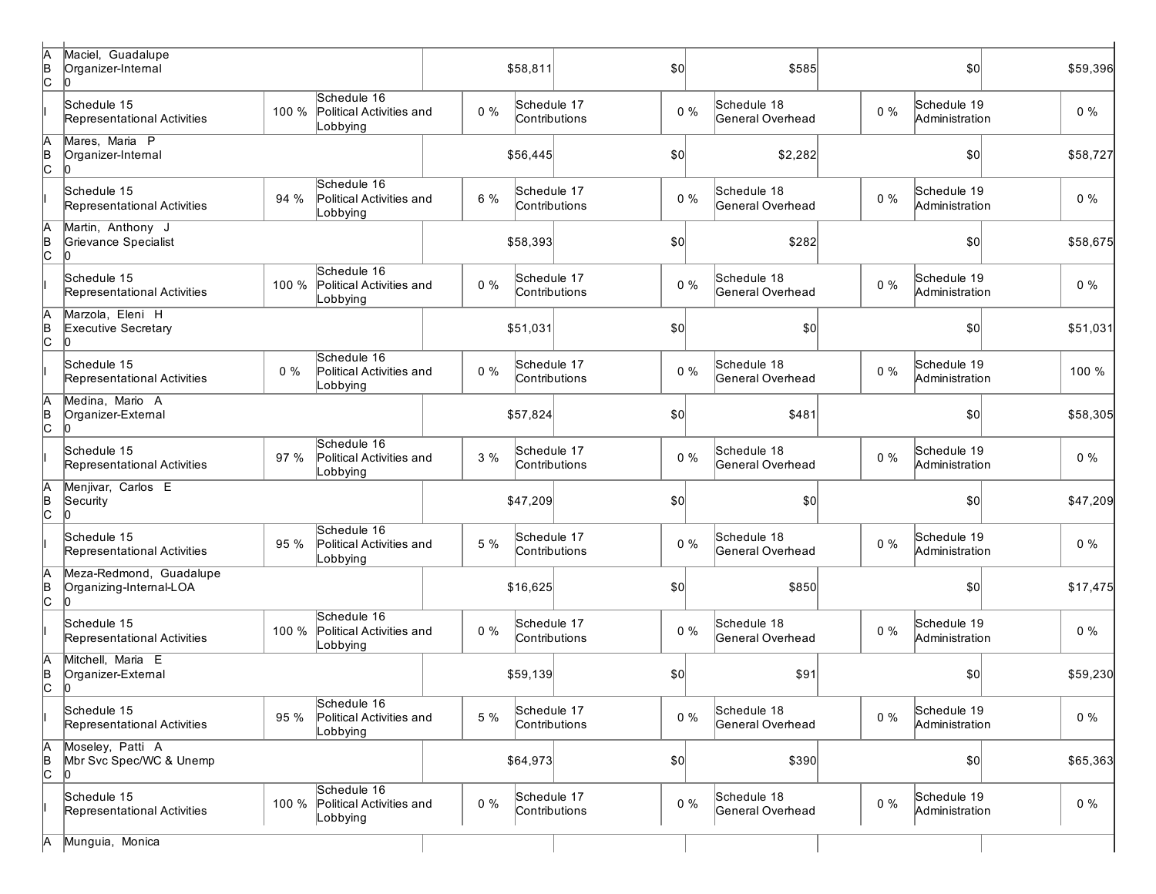| þ<br> в<br> C     | Maciel, Guadalupe<br>Organizer-Internal            |                                                              | \$58,811 | \$0                          | \$585                                    | \$0                                    | \$59,396 |
|-------------------|----------------------------------------------------|--------------------------------------------------------------|----------|------------------------------|------------------------------------------|----------------------------------------|----------|
|                   | Schedule 15<br>Representational Activities         | Schedule 16<br>100 %<br>Political Activities and<br>Lobbying | $0\%$    | Schedule 17<br>Contributions | Schedule 18<br>$0\%$<br>General Overhead | Schedule 19<br>$0\%$<br>Administration | $0\%$    |
| h<br> в<br> С     | Mares, Maria P<br>Organizer-Intemal                |                                                              | \$56,445 | \$0                          | \$2,282                                  | \$0                                    | \$58,727 |
|                   | Schedule 15<br>Representational Activities         | Schedule 16<br>94 %<br>Political Activities and<br>Lobbying  | 6 %      | Schedule 17<br>Contributions | Schedule 18<br>$0\%$<br>General Overhead | Schedule 19<br>$0\%$<br>Administration | $0\%$    |
| A<br>B<br>C       | Martin, Anthony J<br>Grievance Specialist<br>ľn    |                                                              | \$58,393 | \$0                          | \$282                                    | \$0                                    | \$58,675 |
|                   | Schedule 15<br>Representational Activities         | Schedule 16<br>100 %<br>Political Activities and<br>Lobbying | $0\%$    | Schedule 17<br>Contributions | Schedule 18<br>$0\%$<br>General Overhead | Schedule 19<br>$0\%$<br>Administration | $0\%$    |
| A<br>B<br>C       | Marzola, Eleni H<br>Executive Secretary<br>10      |                                                              | \$51,031 | \$0                          | \$0                                      | \$0                                    | \$51,031 |
|                   | Schedule 15<br>Representational Activities         | Schedule 16<br>$0\%$<br>Political Activities and<br>_obbying | $0\%$    | Schedule 17<br>Contributions | Schedule 18<br>$0\%$<br>General Overhead | Schedule 19<br>$0\%$<br>Administration | 100 %    |
| A<br>B<br>C       | Medina. Mario A<br>Organizer-External<br>10        |                                                              | \$57,824 | \$0                          | \$481                                    | \$0                                    | \$58,305 |
|                   | Schedule 15<br>Representational Activities         | Schedule 16<br>97 %<br>Political Activities and<br>_obbying  | 3%       | Schedule 17<br>Contributions | Schedule 18<br>$0\%$<br>General Overhead | Schedule 19<br>$0\%$<br>Administration | $0\%$    |
| A<br>B<br>C       | Menjivar, Carlos E<br>Security<br>ľn               |                                                              | \$47,209 | \$0                          | \$0                                      | \$0                                    | \$47,209 |
|                   | Schedule 15<br>Representational Activities         | Schedule 16<br>95 %<br>Political Activities and<br>Lobbying  | 5 %      | Schedule 17<br>Contributions | Schedule 18<br>$0\%$<br>General Overhead | Schedule 19<br>$0\%$<br>Administration | $0\%$    |
| $A$<br>$B$<br>$C$ | Meza-Redmond, Guadalupe<br>Organizing-Internal-LOA |                                                              | \$16,625 | \$0                          | \$850                                    | \$0                                    | \$17,475 |
|                   | Schedule 15<br>Representational Activities         | Schedule 16<br>100 %<br>Political Activities and<br>_obbying | $0\%$    | Schedule 17<br>Contributions | Schedule 18<br>$0\%$<br>General Overhead | Schedule 19<br>$0\%$<br>Administration | $0\%$    |
| A<br>B<br>C       | Mitchell, Maria E<br>Organizer-External<br>10      |                                                              | \$59,139 | \$0                          | \$91                                     | \$0                                    | \$59,230 |
|                   | Schedule 15<br>Representational Activities         | Schedule 16<br>95 %<br>Political Activities and<br>Lobbying  | 5 %      | Schedule 17<br>Contributions | Schedule 18<br>$0\%$<br>General Overhead | Schedule 19<br>$0\%$<br>Administration | $0\%$    |
| A<br>B<br>C       | Moseley, Patti A<br>Mbr Svc Spec/WC & Unemp<br>10  |                                                              | \$64,973 | \$0                          | \$390                                    | $ 10\rangle$                           | \$65,363 |
|                   | Schedule 15<br>Representational Activities         | Schedule 16<br>100 % Political Activities and<br>Lobbying    | $0\%$    | Schedule 17<br>Contributions | Schedule 18<br>$0\%$<br>General Overhead | Schedule 19<br>$0\%$<br>Administration | $0\%$    |
| Α                 | Munguia, Monica                                    |                                                              |          |                              |                                          |                                        |          |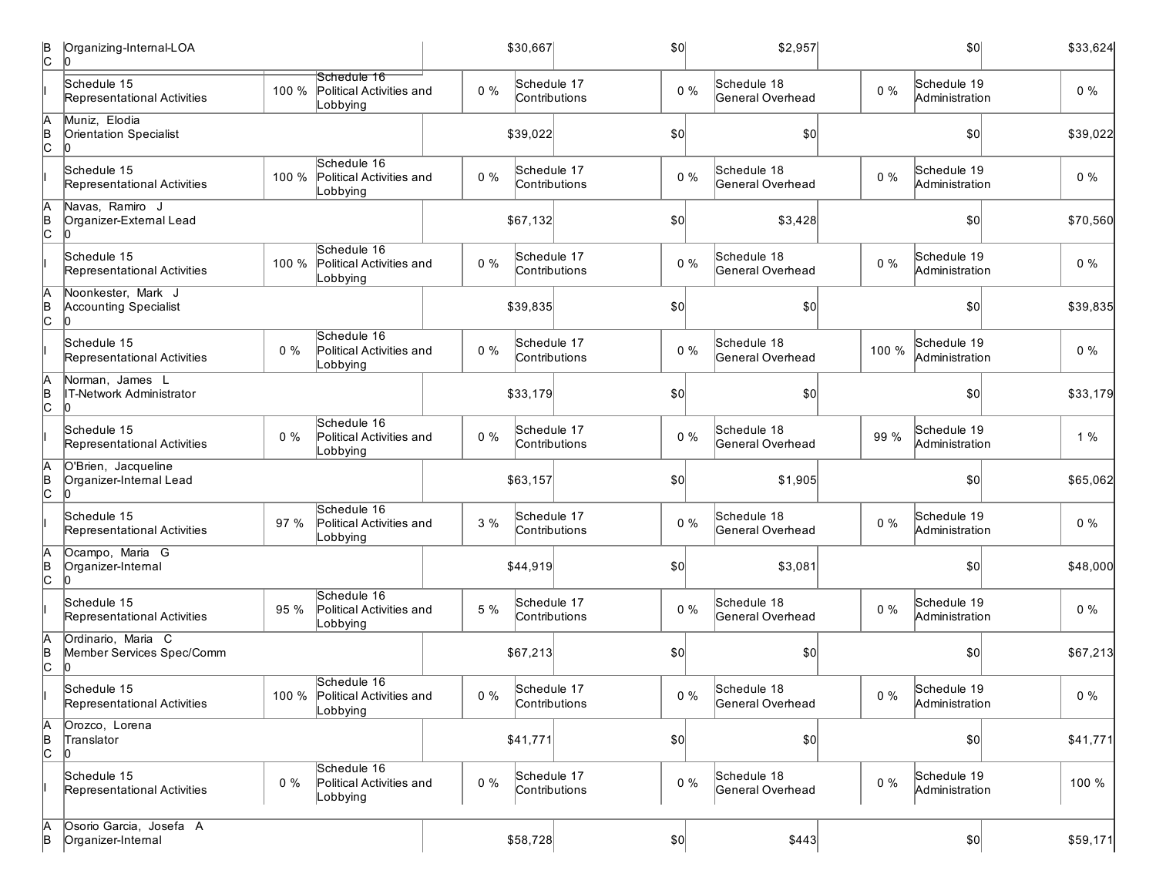| B<br>c          | Organizing-Internal-LOA                              |       |                                                           |       | \$30,667                     | \$0   | \$2,957                         |       | \$0                           | \$33,624 |
|-----------------|------------------------------------------------------|-------|-----------------------------------------------------------|-------|------------------------------|-------|---------------------------------|-------|-------------------------------|----------|
|                 | Schedule 15<br>Representational Activities           | 100 % | Schedule 16<br>Political Activities and<br>Lobbying       | $0\%$ | Schedule 17<br>Contributions | $0\%$ | Schedule 18<br>General Overhead | $0\%$ | Schedule 19<br>Administration | $0\%$    |
| A<br> в<br> C   | Muniz, Elodia<br>Orientation Specialist              |       |                                                           |       | \$39,022                     | \$0]  | \$0                             |       | \$0                           | \$39,022 |
|                 | Schedule 15<br>Representational Activities           | 100 % | Schedule 16<br>Political Activities and<br>Lobbying       | $0\%$ | Schedule 17<br>Contributions | $0\%$ | Schedule 18<br>General Overhead | $0\%$ | Schedule 19<br>Administration | $0\%$    |
| A<br> в<br> С   | Navas, Ramiro J<br>Organizer-External Lead           |       |                                                           |       | \$67,132                     | \$0]  | \$3,428                         |       | \$0                           | \$70,560 |
|                 | Schedule 15<br>Representational Activities           | 100 % | Schedule 16<br>Political Activities and<br>Lobbying       | $0\%$ | Schedule 17<br>Contributions | $0\%$ | Schedule 18<br>General Overhead | $0\%$ | Schedule 19<br>Administration | $0\%$    |
| A<br>B<br>C     | Noonkester, Mark J<br><b>Accounting Specialist</b>   |       |                                                           |       | \$39,835                     | \$0   | \$0                             |       | 50                            | \$39,835 |
|                 | Schedule 15<br>Representational Activities           | $0\%$ | Schedule 16<br>Political Activities and<br>Lobbying       | $0\%$ | Schedule 17<br>Contributions | $0\%$ | Schedule 18<br>General Overhead | 100 % | Schedule 19<br>Administration | $0\%$    |
| A<br> в<br> C   | Norman, James L<br><b>IT-Network Administrator</b>   |       |                                                           |       | \$33,179                     | \$0   | \$0]                            |       | \$0                           | \$33,179 |
|                 | Schedule 15<br>Representational Activities           | $0\%$ | Schedule 16<br>Political Activities and<br>Lobbying       | $0\%$ | Schedule 17<br>Contributions | $0\%$ | Schedule 18<br>General Overhead | 99 %  | Schedule 19<br>Administration | $1\%$    |
| A<br>B<br>C     | O'Brien, Jacqueline<br>Organizer-Internal Lead<br>l0 |       |                                                           |       | \$63,157                     | \$0   | \$1,905                         |       | \$0                           | \$65,062 |
|                 | Schedule 15<br>Representational Activities           | 97 %  | Schedule 16<br>Political Activities and<br>Lobbying       | 3%    | Schedule 17<br>Contributions | $0\%$ | Schedule 18<br>General Overhead | $0\%$ | Schedule 19<br>Administration | $0\%$    |
| A<br>B<br>C     | Ocampo, Maria G<br>Organizer-Internal                |       |                                                           |       | \$44,919                     | \$0   | \$3,081                         |       | \$0                           | \$48,000 |
|                 | Schedule 15<br>Representational Activities           | 95 %  | Schedule 16<br>Political Activities and<br>Lobbying       | 5 %   | Schedule 17<br>Contributions | $0\%$ | Schedule 18<br>General Overhead | $0\%$ | Schedule 19<br>Administration | $0\%$    |
| A<br>B<br>C     | Ordinario, Maria C<br>Member Services Spec/Comm      |       |                                                           |       | \$67,213                     | \$0   | \$0                             |       | \$0                           | \$67,213 |
|                 | Schedule 15<br>Representational Activities           |       | Schedule 16<br>100 % Political Activities and<br>Lobbying | $0\%$ | Schedule 17<br>Contributions | $0\%$ | Schedule 18<br>General Overhead | $0\%$ | Schedule 19<br>Administration | $0\%$    |
| $\overline{AB}$ | Orozco, Lorena<br>Translator                         |       |                                                           |       | \$41,771                     | \$0]  | \$0                             |       | \$0                           | \$41,771 |
|                 | Schedule 15<br>Representational Activities           | $0\%$ | Schedule 16<br>Political Activities and<br>Lobbying       | $0\%$ | Schedule 17<br>Contributions | $0\%$ | Schedule 18<br>General Overhead | $0\%$ | Schedule 19<br>Administration | 100 %    |
| A<br>B          | Osorio Garcia, Josefa A<br>Organizer-Internal        |       |                                                           |       | \$58,728                     | \$0]  | \$443                           |       | $ 10\rangle$                  | \$59,171 |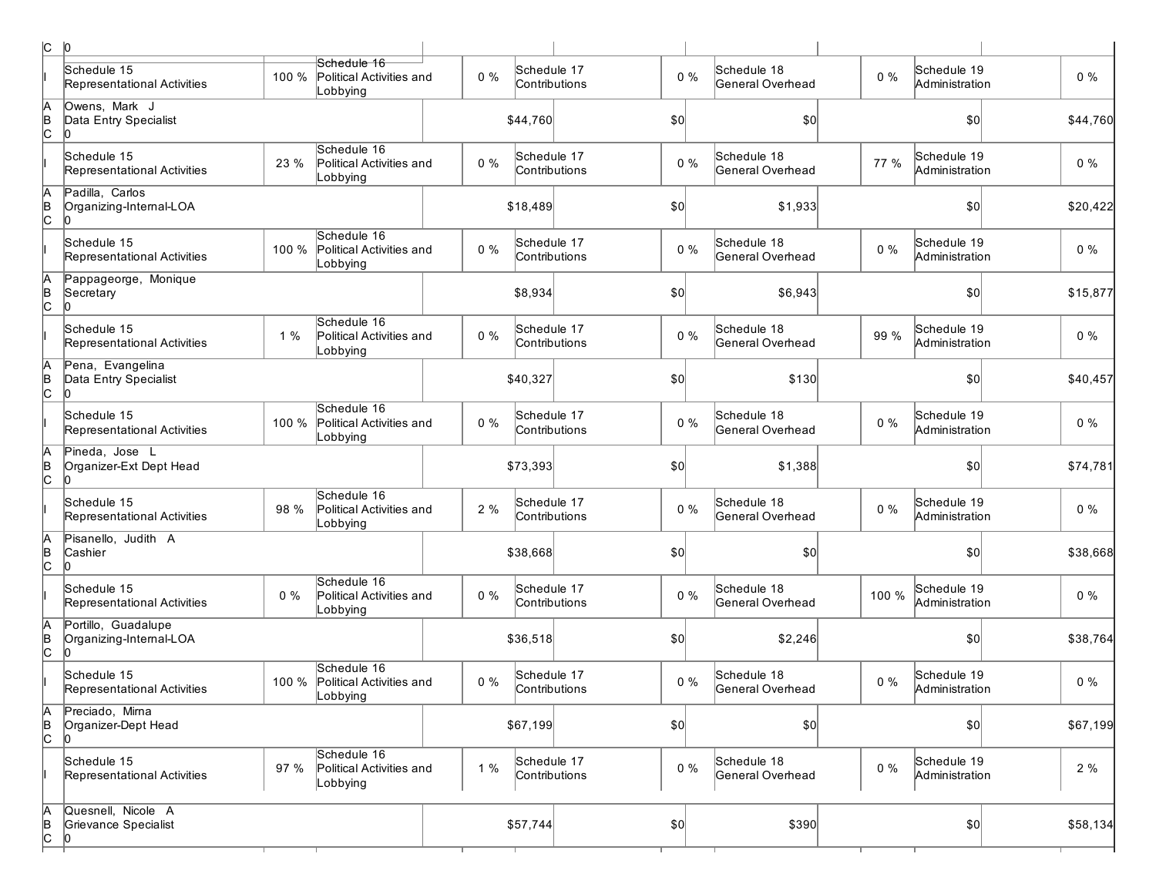|                    | $ C $ $ 0 $                                          |       |                                                     |       |                              |       |                                 |       |                               |          |
|--------------------|------------------------------------------------------|-------|-----------------------------------------------------|-------|------------------------------|-------|---------------------------------|-------|-------------------------------|----------|
|                    | Schedule 15<br>Representational Activities           | 100 % | Schedule 16<br>Political Activities and<br>Lobbying | $0\%$ | Schedule 17<br>Contributions | $0\%$ | Schedule 18<br>General Overhead | $0\%$ | Schedule 19<br>Administration | $0\%$    |
| A<br>$\frac{1}{2}$ | Owens, Mark J<br>Data Entry Specialist               |       |                                                     |       | \$44,760                     | \$0   | \$0                             |       | \$0                           | \$44,760 |
|                    | Schedule 15<br>Representational Activities           | 23 %  | Schedule 16<br>Political Activities and<br>_obbying | $0\%$ | Schedule 17<br>Contributions | $0\%$ | Schedule 18<br>General Overhead | 77 %  | Schedule 19<br>Administration | $0\%$    |
| A<br> B<br> C      | Padilla, Carlos<br>Organizing-Internal-LOA           |       |                                                     |       | \$18,489                     | \$0   | \$1,933                         |       | \$0                           | \$20,422 |
|                    | Schedule 15<br>Representational Activities           | 100 % | Schedule 16<br>Political Activities and<br>Lobbying | $0\%$ | Schedule 17<br>Contributions | $0\%$ | Schedule 18<br>General Overhead | $0\%$ | Schedule 19<br>Administration | $0\%$    |
| h<br> в<br> C      | Pappageorge, Monique<br>Secretary                    |       |                                                     |       | \$8,934                      | \$0   | \$6,943                         |       | \$0                           | \$15,877 |
|                    | Schedule 15<br>Representational Activities           | 1%    | Schedule 16<br>Political Activities and<br>Lobbying | $0\%$ | Schedule 17<br>Contributions | $0\%$ | Schedule 18<br>General Overhead | 99 %  | Schedule 19<br>Administration | $0\%$    |
| в<br> С            | Pena, Evangelina<br>Data Entry Specialist            |       |                                                     |       | \$40,327                     | \$0   | \$130                           |       | \$0                           | \$40,457 |
|                    | Schedule 15<br>Representational Activities           | 100 % | Schedule 16<br>Political Activities and<br>Lobbying | $0\%$ | Schedule 17<br>Contributions | $0\%$ | Schedule 18<br>General Overhead | $0\%$ | Schedule 19<br>Administration | $0\%$    |
| h<br> B<br> C      | Pineda, Jose L<br>Organizer-Ext Dept Head<br>ln.     |       |                                                     |       | \$73,393                     | \$0   | \$1,388                         |       | \$0                           | \$74,781 |
|                    | Schedule 15<br>Representational Activities           | 98 %  | Schedule 16<br>Political Activities and<br>Lobbying | 2%    | Schedule 17<br>Contributions | $0\%$ | Schedule 18<br>General Overhead | $0\%$ | Schedule 19<br>Administration | $0\%$    |
| A<br>B<br>C        | Pisanello, Judith A<br>Cashier<br>lo.                |       |                                                     |       | \$38,668                     | \$0   | \$0                             |       | \$0                           | \$38,668 |
|                    | Schedule 15<br>Representational Activities           | $0\%$ | Schedule 16<br>Political Activities and<br>Lobbying | $0\%$ | Schedule 17<br>Contributions | $0\%$ | Schedule 18<br>General Overhead | 100 % | Schedule 19<br>Administration | $0\%$    |
| A<br>B<br>C        | Portillo, Guadalupe<br>Organizing-Internal-LOA<br>In |       |                                                     |       | \$36,518                     | \$0   | \$2,246                         |       | \$0                           | \$38,764 |
|                    | Schedule 15<br>Representational Activities           | 100 % | Schedule 16<br>Political Activities and<br>Lobbying | $0\%$ | Schedule 17<br>Contributions | $0\%$ | Schedule 18<br>General Overhead | $0\%$ | Schedule 19<br>Administration | $0\%$    |
| A<br>B<br>C        | Preciado, Mirna<br>Organizer-Dept Head               |       |                                                     |       | \$67,199                     | \$0   | \$0                             |       | \$0                           | \$67,199 |
|                    | Schedule 15<br>Representational Activities           | 97 %  | Schedule 16<br>Political Activities and<br>Lobbying | 1%    | Schedule 17<br>Contributions | $0\%$ | Schedule 18<br>General Overhead | $0\%$ | Schedule 19<br>Administration | 2%       |
| A<br>B<br>C        | Quesnell, Nicole A<br>Grievance Specialist           |       |                                                     |       | \$57,744                     | 50    | \$390                           |       | \$0]                          | \$58,134 |
|                    |                                                      |       |                                                     |       |                              |       |                                 |       |                               |          |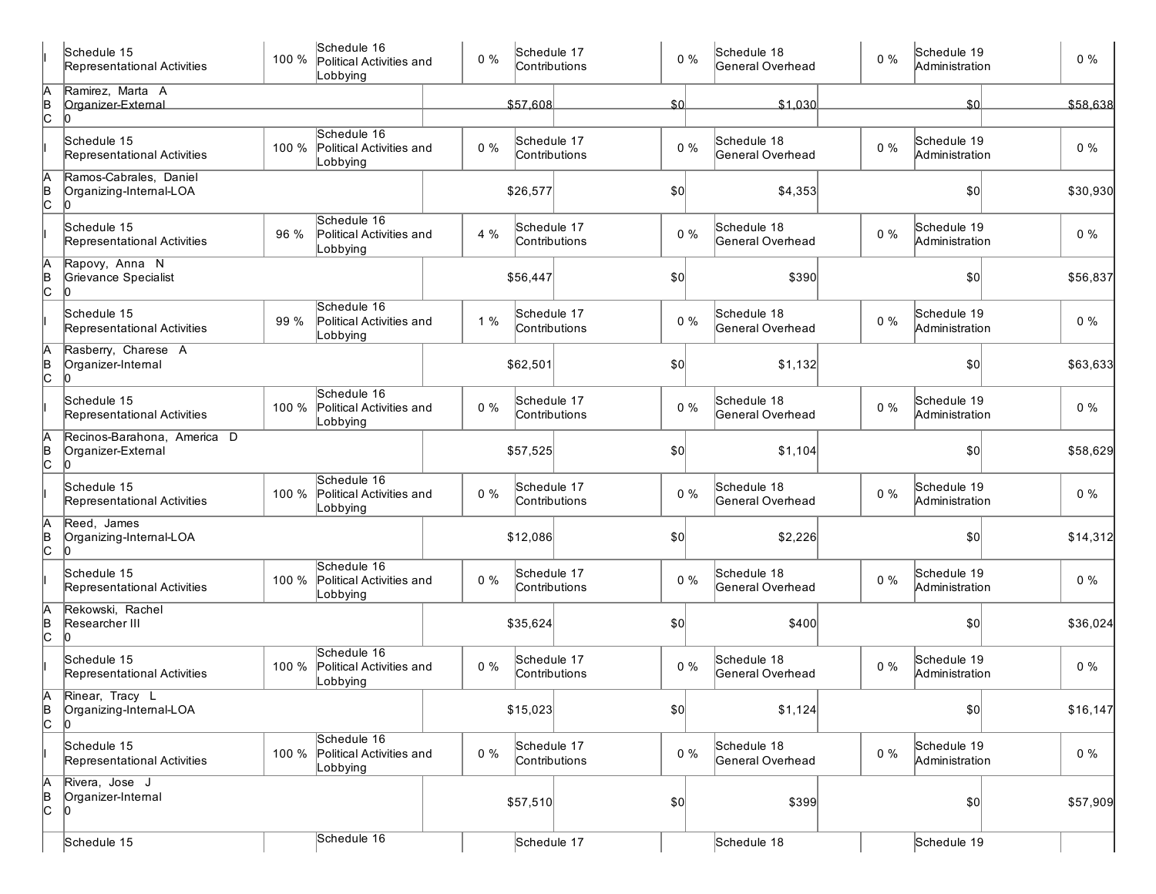|                | Schedule 15<br>Representational Activities        | 100 % | Schedule 16<br>Political Activities and<br>Lobbying | $0\%$ | Schedule 17<br>Contributions | $0\%$           | Schedule 18<br>General Overhead | $0\%$ | Schedule 19<br>Administration | 0%        |
|----------------|---------------------------------------------------|-------|-----------------------------------------------------|-------|------------------------------|-----------------|---------------------------------|-------|-------------------------------|-----------|
| A<br>B<br>C    | Ramirez, Marta A<br>Organizer-External            |       |                                                     |       | \$57,608                     | SO <sub>o</sub> | \$1,030                         |       | \$0                           | \$58,638  |
|                | l0<br>Schedule 15<br>Representational Activities  | 100 % | Schedule 16<br>Political Activities and<br>Lobbying | $0\%$ | Schedule 17<br>Contributions | $0\%$           | Schedule 18<br>General Overhead | $0\%$ | Schedule 19<br>Administration | $0\%$     |
| A<br>B<br>C    | Ramos-Cabrales, Daniel<br>Organizing-Internal-LOA |       |                                                     |       | \$26,577                     | \$0             | \$4,353                         |       | \$0                           | \$30,930  |
|                | Schedule 15<br>Representational Activities        | 96 %  | Schedule 16<br>Political Activities and<br>Lobbying | 4 %   | Schedule 17<br>Contributions | $0\%$           | Schedule 18<br>General Overhead | $0\%$ | Schedule 19<br>Administration | $0\%$     |
| A<br>B<br>C    | Rapovy, Anna N<br>Grievance Specialist            |       |                                                     |       | \$56,447                     | \$0             | \$390                           |       | \$0                           | \$56,837  |
|                | Schedule 15<br>Representational Activities        | 99 %  | Schedule 16<br>Political Activities and<br>Lobbying | 1%    | Schedule 17<br>Contributions | $0\%$           | Schedule 18<br>General Overhead | $0\%$ | Schedule 19<br>Administration | $0\%$     |
| A<br>B<br>C    | Rasberry, Charese A<br>Organizer-Internal         |       |                                                     |       | \$62,501                     | \$0             | \$1,132                         |       | \$0                           | \$63,633  |
|                | Schedule 15<br>Representational Activities        | 100 % | Schedule 16<br>Political Activities and<br>Lobbying | $0\%$ | Schedule 17<br>Contributions | $0\%$           | Schedule 18<br>General Overhead | $0\%$ | Schedule 19<br>Administration | $0\%$     |
| A<br>B<br>C    | Recinos-Barahona. America D<br>Organizer-External |       |                                                     |       | \$57,525                     | \$0             | \$1,104                         |       | \$0                           | \$58,629  |
|                | Schedule 15<br>Representational Activities        | 100 % | Schedule 16<br>Political Activities and<br>Lobbying | $0\%$ | Schedule 17<br>Contributions | $0\%$           | Schedule 18<br>General Overhead | $0\%$ | Schedule 19<br>Administration | $0\%$     |
| A<br>B<br>C    | Reed, James<br>Organizing-Internal-LOA            |       |                                                     |       | \$12,086                     | \$0             | \$2,226                         |       | \$0                           | \$14,312  |
|                | Schedule 15<br>Representational Activities        | 100 % | Schedule 16<br>Political Activities and<br>Lobbying | $0\%$ | Schedule 17<br>Contributions | $0\%$           | Schedule 18<br>General Overhead | $0\%$ | Schedule 19<br>Administration | $0\%$     |
| A<br>B<br>C    | Rekowski, Rachel<br>Researcher III                |       |                                                     |       | \$35,624                     | \$0             | \$400                           |       | \$0                           | \$36,024  |
|                | Schedule 15<br>Representational Activities        | 100 % | Schedule 16<br>Political Activities and<br>Lobbying | $0\%$ | Schedule 17<br>Contributions | $0\%$           | Schedule 18<br>General Overhead | $0\%$ | Schedule 19<br>Administration | $0\%$     |
| $\overline{c}$ | Rinear, Tracy L<br>Organizing-Internal-LOA<br>l0  |       |                                                     |       | \$15,023                     | \$0]            | \$1,124                         |       | 0                             | \$16, 147 |
|                | Schedule 15<br>Representational Activities        | 100 % | Schedule 16<br>Political Activities and<br>Lobbying | $0\%$ | Schedule 17<br>Contributions | $0\%$           | Schedule 18<br>General Overhead | $0\%$ | Schedule 19<br>Administration | $0\%$     |
| A<br>B<br>C    | Rivera, Jose J<br>Organizer-Internal<br>l0        |       |                                                     |       | \$57,510                     | \$0]            | \$399                           |       | \$0                           | \$57,909  |
|                | Schedule 15                                       |       | Schedule 16                                         |       | Schedule 17                  |                 | Schedule 18                     |       | Schedule 19                   |           |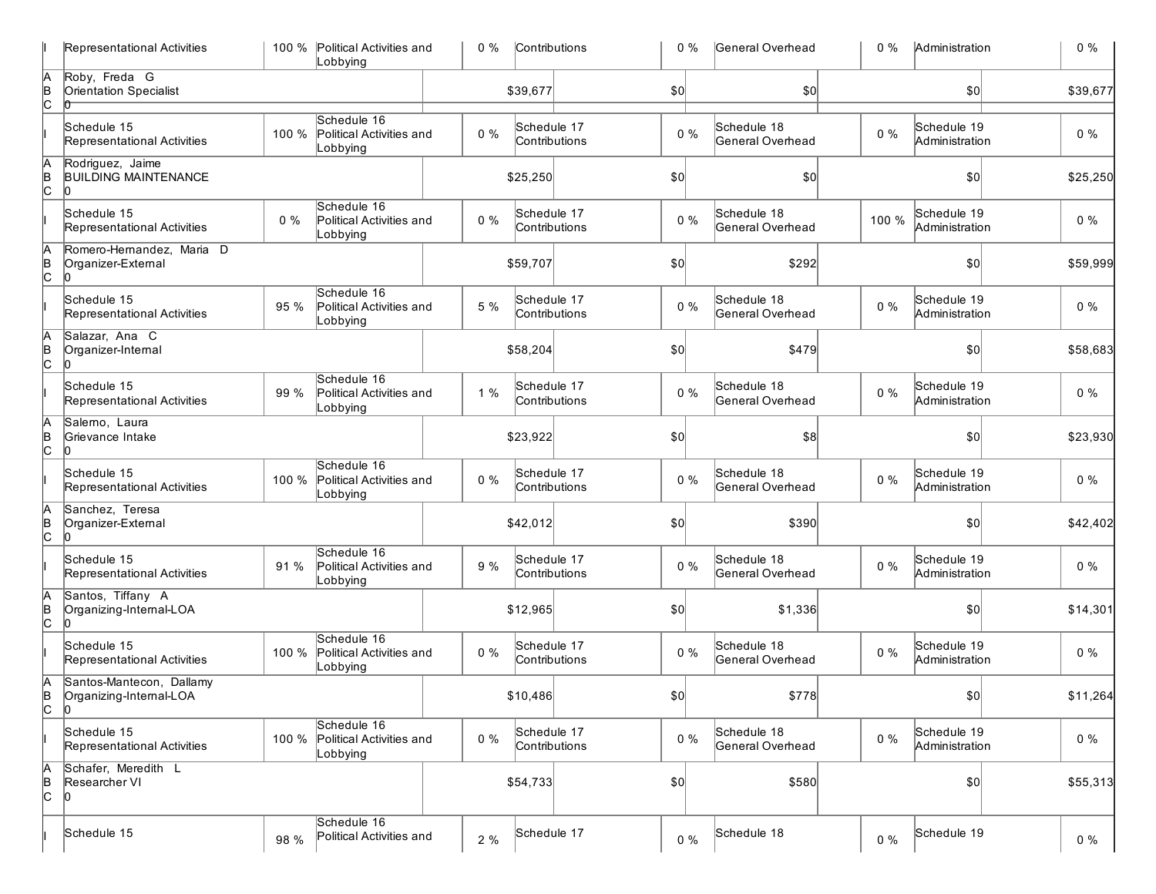| Representational Activities                               |       | 100 % Political Activities and<br>Lobbying          | $0\%$ | Contributions                | $0\%$        | General Overhead                | $0\%$ | Administration                | $0\%$    |
|-----------------------------------------------------------|-------|-----------------------------------------------------|-------|------------------------------|--------------|---------------------------------|-------|-------------------------------|----------|
| Roby, Freda G<br><b>Orientation Specialist</b>            |       |                                                     |       | \$39,677                     | $ 10\rangle$ | \$0                             |       | \$0                           | \$39,677 |
| Schedule 15<br>Representational Activities                | 100 % | Schedule 16<br>Political Activities and<br>Lobbying | $0\%$ | Schedule 17<br>Contributions | $0\%$        | Schedule 18<br>General Overhead | $0\%$ | Schedule 19<br>Administration | $0\%$    |
| Rodriguez, Jaime<br><b>BUILDING MAINTENANCE</b><br>10     |       |                                                     |       | \$25,250                     | $ 10\rangle$ | \$0                             |       | \$0                           | \$25,250 |
| Schedule 15<br>Representational Activities                | $0\%$ | Schedule 16<br>Political Activities and<br>Lobbying | $0\%$ | Schedule 17<br>Contributions | $0\%$        | Schedule 18<br>General Overhead | 100 % | Schedule 19<br>Administration | $0\%$    |
| Romero-Hernandez, Maria D<br>Organizer-External<br>IO     |       |                                                     |       | \$59,707                     | \$0]         | \$292                           |       | \$0                           | \$59,999 |
| Schedule 15<br>Representational Activities                | 95 %  | Schedule 16<br>Political Activities and<br>Lobbying | 5 %   | Schedule 17<br>Contributions | $0\%$        | Schedule 18<br>General Overhead | $0\%$ | Schedule 19<br>Administration | $0\%$    |
| Salazar, Ana C<br>Organizer-Internal<br>10                |       |                                                     |       | \$58,204                     | \$0          | \$479                           |       | $ 10\rangle$                  | \$58,683 |
| Schedule 15<br>Representational Activities                | 99 %  | Schedule 16<br>Political Activities and<br>Lobbying | 1%    | Schedule 17<br>Contributions | $0\%$        | Schedule 18<br>General Overhead | $0\%$ | Schedule 19<br>Administration | $0\%$    |
| Salemo, Laura<br>Grievance Intake<br>10                   |       |                                                     |       | \$23,922                     | \$0          | \$8                             |       | $ 10\rangle$                  | \$23,930 |
| Schedule 15<br>Representational Activities                | 100 % | Schedule 16<br>Political Activities and<br>Lobbying | $0\%$ | Schedule 17<br>Contributions | $0\%$        | Schedule 18<br>General Overhead | $0\%$ | Schedule 19<br>Administration | $0\%$    |
| Sanchez, Teresa<br>Organizer-External<br>lo.              |       |                                                     |       | \$42,012                     | $ 10\rangle$ | \$390                           |       | \$0                           | \$42,402 |
| Schedule 15<br>Representational Activities                | 91 %  | Schedule 16<br>Political Activities and<br>Lobbying | 9 %   | Schedule 17<br>Contributions | $0\%$        | Schedule 18<br>General Overhead | $0\%$ | Schedule 19<br>Administration | $0\%$    |
| Santos, Tiffany A<br>Organizing-Internal-LOA<br>Ю         |       |                                                     |       | \$12,965                     | \$0          | \$1,336                         |       | \$0                           | \$14,301 |
| Schedule 15<br>Representational Activities                | 100 % | Schedule 16<br>Political Activities and<br>Lobbying | $0\%$ | Schedule 17<br>Contributions | $0\%$        | Schedule 18<br>General Overhead | $0\%$ | Schedule 19<br>Administration | $0\%$    |
| Santos-Mantecon, Dallamy<br>Organizing-Internal-LOA<br>10 |       |                                                     |       | \$10,486                     | \$0          | \$778                           |       | \$0                           | \$11,264 |
| Schedule 15<br>Representational Activities                | 100 % | Schedule 16<br>Political Activities and<br>Lobbying | $0\%$ | Schedule 17<br>Contributions | $0\%$        | Schedule 18<br>General Overhead | $0\%$ | Schedule 19<br>Administration | $0\%$    |
| Schafer, Meredith L<br>Researcher VI<br>10                |       |                                                     |       | \$54,733                     | $ 10\rangle$ | \$580                           |       | \$0                           | \$55,313 |
| Schedule 15                                               | 98 %  | Schedule 16<br>Political Activities and             | 2%    | Schedule 17                  | $0\%$        | Schedule 18                     | $0\%$ | Schedule 19                   | $0\%$    |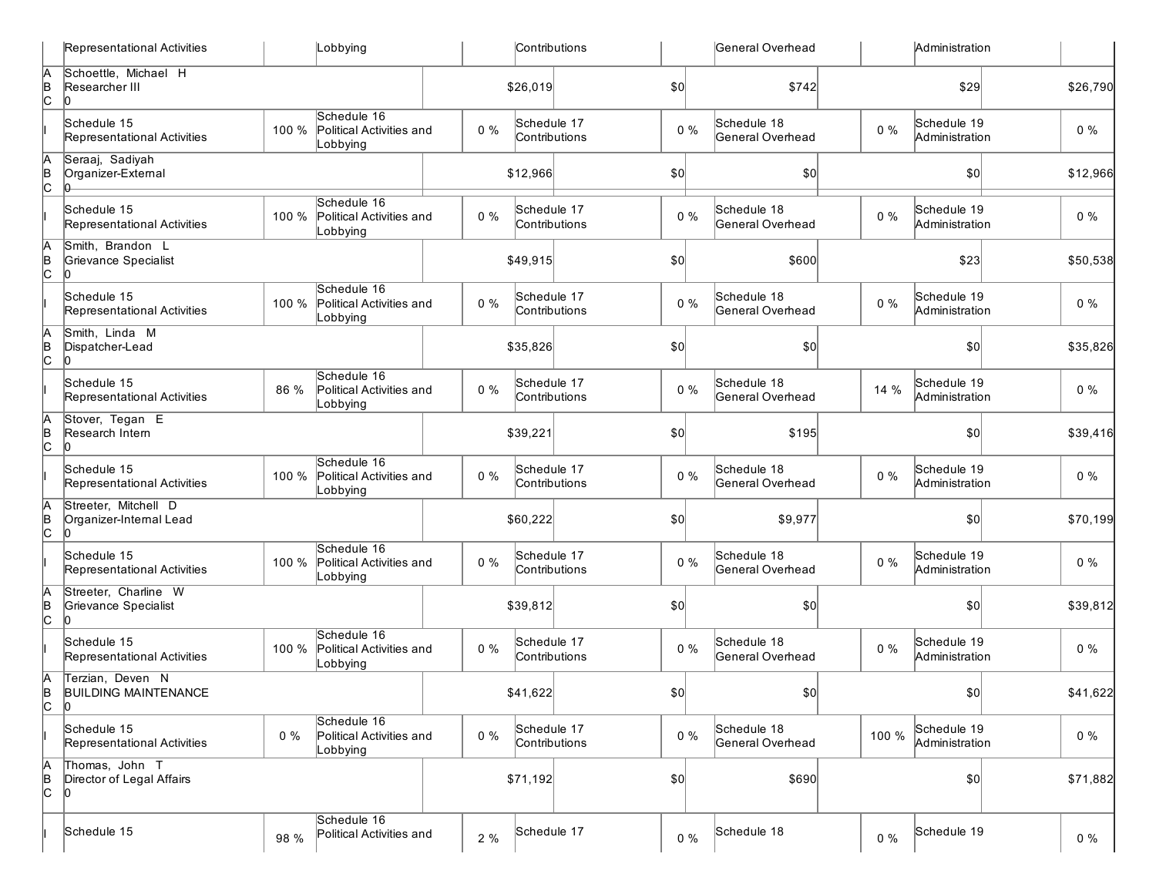| Representational Activities                           | Lobbying                                                     | Contributions                         | General Overhead                         | Administration                         |          |
|-------------------------------------------------------|--------------------------------------------------------------|---------------------------------------|------------------------------------------|----------------------------------------|----------|
| Schoettle, Michael H<br>Researcher III<br>10          |                                                              | \$26,019                              | $\sqrt{50}$<br>\$742                     | \$29                                   | \$26,790 |
| Schedule 15<br>Representational Activities            | Schedule 16<br>Political Activities and<br>100 %<br>Lobbying | Schedule 17<br>$0\%$<br>Contributions | Schedule 18<br>$0\%$<br>General Overhead | Schedule 19<br>$0\%$<br>Administration | $0\%$    |
| Seraaj, Sadiyah<br>Organizer-External<br>lə.          |                                                              | \$12,966                              | \$0<br>\$0                               | \$0                                    | \$12,966 |
| Schedule 15<br>Representational Activities            | Schedule 16<br>Political Activities and<br>100 %<br>Lobbying | Schedule 17<br>$0\%$<br>Contributions | Schedule 18<br>$0\%$<br>General Overhead | Schedule 19<br>$0\%$<br>Administration | $0\%$    |
| Smith, Brandon L<br>Grievance Specialist<br>10        |                                                              | \$49,915                              | \$0<br>\$600                             | \$23                                   | \$50,538 |
| Schedule 15<br>Representational Activities            | Schedule 16<br>100 %<br>Political Activities and<br>Lobbying | Schedule 17<br>$0\%$<br>Contributions | Schedule 18<br>$0\%$<br>General Overhead | Schedule 19<br>$0\%$<br>Administration | $0\%$    |
| Smith, Linda M<br>Dispatcher-Lead<br>10               |                                                              | \$35,826                              | \$0<br>\$0                               | \$0                                    | \$35,826 |
| Schedule 15<br>Representational Activities            | Schedule 16<br>86 %<br>Political Activities and<br>Lobbying  | Schedule 17<br>$0\%$<br>Contributions | Schedule 18<br>$0\%$<br>General Overhead | Schedule 19<br>14 %<br>Administration  | $0\%$    |
| Stover, Tegan E<br>Research Intern<br>10              |                                                              | \$39,221                              | $\sqrt{50}$<br>\$195                     | \$0                                    | \$39,416 |
| Schedule 15<br>Representational Activities            | Schedule 16<br>100 %<br>Political Activities and<br>Lobbying | Schedule 17<br>$0\%$<br>Contributions | Schedule 18<br>0%<br>General Overhead    | Schedule 19<br>$0\%$<br>Administration | $0\%$    |
| Streeter, Mitchell D<br>Organizer-Internal Lead<br>10 |                                                              | \$60,222                              | \$0<br>\$9,977                           | \$0                                    | \$70,199 |
| Schedule 15<br>Representational Activities            | Schedule 16<br>100 %<br>Political Activities and<br>Lobbying | Schedule 17<br>$0\%$<br>Contributions | Schedule 18<br>$0\%$<br>General Overhead | Schedule 19<br>$0\%$<br>Administration | $0\%$    |
| Streeter, Charline W<br>Grievance Specialist<br>10    |                                                              | \$39,812                              | $ 10\rangle$<br>\$0                      | $ 10\rangle$                           | \$39,812 |
| Schedule 15<br>Representational Activities            | Schedule 16<br>100 %<br>Political Activities and<br>Lobbying | Schedule 17<br>$0\%$<br>Contributions | Schedule 18<br>$0\%$<br>General Overhead | Schedule 19<br>$0\%$<br>Administration | $0\%$    |
| Terzian, Deven N<br><b>BUILDING MAINTENANCE</b><br>10 |                                                              | \$41,622                              | \$0]<br> 0                               | 10                                     | \$41,622 |
| Schedule 15<br>Representational Activities            | Schedule 16<br>$0\%$<br>Political Activities and<br>Lobbying | Schedule 17<br>$0\%$<br>Contributions | Schedule 18<br>$0\%$<br>General Overhead | Schedule 19<br>100 %<br>Administration | $0\%$    |
| Thomas, John T<br>Director of Legal Affairs<br>10     |                                                              | \$71,192                              | \$690<br>$ 10\rangle$                    | $ 10\rangle$                           | \$71,882 |
| Schedule 15                                           | Schedule 16<br>Political Activities and<br>98 %              | Schedule 17<br>2 %                    | Schedule 18<br>$0\%$                     | Schedule 19<br>$0\%$                   | $0\%$    |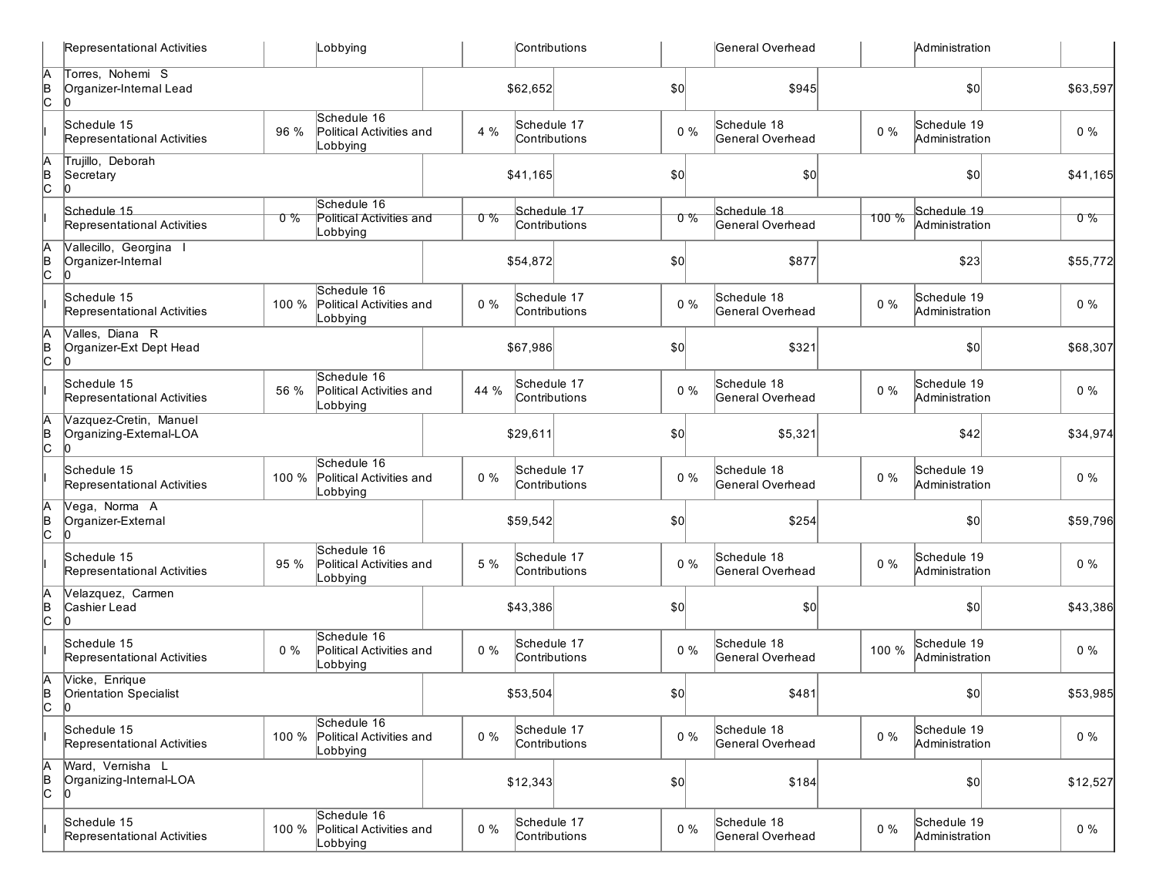|                 | Representational Activities                       |       | Lobbying                                            |         | <b>Contributions</b>         |               |              | General Overhead                |       | Administration                |          |
|-----------------|---------------------------------------------------|-------|-----------------------------------------------------|---------|------------------------------|---------------|--------------|---------------------------------|-------|-------------------------------|----------|
| $\overline{AB}$ | Torres, Nohemi S<br>Organizer-Internal Lead       |       |                                                     |         | \$62,652                     |               | \$0          | \$945                           |       | \$0                           | \$63,597 |
|                 | Schedule 15<br>Representational Activities        | 96 %  | Schedule 16<br>Political Activities and<br>Lobbying | 4 %     | Schedule 17<br>Contributions |               | $0\%$        | Schedule 18<br>General Overhead | $0\%$ | Schedule 19<br>Administration | $0\%$    |
| A<br>B<br>C     | Trujillo, Deborah<br>Secretary<br>l0              |       |                                                     |         | \$41,165                     |               | \$0          | \$0                             |       | \$0                           | \$41,165 |
|                 | Schedule 15                                       |       | Schedule 16                                         |         | Schedule 17                  |               |              | Schedule 18                     |       | Schedule 19                   |          |
|                 | Representational Activities                       | $0\%$ | Political Activities and<br>Lobbying                | $0\,\%$ | Contributions                |               | $0\%$        | General Overhead                | 100 % | Administration                | $0\%$    |
| A<br>B<br>C     | Vallecillo, Georgina<br>Organizer-Internal<br>lo. |       |                                                     |         | \$54,872                     |               | \$0          | \$877                           |       | \$23                          | \$55,772 |
|                 | Schedule 15<br>Representational Activities        | 100 % | Schedule 16<br>Political Activities and<br>Lobbying | $0\%$   | Schedule 17<br>Contributions |               | $0\%$        | Schedule 18<br>General Overhead | $0\%$ | Schedule 19<br>Administration | $0\%$    |
| A<br>B<br>C     | Valles, Diana R<br>Organizer-Ext Dept Head<br>IO. |       |                                                     |         | \$67,986                     |               | \$0          | \$321                           |       | \$0                           | \$68,307 |
|                 | Schedule 15<br>Representational Activities        | 56 %  | Schedule 16<br>Political Activities and<br>Lobbying | 44 %    | Schedule 17                  | Contributions | $0\%$        | Schedule 18<br>General Overhead | $0\%$ | Schedule 19<br>Administration | $0\%$    |
| A<br>B<br>C     | Vazquez-Cretin, Manuel<br>Organizing-External-LOA |       |                                                     |         | \$29,611                     |               | \$0          | \$5,321                         |       | \$42                          | \$34,974 |
|                 | Schedule 15<br>Representational Activities        | 100 % | Schedule 16<br>Political Activities and<br>Lobbying | $0\%$   | Schedule 17<br>Contributions |               | $0\%$        | Schedule 18<br>General Overhead | $0\%$ | Schedule 19<br>Administration | $0\%$    |
| A<br>B<br>C     | Vega, Norma A<br>Organizer-External               |       |                                                     |         | \$59,542                     |               | 50           | \$254                           |       | \$0                           | \$59,796 |
|                 | Schedule 15<br>Representational Activities        | 95 %  | Schedule 16<br>Political Activities and<br>Lobbying | 5 %     | Schedule 17                  | Contributions | $0\%$        | Schedule 18<br>General Overhead | $0\%$ | Schedule 19<br>Administration | $0\%$    |
| A<br>B<br>C     | Velazquez, Carmen<br>Cashier Lead<br>In           |       |                                                     |         | \$43,386                     |               | \$0          | \$0                             |       | \$0                           | \$43,386 |
|                 | Schedule 15<br>Representational Activities        | $0\%$ | Schedule 16<br>Political Activities and<br>Lobbying | $0\%$   | Schedule 17<br>Contributions |               | $0\%$        | Schedule 18<br>General Overhead | 100 % | Schedule 19<br>Administration | $0\%$    |
| Α<br>ե<br> C    | Vicke, Enrique<br>Orientation Specialist<br>Iо    |       |                                                     |         | \$53,504                     |               | $ 10\rangle$ | \$481                           |       | $ 10\rangle$                  | \$53,985 |
|                 | Schedule 15<br>Representational Activities        | 100 % | Schedule 16<br>Political Activities and<br>Lobbying | 0%      | Schedule 17<br>Contributions |               | $0\%$        | Schedule 18<br>General Overhead | $0\%$ | Schedule 19<br>Administration | $0\%$    |
| A<br>B<br>C     | Ward, Vernisha L<br>Organizing-Internal-LOA       |       |                                                     |         | \$12,343                     |               | \$0]         | \$184                           |       | $ 10\rangle$                  | \$12,527 |
|                 | Schedule 15<br>Representational Activities        | 100 % | Schedule 16<br>Political Activities and<br>Lobbying | $0\%$   | Schedule 17<br>Contributions |               | $0\%$        | Schedule 18<br>General Overhead | $0\%$ | Schedule 19<br>Administration | $0\%$    |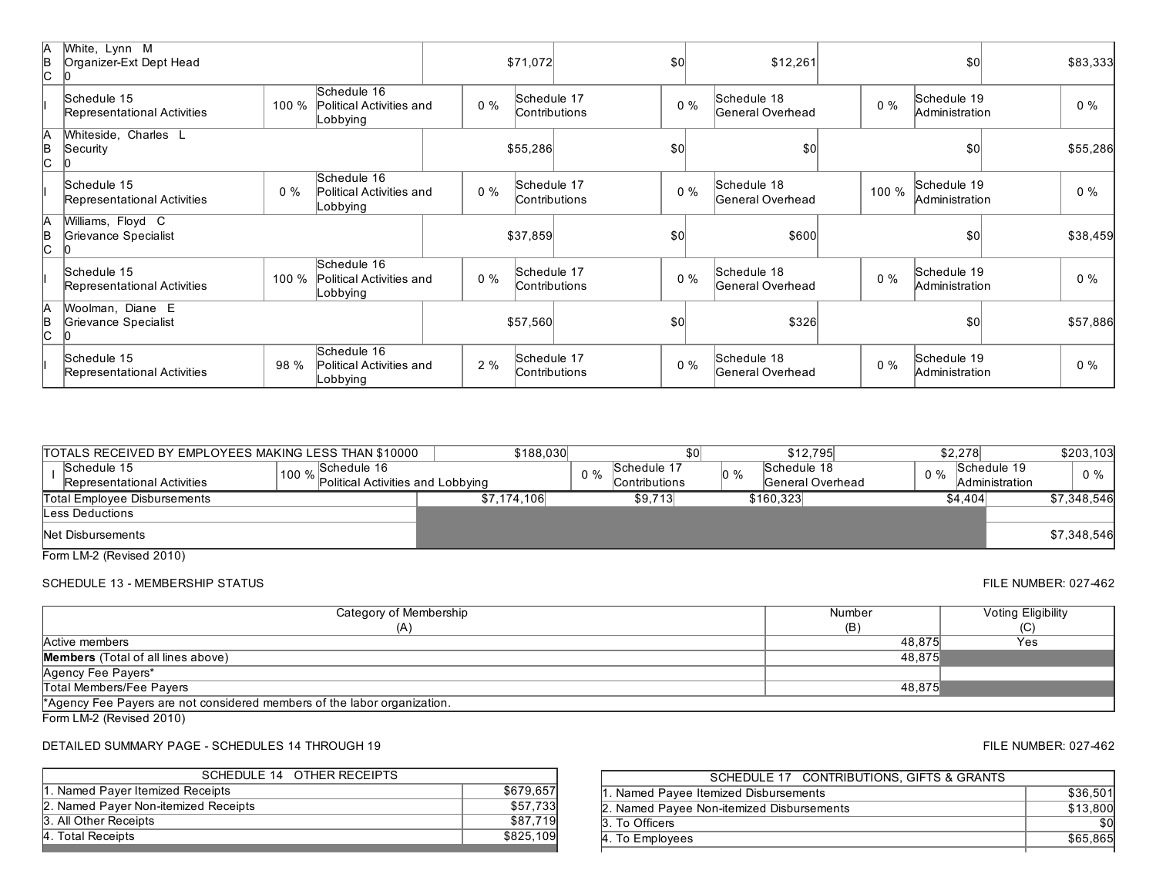| ΙA<br>B<br>lc. | White, Lynn M<br>Organizer-Ext Dept Head   |       |                                                     |       | \$71,072                     | \$0   |       | \$12,261                         |       | \$0                           | \$83,333 |
|----------------|--------------------------------------------|-------|-----------------------------------------------------|-------|------------------------------|-------|-------|----------------------------------|-------|-------------------------------|----------|
|                | Schedule 15<br>Representational Activities | 100 % | Schedule 16<br>Political Activities and<br>Lobbying | $0\%$ | Schedule 17<br>Contributions |       | $0\%$ | Schedule 18<br>General Overhead  | $0\%$ | Schedule 19<br>Administration | $0\%$    |
| А<br>B<br>c    | Whiteside, Charles L<br>Security           |       |                                                     |       | \$55,286                     | \$0   |       | \$0                              |       | \$0                           | \$55,286 |
|                | Schedule 15<br>Representational Activities | $0\%$ | Schedule 16<br>Political Activities and<br>Lobbying | $0\%$ | Schedule 17<br>Contributions | $0\%$ |       | Schedule 18<br>General Overhead  | 100 % | Schedule 19<br>Administration | $0\%$    |
| ΙA<br>B<br>lc  | Williams, Floyd C<br>Grievance Specialist  |       |                                                     |       | \$37,859                     | \$0   |       | \$600                            |       | \$0                           | \$38,459 |
|                | Schedule 15<br>Representational Activities | 100 % | Schedule 16<br>Political Activities and<br>Lobbying | $0\%$ | Schedule 17<br>Contributions | $0\%$ |       | Schedule 18<br>General Overhead  | $0\%$ | Schedule 19<br>Administration | $0\%$    |
| ΙA<br>B<br>c   | Woolman, Diane E<br>Grievance Specialist   |       |                                                     |       | \$57,560                     | \$0   |       | \$326                            |       | \$0                           | \$57,886 |
|                | Schedule 15<br>Representational Activities | 98 %  | Schedule 16<br>Political Activities and<br>Lobbying | 2%    | Schedule 17<br>Contributions | $0\%$ |       | Schedule 18<br> General Overhead | $0\%$ | Schedule 19<br>Administration | $0\%$    |

| TOTALS RECEIVED BY EMPLOYEES MAKING LESS THAN \$10000 |                                                        | \$188,030   |       |                               |     | \$12,795                        |       | \$2,278                              | \$203.103   |
|-------------------------------------------------------|--------------------------------------------------------|-------------|-------|-------------------------------|-----|---------------------------------|-------|--------------------------------------|-------------|
| Schedule 15<br>Representational Activities            | Schedule 16<br>100 % Political Activities and Lobbying |             | $0\%$ | Schedule 17<br>lContributions | 0 % | Schedule 18<br>General Overhead | $0\%$ | Schedule 19<br><b>Administration</b> | $0\%$       |
| Total Employee Disbursements                          |                                                        | \$7,174,106 |       | \$9,713                       |     | \$160.323                       |       | \$4,404                              | \$7,348,546 |
| Less Deductions                                       |                                                        |             |       |                               |     |                                 |       |                                      |             |
| Net Disbursements                                     |                                                        |             |       |                               |     |                                 |       |                                      | \$7,348,546 |
| $F_{\text{num}}$   M $\Omega$ /Deviand $\Omega$ 0040) |                                                        |             |       |                               |     |                                 |       |                                      |             |

# SCHEDULE 13 - MEMBERSHIP STATUS **FILE NUMBER: 027-462**

| Category of Membership                                                   | Number | Voting Eligibility |
|--------------------------------------------------------------------------|--------|--------------------|
| (A)                                                                      | (B)    | ιU.                |
| Active members                                                           | 48,875 | Yes                |
| <b>Members</b> (Total of all lines above)                                | 48,875 |                    |
| Agency Fee Payers*                                                       |        |                    |
| Total Members/Fee Payers                                                 | 48.875 |                    |
| *Agency Fee Payers are not considered members of the labor organization. |        |                    |

Form LM-2 (Revised 2010)

DETAILED SUMMARY PAGE - SCHEDULES 14 THROUGH 19 FILE NUMBER: 027-462

| SCHEDULE 14 OTHER RECEIPTS           |           |
|--------------------------------------|-----------|
| 1. Named Payer Itemized Receipts     | \$679,657 |
| 2. Named Payer Non-itemized Receipts | \$57.733  |
| 3. All Other Receipts                | \$87.719  |
| 4. Total Receipts                    | \$825,109 |
|                                      |           |

| SCHEDULE 17 CONTRIBUTIONS. GIFTS & GRANTS |          |
|-------------------------------------------|----------|
| 1. Named Payee Itemized Disbursements     | \$36,501 |
| 2. Named Payee Non-itemized Disbursements | \$13.800 |
| 3. To Officers                            | \$0      |
| 4. To Employees                           | \$65,865 |
|                                           |          |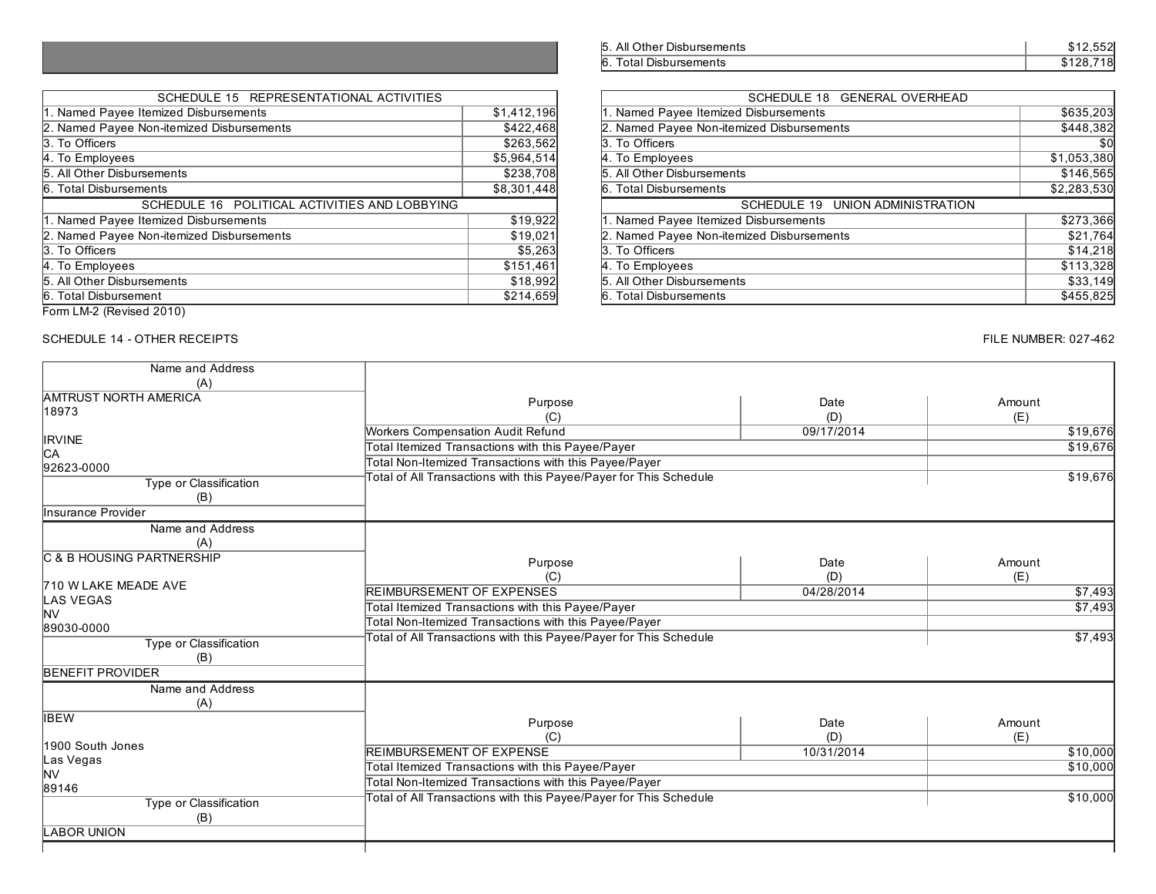| 5. All Other Disbursements | \$12.552  |
|----------------------------|-----------|
| 6. Total Disbursements     | \$128.718 |

| SCHEDULE 15 REPRESENTATIONAL ACTIVITIES       |             | SCHEDULE 18 GENERAL OVERHEAD              |             |
|-----------------------------------------------|-------------|-------------------------------------------|-------------|
| 1. Named Payee Itemized Disbursements         | \$1,412,196 | 1. Named Payee Itemized Disbursements     | \$635,203   |
| 2. Named Payee Non-itemized Disbursements     | \$422,468   | 2. Named Payee Non-itemized Disbursements | \$448,382   |
| 3. To Officers                                | \$263,562   | 3. To Officers                            | \$0         |
| 4. To Employees                               | \$5,964,514 | 4. To Employees                           | \$1,053,380 |
| 5. All Other Disbursements                    | \$238,708   | 5. All Other Disbursements                | \$146,565   |
| 6. Total Disbursements                        | \$8,301,448 | 6. Total Disbursements                    | \$2,283,530 |
| SCHEDULE 16 POLITICAL ACTIVITIES AND LOBBYING |             | SCHEDULE 19 UNION ADMINISTRATION          |             |
| 1. Named Payee Itemized Disbursements         | \$19,922    | 1. Named Payee Itemized Disbursements     | \$273,366   |
| 2. Named Payee Non-itemized Disbursements     | \$19,021    | 2. Named Payee Non-itemized Disbursements | \$21,764    |
| 3. To Officers                                | \$5,263     | 3. To Officers                            | \$14,218    |
| 4. To Employees                               | \$151,461   | 4. To Employees                           | \$113,328   |
| 5. All Other Disbursements                    | \$18,992    | 5. All Other Disbursements                | \$33,149    |
| 6. Total Disbursement                         |             |                                           |             |

# SCHEDULE 14 - OTHER RECEIPTS FILE NUMBER: 027-462

SCHEDULE 15 REPRESENTATIONAL ACTIVITIES

| Name and Address                      |                                                                   |                   |          |
|---------------------------------------|-------------------------------------------------------------------|-------------------|----------|
| (A)                                   |                                                                   |                   |          |
| <b>AMTRUST NORTH AMERICA</b><br>18973 | Purpose                                                           | Date              | Amount   |
|                                       | (C)                                                               | (D)<br>09/17/2014 | (E)      |
| <b>IRVINE</b>                         | Workers Compensation Audit Refund                                 |                   | \$19,676 |
| СA                                    | Total Itemized Transactions with this Payee/Payer                 |                   | \$19,676 |
| 92623-0000                            | Total Non-Itemized Transactions with this Payee/Payer             |                   |          |
| Type or Classification                | Total of All Transactions with this Payee/Payer for This Schedule |                   | \$19,676 |
| (B)                                   |                                                                   |                   |          |
| Insurance Provider                    |                                                                   |                   |          |
| Name and Address<br>(A)               |                                                                   |                   |          |
| C & B HOUSING PARTNERSHIP             | Purpose                                                           | Date              | Amount   |
|                                       | (C)                                                               | (D)               | (E)      |
| 710 W LAKE MEADE AVE                  | <b>REIMBURSEMENT OF EXPENSES</b>                                  | 04/28/2014        | \$7,493  |
| <b>LAS VEGAS</b>                      | Total Itemized Transactions with this Payee/Payer                 |                   | \$7,493  |
| NV                                    | Total Non-Itemized Transactions with this Payee/Payer             |                   |          |
| 89030-0000                            | Total of All Transactions with this Payee/Payer for This Schedule |                   | \$7,493  |
| Type or Classification                |                                                                   |                   |          |
| (B)                                   |                                                                   |                   |          |
| <b>BENEFIT PROVIDER</b>               |                                                                   |                   |          |
| Name and Address                      |                                                                   |                   |          |
| (A)                                   |                                                                   |                   |          |
| <b>IBEW</b>                           | Purpose                                                           | Date              | Amount   |
| 1900 South Jones                      | (C)                                                               | (D)               | (E)      |
| Las Vegas                             | REIMBURSEMENT OF EXPENSE                                          | 10/31/2014        | \$10,000 |
| NV                                    | Total Itemized Transactions with this Payee/Payer                 |                   | \$10,000 |
| 89146                                 | Total Non-Itemized Transactions with this Payee/Payer             |                   |          |
| Type or Classification<br>(B)         | Total of All Transactions with this Payee/Payer for This Schedule |                   | \$10,000 |
| <b>LABOR UNION</b>                    |                                                                   |                   |          |
|                                       |                                                                   |                   |          |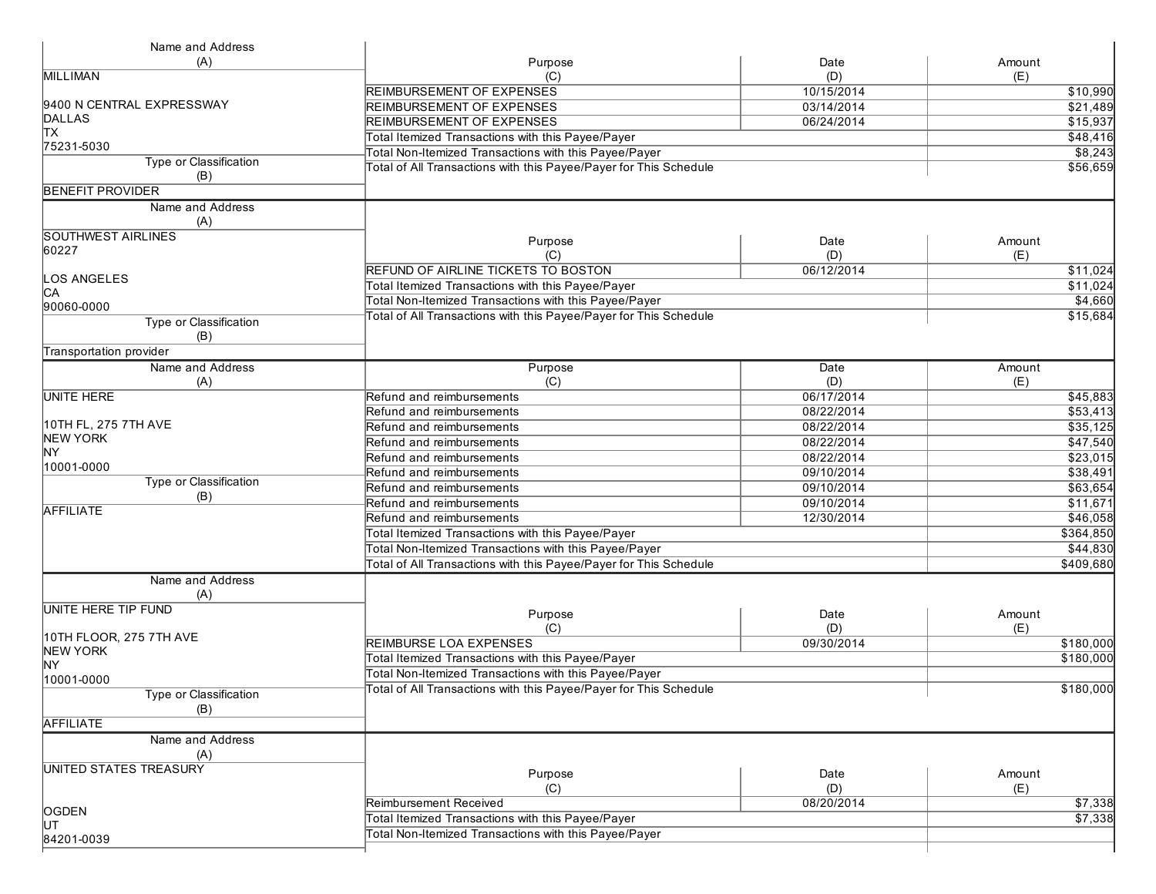| Name and Address               |                                                                   |                                                       |                       |  |
|--------------------------------|-------------------------------------------------------------------|-------------------------------------------------------|-----------------------|--|
| (A)                            | Purpose                                                           | Date                                                  | Amount                |  |
| <b>MILLIMAN</b>                | (C)                                                               | (D)                                                   | (E)                   |  |
|                                | <b>REIMBURSEMENT OF EXPENSES</b>                                  | 10/15/2014                                            | \$10,990              |  |
| 9400 N CENTRAL EXPRESSWAY      | <b>REIMBURSEMENT OF EXPENSES</b>                                  | 03/14/2014                                            | \$21,489              |  |
| DALLAS                         | REIMBURSEMENT OF EXPENSES                                         | 06/24/2014                                            | \$15,937              |  |
| lтx                            |                                                                   |                                                       |                       |  |
| 75231-5030                     | Total Itemized Transactions with this Payee/Payer                 |                                                       | \$48,416              |  |
| Type or Classification         | Total Non-Itemized Transactions with this Payee/Payer             |                                                       | \$8,243               |  |
| (B)                            | Total of All Transactions with this Payee/Payer for This Schedule |                                                       | \$56,659              |  |
| <b>BENEFIT PROVIDER</b>        |                                                                   |                                                       |                       |  |
|                                |                                                                   |                                                       |                       |  |
| Name and Address<br>(A)        |                                                                   |                                                       |                       |  |
| <b>SOUTHWEST AIRLINES</b>      | Purpose                                                           | Date                                                  | Amount                |  |
| 60227                          | (C)                                                               | (D)                                                   | (E)                   |  |
|                                | REFUND OF AIRLINE TICKETS TO BOSTON                               | 06/12/2014                                            | \$11,024              |  |
| <b>OS ANGELES</b>              |                                                                   |                                                       |                       |  |
| IСA                            | Total Itemized Transactions with this Payee/Payer                 |                                                       | \$11,024              |  |
| 90060-0000                     | Total Non-Itemized Transactions with this Payee/Payer             |                                                       | \$4,660               |  |
| Type or Classification         | Total of All Transactions with this Payee/Payer for This Schedule |                                                       | \$15,684              |  |
| (B)                            |                                                                   |                                                       |                       |  |
| <b>Transportation provider</b> |                                                                   |                                                       |                       |  |
| Name and Address               | Purpose                                                           | Date                                                  | Amount                |  |
| (A)                            | (C)                                                               | (D)                                                   | (E)                   |  |
| <b>UNITE HERE</b>              | Refund and reimbursements                                         | 06/17/2014                                            | \$45,883              |  |
|                                | Refund and reimbursements                                         | 08/22/2014                                            | \$53,413              |  |
| 10TH FL, 275 7TH AVE           | Refund and reimbursements                                         | 08/22/2014                                            | \$35,125              |  |
| NEW YORK                       | Refund and reimbursements                                         | 08/22/2014                                            | \$47,540              |  |
| <b>NY</b>                      | Refund and reimbursements                                         | 08/22/2014                                            | \$23,015              |  |
| 10001-0000                     | Refund and reimbursements                                         | 09/10/2014                                            | \$38,491              |  |
| Type or Classification         | Refund and reimbursements                                         | 09/10/2014                                            | \$63,654              |  |
| (B)                            |                                                                   |                                                       |                       |  |
| <b>AFFILIATE</b>               | Refund and reimbursements                                         | 09/10/2014                                            | \$11,671              |  |
|                                | Refund and reimbursements                                         | 12/30/2014                                            | \$46,058              |  |
|                                | Total Itemized Transactions with this Payee/Payer                 |                                                       | \$364,850<br>\$44,830 |  |
|                                |                                                                   | Total Non-Itemized Transactions with this Payee/Payer |                       |  |
|                                | Total of All Transactions with this Payee/Payer for This Schedule |                                                       | \$409,680             |  |
| Name and Address<br>(A)        |                                                                   |                                                       |                       |  |
| UNITE HERE TIP FUND            |                                                                   |                                                       |                       |  |
|                                | Purpose                                                           | Date                                                  | Amount                |  |
| 10TH FLOOR, 275 7TH AVE        | (C)                                                               | (D)                                                   | (E)                   |  |
| <b>NEW YORK</b>                | <b>REIMBURSE LOA EXPENSES</b>                                     | 09/30/2014                                            | \$180,000             |  |
| <b>NY</b>                      | Total Itemized Transactions with this Payee/Payer                 |                                                       | \$180,000             |  |
| 10001-0000                     | Total Non-Itemized Transactions with this Payee/Payer             |                                                       |                       |  |
|                                | Total of All Transactions with this Payee/Payer for This Schedule |                                                       | \$180,000             |  |
| Type or Classification         |                                                                   |                                                       |                       |  |
| (B)                            |                                                                   |                                                       |                       |  |
| <b>AFFILIATE</b>               |                                                                   |                                                       |                       |  |
| Name and Address<br>(A)        |                                                                   |                                                       |                       |  |
| <b>UNITED STATES TREASURY</b>  |                                                                   |                                                       |                       |  |
|                                | Purpose                                                           | Date                                                  | Amount                |  |
|                                | (C)                                                               | (D)                                                   | (E)                   |  |
|                                | Reimbursement Received                                            | 08/20/2014                                            | $\sqrt{$7,338}$       |  |
| OGDEN<br>luт                   | Total Itemized Transactions with this Payee/Payer                 |                                                       | \$7,338               |  |
|                                | Total Non-Itemized Transactions with this Payee/Payer             |                                                       |                       |  |
| 84201-0039                     |                                                                   |                                                       |                       |  |
|                                |                                                                   |                                                       |                       |  |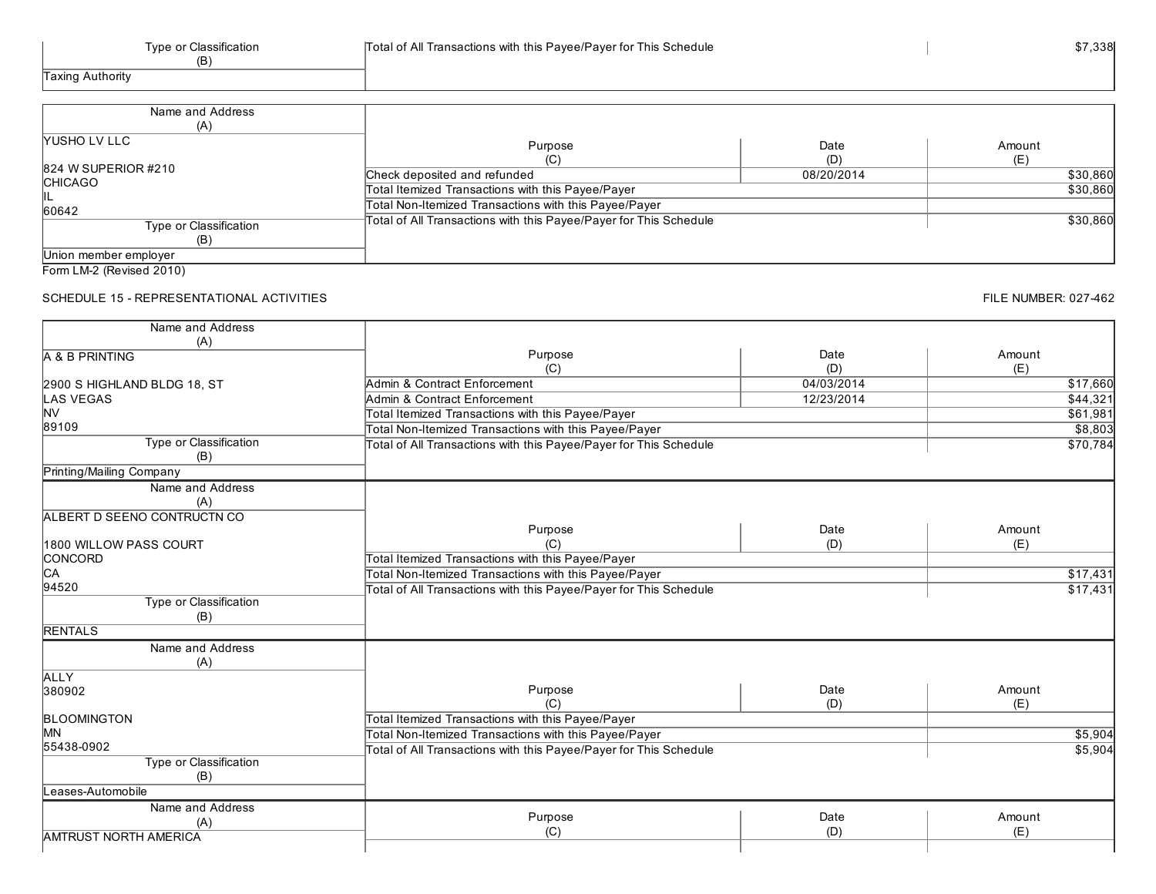| Name and Address       |                                                                   |            |          |
|------------------------|-------------------------------------------------------------------|------------|----------|
| (A)                    |                                                                   |            |          |
| <b>YUSHO LV LLC</b>    | Purpose                                                           | Date       | Amount   |
|                        |                                                                   | (D)        | (E)      |
| 824 W SUPERIOR #210    | Check deposited and refunded                                      | 08/20/2014 | \$30,860 |
| <b>CHICAGO</b>         | Total Itemized Transactions with this Payee/Payer                 |            | \$30,860 |
| ⊪∟<br>60642            | Total Non-Itemized Transactions with this Payee/Payer             |            |          |
| Type or Classification | Total of All Transactions with this Payee/Payer for This Schedule |            | \$30,860 |
|                        |                                                                   |            |          |
| Union member employer  |                                                                   |            |          |

### SCHEDULE 15 - REPRESENTATIONAL ACTIVITIES

| Name and Address                    |                                                                   |            |          |
|-------------------------------------|-------------------------------------------------------------------|------------|----------|
| (A)                                 |                                                                   |            |          |
| A & B PRINTING                      | Purpose                                                           | Date       | Amount   |
|                                     | (C)                                                               | (D)        | (E)      |
| 2900 S HIGHLAND BLDG 18, ST         | Admin & Contract Enforcement                                      | 04/03/2014 | \$17,660 |
| <b>LAS VEGAS</b>                    | Admin & Contract Enforcement                                      | 12/23/2014 | \$44,321 |
| <b>NV</b>                           | Total Itemized Transactions with this Payee/Payer                 |            | \$61,981 |
| 89109                               | Total Non-Itemized Transactions with this Payee/Payer             |            | \$8,803  |
| <b>Type or Classification</b>       | Total of All Transactions with this Payee/Payer for This Schedule |            | \$70,784 |
| (B)                                 |                                                                   |            |          |
| Printing/Mailing Company            |                                                                   |            |          |
| Name and Address                    |                                                                   |            |          |
| (A)                                 |                                                                   |            |          |
| ALBERT D SEENO CONTRUCTN CO         |                                                                   |            |          |
|                                     | Purpose                                                           | Date       | Amount   |
| 1800 WILLOW PASS COURT              | (C)                                                               | (D)        | (E)      |
| CONCORD                             | Total Itemized Transactions with this Payee/Payer                 |            |          |
| C <sub>A</sub>                      | Total Non-Itemized Transactions with this Payee/Payer             |            | \$17,431 |
| 94520                               | Total of All Transactions with this Payee/Payer for This Schedule |            | \$17,431 |
| <b>Type or Classification</b>       |                                                                   |            |          |
| (B)                                 |                                                                   |            |          |
| <b>RENTALS</b>                      |                                                                   |            |          |
| Name and Address                    |                                                                   |            |          |
| (A)                                 |                                                                   |            |          |
| <b>ALLY</b>                         |                                                                   |            |          |
| 380902                              | Purpose                                                           | Date       | Amount   |
|                                     | (C)                                                               | (D)        | (E)      |
| <b>BLOOMINGTON</b>                  | Total Itemized Transactions with this Payee/Payer                 |            |          |
| <b>MN</b>                           | Total Non-Itemized Transactions with this Payee/Payer             |            | \$5,904  |
| 55438-0902                          | Total of All Transactions with this Payee/Payer for This Schedule |            | \$5,904  |
| <b>Type or Classification</b>       |                                                                   |            |          |
| (B)                                 |                                                                   |            |          |
| Leases-Automobile                   |                                                                   |            |          |
| Name and Address                    |                                                                   |            |          |
|                                     | Purpose                                                           | Date       | Amount   |
| (A)<br><b>AMTRUST NORTH AMERICA</b> | (C)                                                               | (D)        | (E)      |
|                                     |                                                                   |            |          |
|                                     |                                                                   |            |          |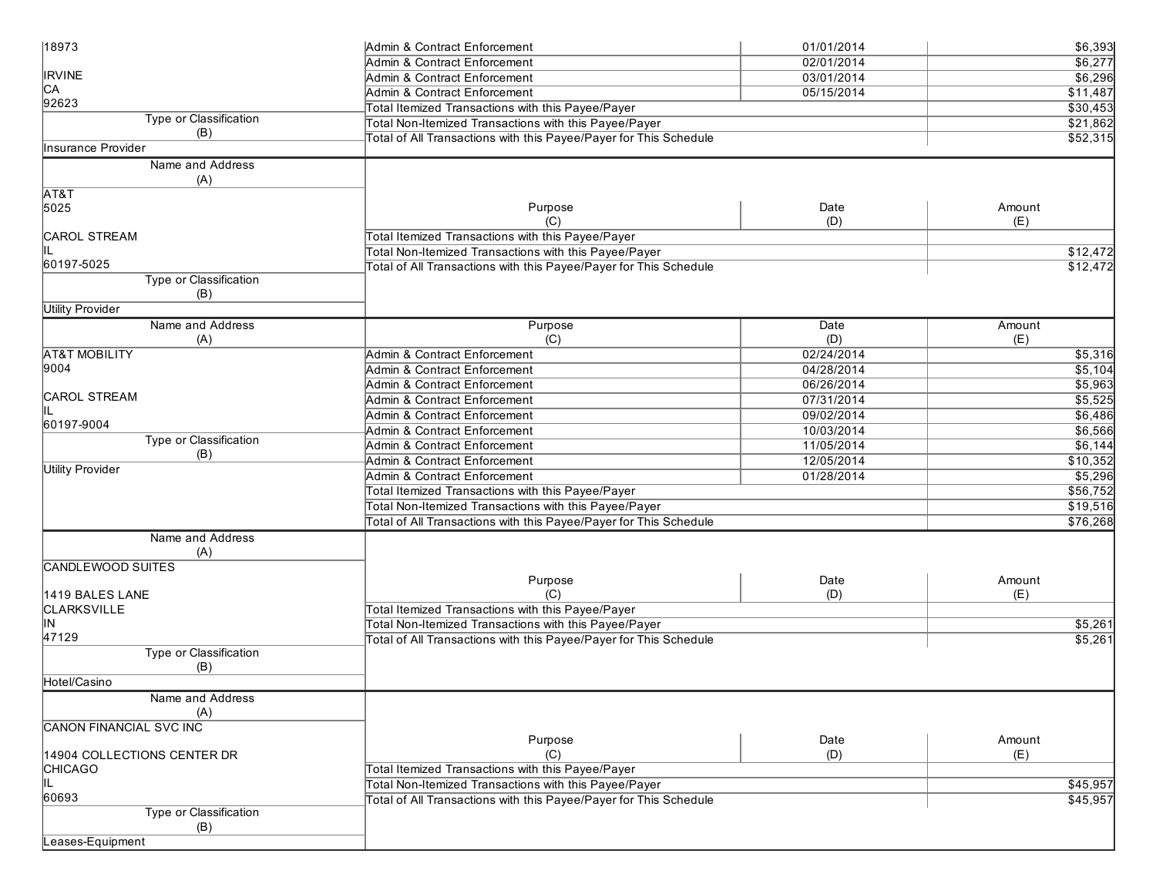| 18973                          | Admin & Contract Enforcement                                      | 01/01/2014 | \$6,393  |
|--------------------------------|-------------------------------------------------------------------|------------|----------|
|                                | Admin & Contract Enforcement                                      | 02/01/2014 | \$6,277  |
| <b>IRVINE</b>                  | Admin & Contract Enforcement                                      | 03/01/2014 | \$6,296  |
| CA                             | Admin & Contract Enforcement                                      | 05/15/2014 | \$11,487 |
| 92623                          | Total Itemized Transactions with this Payee/Payer                 |            | \$30,453 |
| Type or Classification         | Total Non-Itemized Transactions with this Payee/Payer             |            | \$21,862 |
| (B)                            | Total of All Transactions with this Payee/Payer for This Schedule |            | \$52,315 |
| <b>Insurance Provider</b>      |                                                                   |            |          |
| Name and Address               |                                                                   |            |          |
| (A)                            |                                                                   |            |          |
| AT&T                           |                                                                   |            |          |
| 5025                           | Purpose                                                           | Date       | Amount   |
|                                | (C)                                                               | (D)        | (E)      |
| <b>CAROL STREAM</b>            | Total Itemized Transactions with this Payee/Payer                 |            |          |
| IIL                            | Total Non-Itemized Transactions with this Payee/Payer             |            | \$12,472 |
| 60197-5025                     | Total of All Transactions with this Payee/Payer for This Schedule |            | \$12,472 |
| Type or Classification         |                                                                   |            |          |
| (B)                            |                                                                   |            |          |
| <b>Utility Provider</b>        |                                                                   |            |          |
| Name and Address               | Purpose                                                           | Date       | Amount   |
| (A)                            | (C)                                                               | (D)        | (E)      |
| <b>AT&amp;T MOBILITY</b>       | Admin & Contract Enforcement                                      | 02/24/2014 | \$5,316  |
| 9004                           | Admin & Contract Enforcement                                      | 04/28/2014 | \$5,104  |
|                                |                                                                   |            |          |
| <b>CAROL STREAM</b>            | Admin & Contract Enforcement                                      | 06/26/2014 | \$5,963  |
| IIL                            | Admin & Contract Enforcement                                      | 07/31/2014 | \$5,525  |
| 60197-9004                     | Admin & Contract Enforcement                                      | 09/02/2014 | \$6,486  |
| <b>Type or Classification</b>  | Admin & Contract Enforcement                                      | 10/03/2014 | \$6,566  |
| (B)                            | Admin & Contract Enforcement                                      | 11/05/2014 | \$6,144  |
|                                | Admin & Contract Enforcement                                      | 12/05/2014 | \$10,352 |
| <b>Utility Provider</b>        | Admin & Contract Enforcement                                      | 01/28/2014 | \$5,296  |
|                                | Total Itemized Transactions with this Payee/Payer                 |            | \$56,752 |
|                                | Total Non-Itemized Transactions with this Payee/Payer             |            | \$19,516 |
|                                | Total of All Transactions with this Payee/Payer for This Schedule |            | \$76,268 |
| Name and Address               |                                                                   |            |          |
| (A)                            |                                                                   |            |          |
| <b>CANDLEWOOD SUITES</b>       |                                                                   |            |          |
|                                | Purpose                                                           | Date       | Amount   |
| 1419 BALES LANE                | (C)                                                               | (D)        | (E)      |
| <b>CLARKSVILLE</b>             | Total Itemized Transactions with this Payee/Payer                 |            |          |
| lΝ                             | Total Non-Itemized Transactions with this Payee/Payer             |            | \$5,261  |
| 47129                          | Total of All Transactions with this Payee/Payer for This Schedule |            | \$5,261  |
| Type or Classification         |                                                                   |            |          |
| (B)                            |                                                                   |            |          |
| Hotel/Casino                   |                                                                   |            |          |
|                                |                                                                   |            |          |
| Name and Address               |                                                                   |            |          |
| (A)                            |                                                                   |            |          |
| <b>CANON FINANCIAL SVC INC</b> |                                                                   | Date       | Amount   |
|                                | Purpose                                                           |            |          |
| 14904 COLLECTIONS CENTER DR    | (C)<br>Total Itemized Transactions with this Payee/Payer          | (D)        | (E)      |
| <b>CHICAGO</b>                 |                                                                   |            |          |
| IIL                            | Total Non-Itemized Transactions with this Payee/Payer             |            | \$45,957 |
| 60693                          | Total of All Transactions with this Payee/Payer for This Schedule |            | \$45,957 |
| <b>Type or Classification</b>  |                                                                   |            |          |
| (B)                            |                                                                   |            |          |
| Leases-Equipment               |                                                                   |            |          |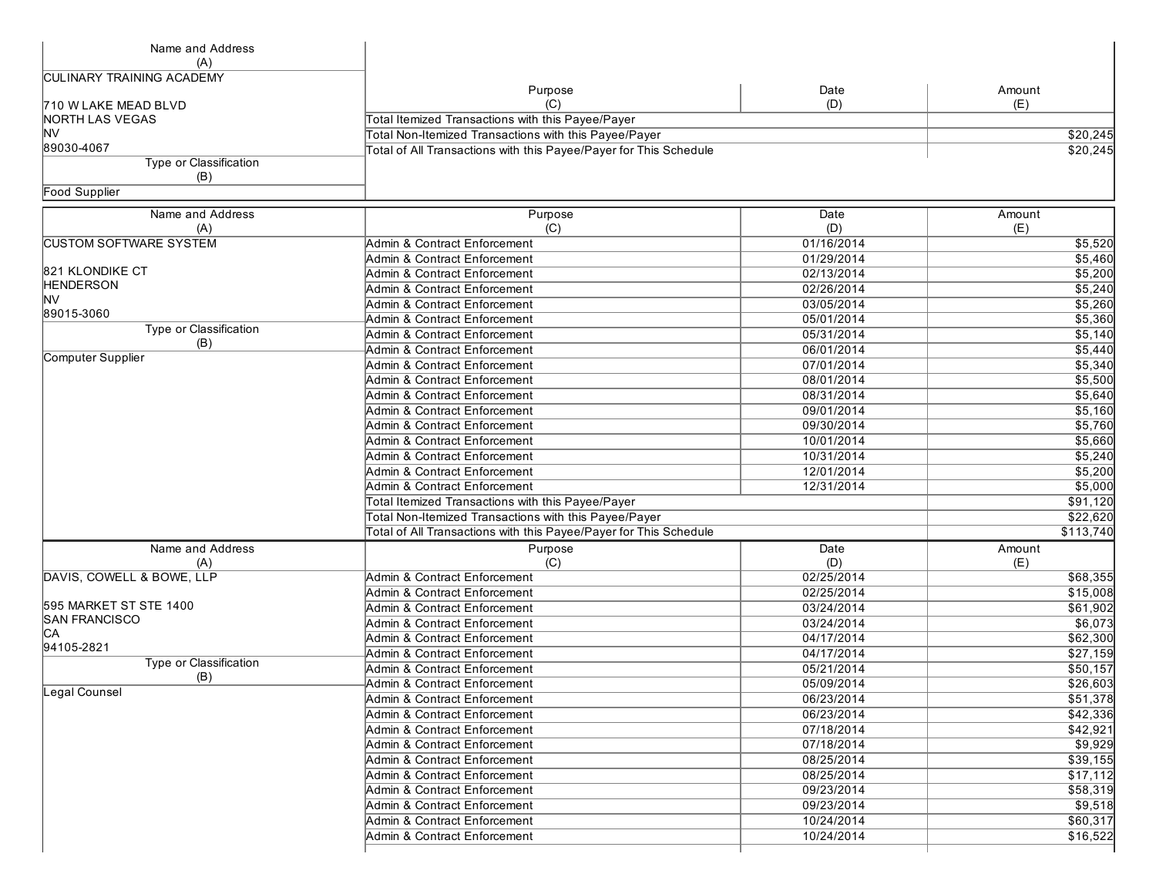| Name and Address                 |                                                                   |            |           |
|----------------------------------|-------------------------------------------------------------------|------------|-----------|
| (A)                              |                                                                   |            |           |
| <b>CULINARY TRAINING ACADEMY</b> |                                                                   |            |           |
|                                  | Purpose                                                           | Date       | Amount    |
| 710 W LAKE MEAD BLVD             | (C)                                                               | (D)        | (E)       |
| NORTH LAS VEGAS                  | Total Itemized Transactions with this Payee/Payer                 |            |           |
| <b>NV</b>                        | Total Non-Itemized Transactions with this Payee/Payer             |            | \$20,245  |
| 89030-4067                       | Total of All Transactions with this Payee/Payer for This Schedule |            | \$20,245  |
| Type or Classification           |                                                                   |            |           |
| (B)                              |                                                                   |            |           |
| <b>Food Supplier</b>             |                                                                   |            |           |
| Name and Address                 | Purpose                                                           | Date       | Amount    |
| (A)                              | (C)                                                               | (D)        | (E)       |
| <b>CUSTOM SOFTWARE SYSTEM</b>    | Admin & Contract Enforcement                                      | 01/16/2014 | \$5,520   |
|                                  | Admin & Contract Enforcement                                      | 01/29/2014 | \$5,460   |
| 821 KLONDIKE CT                  | Admin & Contract Enforcement                                      | 02/13/2014 | \$5,200   |
| <b>HENDERSON</b>                 | Admin & Contract Enforcement                                      | 02/26/2014 | \$5,240   |
| <b>NV</b>                        | Admin & Contract Enforcement                                      | 03/05/2014 | \$5,260   |
| 89015-3060                       | Admin & Contract Enforcement                                      | 05/01/2014 | \$5,360   |
| Type or Classification           | Admin & Contract Enforcement                                      | 05/31/2014 | \$5,140   |
| (B)                              | Admin & Contract Enforcement                                      | 06/01/2014 |           |
| Computer Supplier                |                                                                   |            | \$5,440   |
|                                  | Admin & Contract Enforcement                                      | 07/01/2014 | \$5,340   |
|                                  | <b>Admin &amp; Contract Enforcement</b>                           | 08/01/2014 | \$5,500   |
|                                  | Admin & Contract Enforcement                                      | 08/31/2014 | \$5,640   |
|                                  | Admin & Contract Enforcement                                      | 09/01/2014 | \$5,160   |
|                                  | Admin & Contract Enforcement                                      | 09/30/2014 | \$5,760   |
|                                  | Admin & Contract Enforcement                                      | 10/01/2014 | \$5,660   |
|                                  | Admin & Contract Enforcement                                      | 10/31/2014 | \$5,240   |
|                                  | Admin & Contract Enforcement                                      | 12/01/2014 | \$5,200   |
|                                  | Admin & Contract Enforcement                                      | 12/31/2014 | 5,000     |
|                                  | Total Itemized Transactions with this Payee/Payer                 |            | \$91,120  |
|                                  | Total Non-Itemized Transactions with this Payee/Payer             | \$22,620   |           |
|                                  | Total of All Transactions with this Payee/Payer for This Schedule |            | \$113,740 |
| Name and Address                 | Purpose                                                           | Date       | Amount    |
| (A)                              | (C)                                                               | (D)        | (E)       |
| DAVIS, COWELL & BOWE, LLP        | Admin & Contract Enforcement                                      | 02/25/2014 | \$68,355  |
|                                  | Admin & Contract Enforcement                                      | 02/25/2014 | \$15,008  |
| 595 MARKET ST STE 1400           | Admin & Contract Enforcement                                      | 03/24/2014 | \$61,902  |
| <b>SAN FRANCISCO</b>             | Admin & Contract Enforcement                                      | 03/24/2014 | \$6,073   |
| IСA                              | Admin & Contract Enforcement                                      | 04/17/2014 | \$62,300  |
| 94105-2821                       | Admin & Contract Enforcement                                      | 04/17/2014 | \$27,159  |
| Type or Classification           | Admin & Contract Enforcement                                      | 05/21/2014 | \$50,157  |
| (B)                              | Admin & Contract Enforcement                                      | 05/09/2014 | \$26,603  |
| Legal Counsel                    |                                                                   |            |           |
|                                  | Admin & Contract Enforcement                                      | 06/23/2014 | \$51,378  |
|                                  | Admin & Contract Enforcement                                      | 06/23/2014 | \$42,336  |
|                                  | Admin & Contract Enforcement                                      | 07/18/2014 | \$42,921  |
|                                  | Admin & Contract Enforcement                                      | 07/18/2014 | \$9,929   |
|                                  | Admin & Contract Enforcement                                      | 08/25/2014 | \$39,155  |
|                                  | Admin & Contract Enforcement                                      | 08/25/2014 | \$17,112  |
|                                  | Admin & Contract Enforcement                                      | 09/23/2014 | \$58,319  |
|                                  | Admin & Contract Enforcement                                      | 09/23/2014 | \$9,518   |
|                                  | Admin & Contract Enforcement                                      | 10/24/2014 | \$60,317  |
|                                  | Admin & Contract Enforcement                                      | 10/24/2014 | \$16,522  |
|                                  |                                                                   |            |           |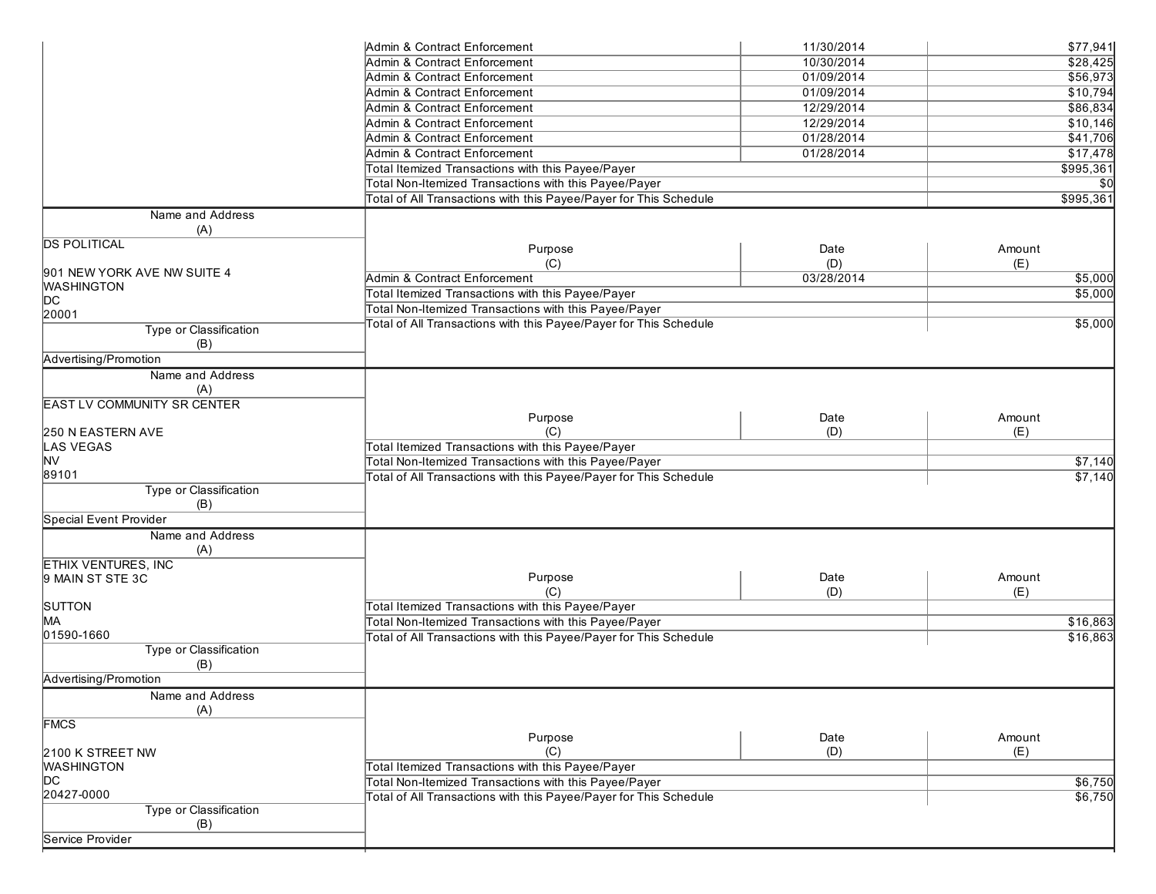| Admin & Contract Enforcement<br>10/30/2014<br>\$28,425<br>01/09/2014<br>\$56,973<br>Admin & Contract Enforcement<br>01/09/2014<br>\$10,794<br>Admin & Contract Enforcement<br>Admin & Contract Enforcement<br>12/29/2014<br>\$86,834<br>Admin & Contract Enforcement<br>12/29/2014<br>\$10,146<br>Admin & Contract Enforcement<br>01/28/2014<br>\$41,706<br>\$17,478<br>Admin & Contract Enforcement<br>01/28/2014<br>Total Itemized Transactions with this Payee/Payer<br>\$995,361<br>Total Non-Itemized Transactions with this Payee/Payer<br>\$0<br>Total of All Transactions with this Payee/Payer for This Schedule<br>\$995,361<br>Name and Address<br>(A)<br><b>DS POLITICAL</b><br>Purpose<br>Date<br>Amount<br>(D)<br>(C)<br>(E)<br>901 NEW YORK AVE NW SUITE 4<br>Admin & Contract Enforcement<br>03/28/2014<br>\$5,000<br><b>WASHINGTON</b><br>\$5,000<br>Total Itemized Transactions with this Payee/Payer<br>þс<br>Total Non-Itemized Transactions with this Payee/Payer<br>20001<br>Total of All Transactions with this Payee/Payer for This Schedule<br>\$5,000<br>Type or Classification<br>(B)<br>Advertising/Promotion<br>Name and Address<br>(A)<br><b>EAST LV COMMUNITY SR CENTER</b><br>Date<br>Purpose<br>Amount<br>(C)<br>(D)<br>(E)<br>250 N EASTERN AVE<br><b>LAS VEGAS</b><br>Total Itemized Transactions with this Payee/Payer<br>NV<br>Total Non-Itemized Transactions with this Payee/Payer<br>\$7,140<br>89101<br>Total of All Transactions with this Payee/Payer for This Schedule<br>\$7,140<br>Type or Classification<br>(B)<br>Special Event Provider<br>Name and Address<br>(A)<br><b>ETHIX VENTURES, INC</b><br>Purpose<br>Date<br>Amount<br>9 MAIN ST STE 3C<br>(D)<br>(E)<br>(C)<br><b>Total Itemized Transactions with this Payee/Payer</b><br><b>SUTTON</b><br>MА<br>Total Non-Itemized Transactions with this Payee/Payer<br>\$16,863<br>01590-1660<br>Total of All Transactions with this Payee/Payer for This Schedule<br>\$16,863<br>Type or Classification<br>(B)<br>Advertising/Promotion<br>Name and Address<br>(A)<br><b>FMCS</b><br>Purpose<br>Amount<br>Date<br>(D)<br>(E)<br>2100 K STREET NW<br>(C)<br><b>WASHINGTON</b><br>Total Itemized Transactions with this Payee/Payer<br>þс<br>Total Non-Itemized Transactions with this Payee/Payer<br>\$6,750<br>20427-0000<br>\$6,750<br>Total of All Transactions with this Payee/Payer for This Schedule<br>Type or Classification<br>(B)<br>Service Provider | Admin & Contract Enforcement | 11/30/2014 | \$77,941 |
|-----------------------------------------------------------------------------------------------------------------------------------------------------------------------------------------------------------------------------------------------------------------------------------------------------------------------------------------------------------------------------------------------------------------------------------------------------------------------------------------------------------------------------------------------------------------------------------------------------------------------------------------------------------------------------------------------------------------------------------------------------------------------------------------------------------------------------------------------------------------------------------------------------------------------------------------------------------------------------------------------------------------------------------------------------------------------------------------------------------------------------------------------------------------------------------------------------------------------------------------------------------------------------------------------------------------------------------------------------------------------------------------------------------------------------------------------------------------------------------------------------------------------------------------------------------------------------------------------------------------------------------------------------------------------------------------------------------------------------------------------------------------------------------------------------------------------------------------------------------------------------------------------------------------------------------------------------------------------------------------------------------------------------------------------------------------------------------------------------------------------------------------------------------------------------------------------------------------------------------------------------------------------------------------------------------------------------------------------------------------------------------------------------------------------------------------------------------------|------------------------------|------------|----------|
|                                                                                                                                                                                                                                                                                                                                                                                                                                                                                                                                                                                                                                                                                                                                                                                                                                                                                                                                                                                                                                                                                                                                                                                                                                                                                                                                                                                                                                                                                                                                                                                                                                                                                                                                                                                                                                                                                                                                                                                                                                                                                                                                                                                                                                                                                                                                                                                                                                                                 |                              |            |          |
|                                                                                                                                                                                                                                                                                                                                                                                                                                                                                                                                                                                                                                                                                                                                                                                                                                                                                                                                                                                                                                                                                                                                                                                                                                                                                                                                                                                                                                                                                                                                                                                                                                                                                                                                                                                                                                                                                                                                                                                                                                                                                                                                                                                                                                                                                                                                                                                                                                                                 |                              |            |          |
|                                                                                                                                                                                                                                                                                                                                                                                                                                                                                                                                                                                                                                                                                                                                                                                                                                                                                                                                                                                                                                                                                                                                                                                                                                                                                                                                                                                                                                                                                                                                                                                                                                                                                                                                                                                                                                                                                                                                                                                                                                                                                                                                                                                                                                                                                                                                                                                                                                                                 |                              |            |          |
|                                                                                                                                                                                                                                                                                                                                                                                                                                                                                                                                                                                                                                                                                                                                                                                                                                                                                                                                                                                                                                                                                                                                                                                                                                                                                                                                                                                                                                                                                                                                                                                                                                                                                                                                                                                                                                                                                                                                                                                                                                                                                                                                                                                                                                                                                                                                                                                                                                                                 |                              |            |          |
|                                                                                                                                                                                                                                                                                                                                                                                                                                                                                                                                                                                                                                                                                                                                                                                                                                                                                                                                                                                                                                                                                                                                                                                                                                                                                                                                                                                                                                                                                                                                                                                                                                                                                                                                                                                                                                                                                                                                                                                                                                                                                                                                                                                                                                                                                                                                                                                                                                                                 |                              |            |          |
|                                                                                                                                                                                                                                                                                                                                                                                                                                                                                                                                                                                                                                                                                                                                                                                                                                                                                                                                                                                                                                                                                                                                                                                                                                                                                                                                                                                                                                                                                                                                                                                                                                                                                                                                                                                                                                                                                                                                                                                                                                                                                                                                                                                                                                                                                                                                                                                                                                                                 |                              |            |          |
|                                                                                                                                                                                                                                                                                                                                                                                                                                                                                                                                                                                                                                                                                                                                                                                                                                                                                                                                                                                                                                                                                                                                                                                                                                                                                                                                                                                                                                                                                                                                                                                                                                                                                                                                                                                                                                                                                                                                                                                                                                                                                                                                                                                                                                                                                                                                                                                                                                                                 |                              |            |          |
|                                                                                                                                                                                                                                                                                                                                                                                                                                                                                                                                                                                                                                                                                                                                                                                                                                                                                                                                                                                                                                                                                                                                                                                                                                                                                                                                                                                                                                                                                                                                                                                                                                                                                                                                                                                                                                                                                                                                                                                                                                                                                                                                                                                                                                                                                                                                                                                                                                                                 |                              |            |          |
|                                                                                                                                                                                                                                                                                                                                                                                                                                                                                                                                                                                                                                                                                                                                                                                                                                                                                                                                                                                                                                                                                                                                                                                                                                                                                                                                                                                                                                                                                                                                                                                                                                                                                                                                                                                                                                                                                                                                                                                                                                                                                                                                                                                                                                                                                                                                                                                                                                                                 |                              |            |          |
|                                                                                                                                                                                                                                                                                                                                                                                                                                                                                                                                                                                                                                                                                                                                                                                                                                                                                                                                                                                                                                                                                                                                                                                                                                                                                                                                                                                                                                                                                                                                                                                                                                                                                                                                                                                                                                                                                                                                                                                                                                                                                                                                                                                                                                                                                                                                                                                                                                                                 |                              |            |          |
|                                                                                                                                                                                                                                                                                                                                                                                                                                                                                                                                                                                                                                                                                                                                                                                                                                                                                                                                                                                                                                                                                                                                                                                                                                                                                                                                                                                                                                                                                                                                                                                                                                                                                                                                                                                                                                                                                                                                                                                                                                                                                                                                                                                                                                                                                                                                                                                                                                                                 |                              |            |          |
|                                                                                                                                                                                                                                                                                                                                                                                                                                                                                                                                                                                                                                                                                                                                                                                                                                                                                                                                                                                                                                                                                                                                                                                                                                                                                                                                                                                                                                                                                                                                                                                                                                                                                                                                                                                                                                                                                                                                                                                                                                                                                                                                                                                                                                                                                                                                                                                                                                                                 |                              |            |          |
|                                                                                                                                                                                                                                                                                                                                                                                                                                                                                                                                                                                                                                                                                                                                                                                                                                                                                                                                                                                                                                                                                                                                                                                                                                                                                                                                                                                                                                                                                                                                                                                                                                                                                                                                                                                                                                                                                                                                                                                                                                                                                                                                                                                                                                                                                                                                                                                                                                                                 |                              |            |          |
|                                                                                                                                                                                                                                                                                                                                                                                                                                                                                                                                                                                                                                                                                                                                                                                                                                                                                                                                                                                                                                                                                                                                                                                                                                                                                                                                                                                                                                                                                                                                                                                                                                                                                                                                                                                                                                                                                                                                                                                                                                                                                                                                                                                                                                                                                                                                                                                                                                                                 |                              |            |          |
|                                                                                                                                                                                                                                                                                                                                                                                                                                                                                                                                                                                                                                                                                                                                                                                                                                                                                                                                                                                                                                                                                                                                                                                                                                                                                                                                                                                                                                                                                                                                                                                                                                                                                                                                                                                                                                                                                                                                                                                                                                                                                                                                                                                                                                                                                                                                                                                                                                                                 |                              |            |          |
|                                                                                                                                                                                                                                                                                                                                                                                                                                                                                                                                                                                                                                                                                                                                                                                                                                                                                                                                                                                                                                                                                                                                                                                                                                                                                                                                                                                                                                                                                                                                                                                                                                                                                                                                                                                                                                                                                                                                                                                                                                                                                                                                                                                                                                                                                                                                                                                                                                                                 |                              |            |          |
|                                                                                                                                                                                                                                                                                                                                                                                                                                                                                                                                                                                                                                                                                                                                                                                                                                                                                                                                                                                                                                                                                                                                                                                                                                                                                                                                                                                                                                                                                                                                                                                                                                                                                                                                                                                                                                                                                                                                                                                                                                                                                                                                                                                                                                                                                                                                                                                                                                                                 |                              |            |          |
|                                                                                                                                                                                                                                                                                                                                                                                                                                                                                                                                                                                                                                                                                                                                                                                                                                                                                                                                                                                                                                                                                                                                                                                                                                                                                                                                                                                                                                                                                                                                                                                                                                                                                                                                                                                                                                                                                                                                                                                                                                                                                                                                                                                                                                                                                                                                                                                                                                                                 |                              |            |          |
|                                                                                                                                                                                                                                                                                                                                                                                                                                                                                                                                                                                                                                                                                                                                                                                                                                                                                                                                                                                                                                                                                                                                                                                                                                                                                                                                                                                                                                                                                                                                                                                                                                                                                                                                                                                                                                                                                                                                                                                                                                                                                                                                                                                                                                                                                                                                                                                                                                                                 |                              |            |          |
|                                                                                                                                                                                                                                                                                                                                                                                                                                                                                                                                                                                                                                                                                                                                                                                                                                                                                                                                                                                                                                                                                                                                                                                                                                                                                                                                                                                                                                                                                                                                                                                                                                                                                                                                                                                                                                                                                                                                                                                                                                                                                                                                                                                                                                                                                                                                                                                                                                                                 |                              |            |          |
|                                                                                                                                                                                                                                                                                                                                                                                                                                                                                                                                                                                                                                                                                                                                                                                                                                                                                                                                                                                                                                                                                                                                                                                                                                                                                                                                                                                                                                                                                                                                                                                                                                                                                                                                                                                                                                                                                                                                                                                                                                                                                                                                                                                                                                                                                                                                                                                                                                                                 |                              |            |          |
|                                                                                                                                                                                                                                                                                                                                                                                                                                                                                                                                                                                                                                                                                                                                                                                                                                                                                                                                                                                                                                                                                                                                                                                                                                                                                                                                                                                                                                                                                                                                                                                                                                                                                                                                                                                                                                                                                                                                                                                                                                                                                                                                                                                                                                                                                                                                                                                                                                                                 |                              |            |          |
|                                                                                                                                                                                                                                                                                                                                                                                                                                                                                                                                                                                                                                                                                                                                                                                                                                                                                                                                                                                                                                                                                                                                                                                                                                                                                                                                                                                                                                                                                                                                                                                                                                                                                                                                                                                                                                                                                                                                                                                                                                                                                                                                                                                                                                                                                                                                                                                                                                                                 |                              |            |          |
|                                                                                                                                                                                                                                                                                                                                                                                                                                                                                                                                                                                                                                                                                                                                                                                                                                                                                                                                                                                                                                                                                                                                                                                                                                                                                                                                                                                                                                                                                                                                                                                                                                                                                                                                                                                                                                                                                                                                                                                                                                                                                                                                                                                                                                                                                                                                                                                                                                                                 |                              |            |          |
|                                                                                                                                                                                                                                                                                                                                                                                                                                                                                                                                                                                                                                                                                                                                                                                                                                                                                                                                                                                                                                                                                                                                                                                                                                                                                                                                                                                                                                                                                                                                                                                                                                                                                                                                                                                                                                                                                                                                                                                                                                                                                                                                                                                                                                                                                                                                                                                                                                                                 |                              |            |          |
|                                                                                                                                                                                                                                                                                                                                                                                                                                                                                                                                                                                                                                                                                                                                                                                                                                                                                                                                                                                                                                                                                                                                                                                                                                                                                                                                                                                                                                                                                                                                                                                                                                                                                                                                                                                                                                                                                                                                                                                                                                                                                                                                                                                                                                                                                                                                                                                                                                                                 |                              |            |          |
|                                                                                                                                                                                                                                                                                                                                                                                                                                                                                                                                                                                                                                                                                                                                                                                                                                                                                                                                                                                                                                                                                                                                                                                                                                                                                                                                                                                                                                                                                                                                                                                                                                                                                                                                                                                                                                                                                                                                                                                                                                                                                                                                                                                                                                                                                                                                                                                                                                                                 |                              |            |          |
|                                                                                                                                                                                                                                                                                                                                                                                                                                                                                                                                                                                                                                                                                                                                                                                                                                                                                                                                                                                                                                                                                                                                                                                                                                                                                                                                                                                                                                                                                                                                                                                                                                                                                                                                                                                                                                                                                                                                                                                                                                                                                                                                                                                                                                                                                                                                                                                                                                                                 |                              |            |          |
|                                                                                                                                                                                                                                                                                                                                                                                                                                                                                                                                                                                                                                                                                                                                                                                                                                                                                                                                                                                                                                                                                                                                                                                                                                                                                                                                                                                                                                                                                                                                                                                                                                                                                                                                                                                                                                                                                                                                                                                                                                                                                                                                                                                                                                                                                                                                                                                                                                                                 |                              |            |          |
|                                                                                                                                                                                                                                                                                                                                                                                                                                                                                                                                                                                                                                                                                                                                                                                                                                                                                                                                                                                                                                                                                                                                                                                                                                                                                                                                                                                                                                                                                                                                                                                                                                                                                                                                                                                                                                                                                                                                                                                                                                                                                                                                                                                                                                                                                                                                                                                                                                                                 |                              |            |          |
|                                                                                                                                                                                                                                                                                                                                                                                                                                                                                                                                                                                                                                                                                                                                                                                                                                                                                                                                                                                                                                                                                                                                                                                                                                                                                                                                                                                                                                                                                                                                                                                                                                                                                                                                                                                                                                                                                                                                                                                                                                                                                                                                                                                                                                                                                                                                                                                                                                                                 |                              |            |          |
|                                                                                                                                                                                                                                                                                                                                                                                                                                                                                                                                                                                                                                                                                                                                                                                                                                                                                                                                                                                                                                                                                                                                                                                                                                                                                                                                                                                                                                                                                                                                                                                                                                                                                                                                                                                                                                                                                                                                                                                                                                                                                                                                                                                                                                                                                                                                                                                                                                                                 |                              |            |          |
|                                                                                                                                                                                                                                                                                                                                                                                                                                                                                                                                                                                                                                                                                                                                                                                                                                                                                                                                                                                                                                                                                                                                                                                                                                                                                                                                                                                                                                                                                                                                                                                                                                                                                                                                                                                                                                                                                                                                                                                                                                                                                                                                                                                                                                                                                                                                                                                                                                                                 |                              |            |          |
|                                                                                                                                                                                                                                                                                                                                                                                                                                                                                                                                                                                                                                                                                                                                                                                                                                                                                                                                                                                                                                                                                                                                                                                                                                                                                                                                                                                                                                                                                                                                                                                                                                                                                                                                                                                                                                                                                                                                                                                                                                                                                                                                                                                                                                                                                                                                                                                                                                                                 |                              |            |          |
|                                                                                                                                                                                                                                                                                                                                                                                                                                                                                                                                                                                                                                                                                                                                                                                                                                                                                                                                                                                                                                                                                                                                                                                                                                                                                                                                                                                                                                                                                                                                                                                                                                                                                                                                                                                                                                                                                                                                                                                                                                                                                                                                                                                                                                                                                                                                                                                                                                                                 |                              |            |          |
|                                                                                                                                                                                                                                                                                                                                                                                                                                                                                                                                                                                                                                                                                                                                                                                                                                                                                                                                                                                                                                                                                                                                                                                                                                                                                                                                                                                                                                                                                                                                                                                                                                                                                                                                                                                                                                                                                                                                                                                                                                                                                                                                                                                                                                                                                                                                                                                                                                                                 |                              |            |          |
|                                                                                                                                                                                                                                                                                                                                                                                                                                                                                                                                                                                                                                                                                                                                                                                                                                                                                                                                                                                                                                                                                                                                                                                                                                                                                                                                                                                                                                                                                                                                                                                                                                                                                                                                                                                                                                                                                                                                                                                                                                                                                                                                                                                                                                                                                                                                                                                                                                                                 |                              |            |          |
|                                                                                                                                                                                                                                                                                                                                                                                                                                                                                                                                                                                                                                                                                                                                                                                                                                                                                                                                                                                                                                                                                                                                                                                                                                                                                                                                                                                                                                                                                                                                                                                                                                                                                                                                                                                                                                                                                                                                                                                                                                                                                                                                                                                                                                                                                                                                                                                                                                                                 |                              |            |          |
|                                                                                                                                                                                                                                                                                                                                                                                                                                                                                                                                                                                                                                                                                                                                                                                                                                                                                                                                                                                                                                                                                                                                                                                                                                                                                                                                                                                                                                                                                                                                                                                                                                                                                                                                                                                                                                                                                                                                                                                                                                                                                                                                                                                                                                                                                                                                                                                                                                                                 |                              |            |          |
|                                                                                                                                                                                                                                                                                                                                                                                                                                                                                                                                                                                                                                                                                                                                                                                                                                                                                                                                                                                                                                                                                                                                                                                                                                                                                                                                                                                                                                                                                                                                                                                                                                                                                                                                                                                                                                                                                                                                                                                                                                                                                                                                                                                                                                                                                                                                                                                                                                                                 |                              |            |          |
|                                                                                                                                                                                                                                                                                                                                                                                                                                                                                                                                                                                                                                                                                                                                                                                                                                                                                                                                                                                                                                                                                                                                                                                                                                                                                                                                                                                                                                                                                                                                                                                                                                                                                                                                                                                                                                                                                                                                                                                                                                                                                                                                                                                                                                                                                                                                                                                                                                                                 |                              |            |          |
|                                                                                                                                                                                                                                                                                                                                                                                                                                                                                                                                                                                                                                                                                                                                                                                                                                                                                                                                                                                                                                                                                                                                                                                                                                                                                                                                                                                                                                                                                                                                                                                                                                                                                                                                                                                                                                                                                                                                                                                                                                                                                                                                                                                                                                                                                                                                                                                                                                                                 |                              |            |          |
|                                                                                                                                                                                                                                                                                                                                                                                                                                                                                                                                                                                                                                                                                                                                                                                                                                                                                                                                                                                                                                                                                                                                                                                                                                                                                                                                                                                                                                                                                                                                                                                                                                                                                                                                                                                                                                                                                                                                                                                                                                                                                                                                                                                                                                                                                                                                                                                                                                                                 |                              |            |          |
|                                                                                                                                                                                                                                                                                                                                                                                                                                                                                                                                                                                                                                                                                                                                                                                                                                                                                                                                                                                                                                                                                                                                                                                                                                                                                                                                                                                                                                                                                                                                                                                                                                                                                                                                                                                                                                                                                                                                                                                                                                                                                                                                                                                                                                                                                                                                                                                                                                                                 |                              |            |          |
|                                                                                                                                                                                                                                                                                                                                                                                                                                                                                                                                                                                                                                                                                                                                                                                                                                                                                                                                                                                                                                                                                                                                                                                                                                                                                                                                                                                                                                                                                                                                                                                                                                                                                                                                                                                                                                                                                                                                                                                                                                                                                                                                                                                                                                                                                                                                                                                                                                                                 |                              |            |          |
|                                                                                                                                                                                                                                                                                                                                                                                                                                                                                                                                                                                                                                                                                                                                                                                                                                                                                                                                                                                                                                                                                                                                                                                                                                                                                                                                                                                                                                                                                                                                                                                                                                                                                                                                                                                                                                                                                                                                                                                                                                                                                                                                                                                                                                                                                                                                                                                                                                                                 |                              |            |          |
|                                                                                                                                                                                                                                                                                                                                                                                                                                                                                                                                                                                                                                                                                                                                                                                                                                                                                                                                                                                                                                                                                                                                                                                                                                                                                                                                                                                                                                                                                                                                                                                                                                                                                                                                                                                                                                                                                                                                                                                                                                                                                                                                                                                                                                                                                                                                                                                                                                                                 |                              |            |          |
|                                                                                                                                                                                                                                                                                                                                                                                                                                                                                                                                                                                                                                                                                                                                                                                                                                                                                                                                                                                                                                                                                                                                                                                                                                                                                                                                                                                                                                                                                                                                                                                                                                                                                                                                                                                                                                                                                                                                                                                                                                                                                                                                                                                                                                                                                                                                                                                                                                                                 |                              |            |          |
|                                                                                                                                                                                                                                                                                                                                                                                                                                                                                                                                                                                                                                                                                                                                                                                                                                                                                                                                                                                                                                                                                                                                                                                                                                                                                                                                                                                                                                                                                                                                                                                                                                                                                                                                                                                                                                                                                                                                                                                                                                                                                                                                                                                                                                                                                                                                                                                                                                                                 |                              |            |          |
|                                                                                                                                                                                                                                                                                                                                                                                                                                                                                                                                                                                                                                                                                                                                                                                                                                                                                                                                                                                                                                                                                                                                                                                                                                                                                                                                                                                                                                                                                                                                                                                                                                                                                                                                                                                                                                                                                                                                                                                                                                                                                                                                                                                                                                                                                                                                                                                                                                                                 |                              |            |          |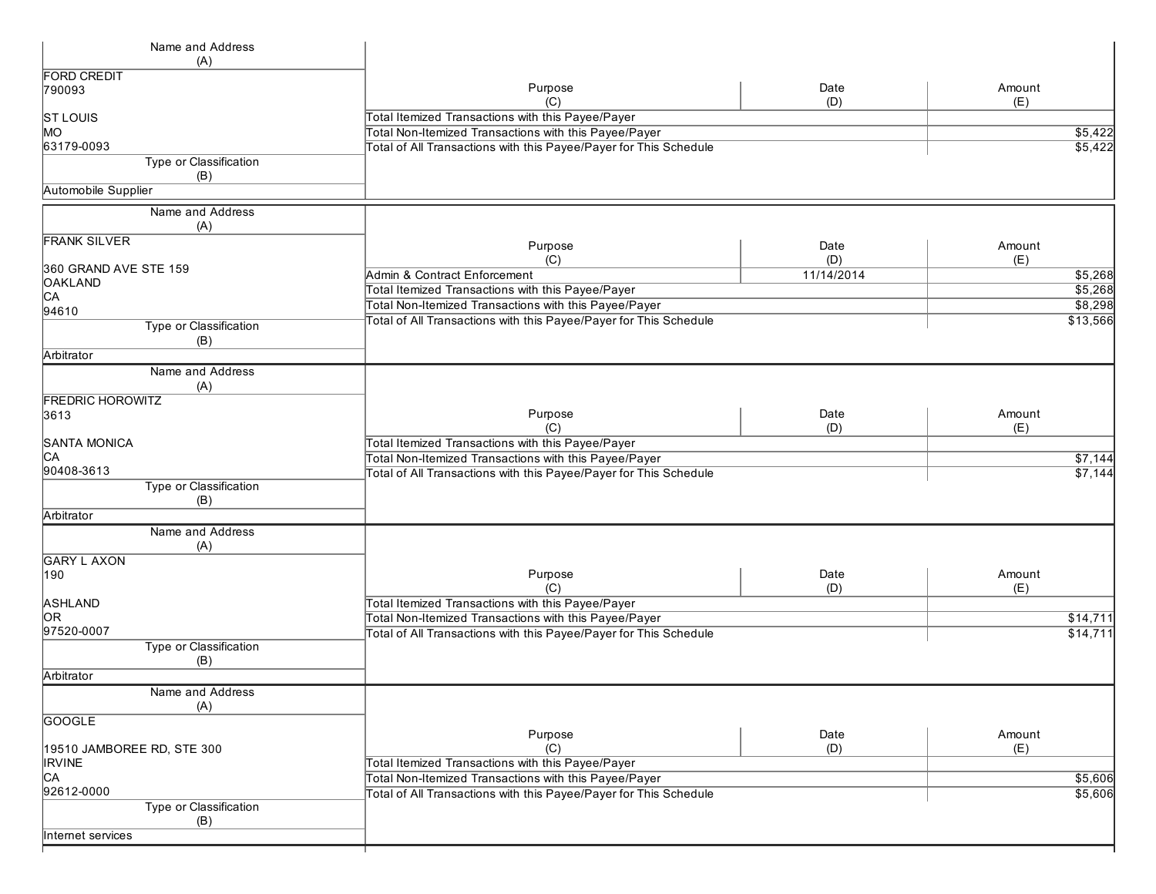| Name and Address              |                                                                   |            |                 |
|-------------------------------|-------------------------------------------------------------------|------------|-----------------|
| (A)                           |                                                                   |            |                 |
| <b>FORD CREDIT</b>            |                                                                   |            |                 |
| 790093                        | Purpose<br>(C)                                                    | Date       | Amount          |
|                               | Total Itemized Transactions with this Payee/Payer                 | (D)        | (E)             |
| <b>ST LOUIS</b><br>MO         | Total Non-Itemized Transactions with this Payee/Payer             |            | \$5,422         |
| 63179-0093                    | Total of All Transactions with this Payee/Payer for This Schedule |            | 5,422           |
| Type or Classification        |                                                                   |            |                 |
| (B)                           |                                                                   |            |                 |
| Automobile Supplier           |                                                                   |            |                 |
|                               |                                                                   |            |                 |
| Name and Address              |                                                                   |            |                 |
| (A)                           |                                                                   |            |                 |
| <b>FRANK SILVER</b>           | Purpose                                                           | Date       | Amount          |
|                               | (C)                                                               | (D)        | (E)             |
| 360 GRAND AVE STE 159         | Admin & Contract Enforcement                                      | 11/14/2014 | \$5,268         |
| <b>OAKLAND</b>                | Total Itemized Transactions with this Payee/Payer                 |            | 5,268           |
| CA                            | Total Non-Itemized Transactions with this Payee/Payer             |            | \$8,298         |
| 94610                         | Total of All Transactions with this Payee/Payer for This Schedule |            | \$13,566        |
| Type or Classification<br>(B) |                                                                   |            |                 |
| Arbitrator                    |                                                                   |            |                 |
| Name and Address              |                                                                   |            |                 |
| (A)                           |                                                                   |            |                 |
| <b>FREDRIC HOROWITZ</b>       |                                                                   |            |                 |
| 3613                          | Purpose                                                           | Date       | Amount          |
|                               | (C)                                                               | (D)        | (E)             |
| <b>SANTA MONICA</b>           | Total Itemized Transactions with this Payee/Payer                 |            |                 |
| CА                            | Total Non-Itemized Transactions with this Payee/Payer             |            | \$7,144         |
| 90408-3613                    | Total of All Transactions with this Payee/Payer for This Schedule |            | $\sqrt{$7,144}$ |
| Type or Classification        |                                                                   |            |                 |
| (B)                           |                                                                   |            |                 |
| Arbitrator                    |                                                                   |            |                 |
| Name and Address              |                                                                   |            |                 |
| (A)                           |                                                                   |            |                 |
| <b>GARY L AXON</b>            |                                                                   |            |                 |
| 190                           | Purpose                                                           | Date       | Amount          |
|                               | (C)                                                               | (D)        | (E)             |
| ASHLAND                       | Total Itemized Transactions with this Payee/Payer                 |            |                 |
| OR.                           | Total Non-Itemized Transactions with this Payee/Payer             |            | \$14,711        |
| 97520-0007                    | Total of All Transactions with this Payee/Payer for This Schedule |            | \$14,711        |
| Type or Classification        |                                                                   |            |                 |
| (B)                           |                                                                   |            |                 |
| Arbitrator                    |                                                                   |            |                 |
| Name and Address              |                                                                   |            |                 |
| (A)                           |                                                                   |            |                 |
| <b>GOOGLE</b>                 |                                                                   |            |                 |
|                               | Purpose                                                           | Date       | Amount          |
| 19510 JAMBOREE RD, STE 300    | (C)                                                               | (D)        | (E)             |
| <b>IRVINE</b>                 | Total Itemized Transactions with this Payee/Payer                 |            |                 |
| CA                            | Total Non-Itemized Transactions with this Payee/Payer             |            | \$5,606         |
| 92612-0000                    | Total of All Transactions with this Payee/Payer for This Schedule |            | \$5,606         |
| <b>Type or Classification</b> |                                                                   |            |                 |
| (B)                           |                                                                   |            |                 |
| Internet services             |                                                                   |            |                 |
|                               |                                                                   |            |                 |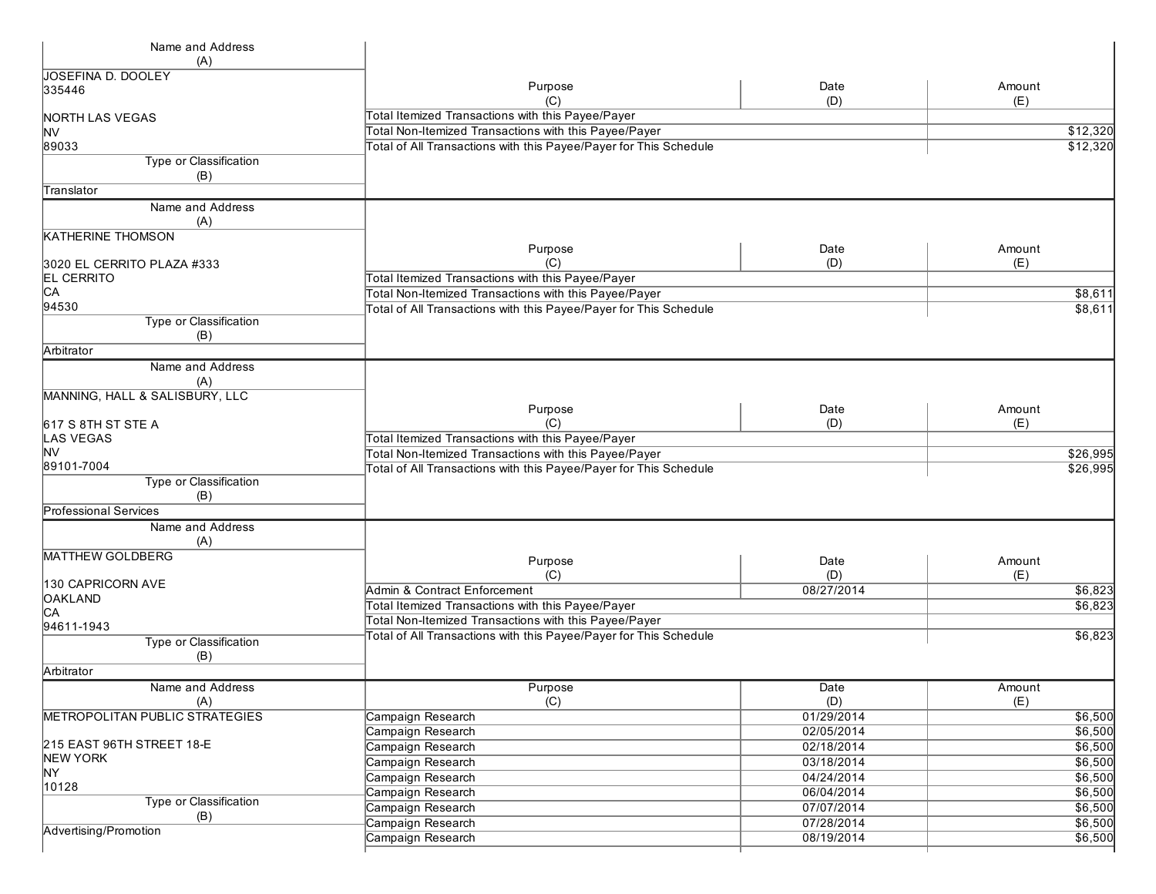| Name and Address                      |                                                                   |             |               |
|---------------------------------------|-------------------------------------------------------------------|-------------|---------------|
| (A)                                   |                                                                   |             |               |
| JOSEFINA D. DOOLEY                    |                                                                   |             |               |
| 335446                                | Purpose<br>(C)                                                    | Date<br>(D) | Amount<br>(E) |
| <b>NORTH LAS VEGAS</b>                | Total Itemized Transactions with this Payee/Payer                 |             |               |
| M∨                                    | Total Non-Itemized Transactions with this Payee/Payer             |             | \$12,320      |
| 89033                                 | Total of All Transactions with this Payee/Payer for This Schedule |             | \$12,320      |
| Type or Classification                |                                                                   |             |               |
| (B)                                   |                                                                   |             |               |
| Translator                            |                                                                   |             |               |
| Name and Address                      |                                                                   |             |               |
| (A)                                   |                                                                   |             |               |
| <b>KATHERINE THOMSON</b>              |                                                                   |             |               |
|                                       | Purpose                                                           | Date        | Amount        |
| 3020 EL CERRITO PLAZA #333            | (C)                                                               | (D)         | (E)           |
| <b>EL CERRITO</b>                     | Total Itemized Transactions with this Payee/Payer                 |             |               |
| CА<br>94530                           | Total Non-Itemized Transactions with this Payee/Payer             |             | \$8,611       |
| Type or Classification                | Total of All Transactions with this Payee/Payer for This Schedule |             | \$8,611       |
| (B)                                   |                                                                   |             |               |
| Arbitrator                            |                                                                   |             |               |
| Name and Address                      |                                                                   |             |               |
| (A)                                   |                                                                   |             |               |
| MANNING, HALL & SALISBURY, LLC        |                                                                   |             |               |
|                                       | Purpose<br>(C)                                                    | Date        | Amount        |
| 617 S 8TH ST STE A<br>LAS VEGAS       | Total Itemized Transactions with this Payee/Payer                 | (D)         | (E)           |
| lNV                                   | Total Non-Itemized Transactions with this Payee/Payer             |             | \$26,995      |
| 89101-7004                            | Total of All Transactions with this Payee/Payer for This Schedule |             | \$26,995      |
| Type or Classification                |                                                                   |             |               |
| (B)                                   |                                                                   |             |               |
| Professional Services                 |                                                                   |             |               |
| Name and Address                      |                                                                   |             |               |
| (A)                                   |                                                                   |             |               |
| <b>MATTHEW GOLDBERG</b>               | Purpose                                                           | Date        | Amount        |
|                                       | (C)                                                               | (D)         | (E)           |
| 130 CAPRICORN AVE                     | Admin & Contract Enforcement                                      | 08/27/2014  | \$6,823       |
| OAKLAND<br>IСA                        | Total Itemized Transactions with this Payee/Payer                 |             | \$6,823       |
| 94611-1943                            | Total Non-Itemized Transactions with this Payee/Payer             |             |               |
| Type or Classification                | Total of All Transactions with this Payee/Payer for This Schedule |             | \$6,823       |
| (B)                                   |                                                                   |             |               |
| Arbitrator                            |                                                                   |             |               |
| Name and Address                      | Purpose                                                           | Date        | Amount        |
| (A)                                   | (C)                                                               | (D)         | (E)           |
| <b>METROPOLITAN PUBLIC STRATEGIES</b> | Campaign Research                                                 | 01/29/2014  | \$6,500       |
|                                       | Campaign Research                                                 | 02/05/2014  | \$6,500       |
| 215 EAST 96TH STREET 18-E             | Campaign Research                                                 | 02/18/2014  | \$6,500       |
| <b>NEW YORK</b>                       | Campaign Research                                                 | 03/18/2014  | \$6,500       |
| NY.                                   | Campaign Research                                                 | 04/24/2014  | \$6,500       |
| 10128                                 | Campaign Research                                                 | 06/04/2014  | \$6,500       |
| Type or Classification<br>(B)         | Campaign Research                                                 | 07/07/2014  | \$6,500       |
| Advertising/Promotion                 | Campaign Research                                                 | 07/28/2014  | \$6,500       |
|                                       | Campaign Research                                                 | 08/19/2014  | \$6,500       |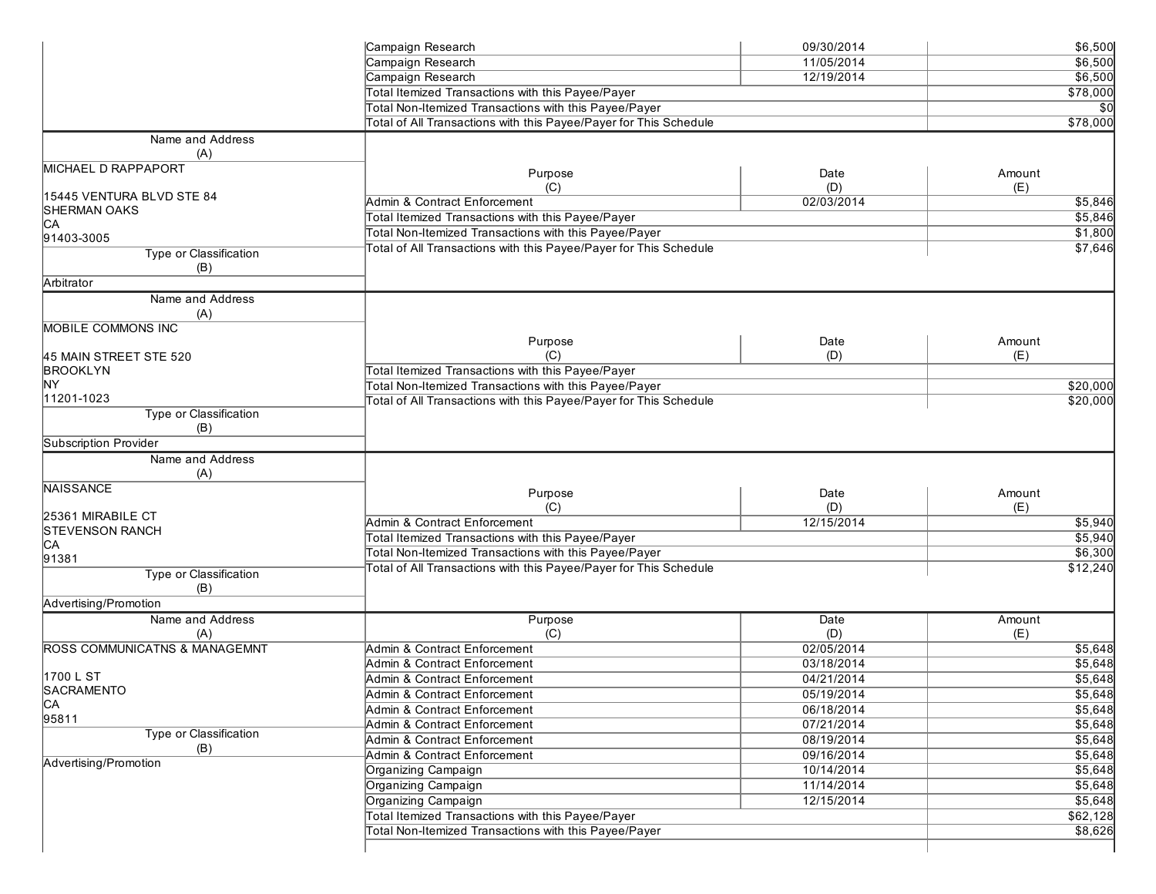|                                          | Campaign Research                                                 | 09/30/2014 | \$6,500  |
|------------------------------------------|-------------------------------------------------------------------|------------|----------|
|                                          | Campaign Research                                                 | 11/05/2014 | \$6,500  |
|                                          | Campaign Research                                                 | 12/19/2014 | \$6,500  |
|                                          | Total Itemized Transactions with this Payee/Payer                 |            | \$78,000 |
|                                          | Total Non-Itemized Transactions with this Payee/Payer             |            | \$0      |
|                                          | Total of All Transactions with this Payee/Payer for This Schedule |            | \$78,000 |
| Name and Address                         |                                                                   |            |          |
| (A)                                      |                                                                   |            |          |
| <b>MICHAEL D RAPPAPORT</b>               |                                                                   |            |          |
|                                          | Purpose                                                           | Date       | Amount   |
| 15445 VENTURA BLVD STE 84                | (C)                                                               | (D)        | (E)      |
| <b>SHERMAN OAKS</b>                      | Admin & Contract Enforcement                                      | 02/03/2014 | \$5,846  |
| CA                                       | Total Itemized Transactions with this Payee/Payer                 |            | \$5,846  |
| 91403-3005                               | Total Non-Itemized Transactions with this Payee/Payer             |            | \$1,800  |
| Type or Classification                   | Total of All Transactions with this Payee/Payer for This Schedule |            | \$7,646  |
| (B)                                      |                                                                   |            |          |
| Arbitrator                               |                                                                   |            |          |
| Name and Address                         |                                                                   |            |          |
| (A)                                      |                                                                   |            |          |
| MOBILE COMMONS INC                       |                                                                   |            |          |
|                                          | Purpose                                                           | Date       | Amount   |
| 45 MAIN STREET STE 520                   | (C)                                                               | (D)        | (E)      |
| <b>BROOKLYN</b>                          | Total Itemized Transactions with this Payee/Payer                 |            |          |
| <b>NY</b>                                |                                                                   |            |          |
| 11201-1023                               | Total Non-Itemized Transactions with this Payee/Payer             |            | \$20,000 |
| Type or Classification                   | Total of All Transactions with this Payee/Payer for This Schedule |            | \$20,000 |
| (B)                                      |                                                                   |            |          |
|                                          |                                                                   |            |          |
| Subscription Provider                    |                                                                   |            |          |
| Name and Address                         |                                                                   |            |          |
| (A)                                      |                                                                   |            |          |
| <b>NAISSANCE</b>                         | Purpose                                                           | Date       | Amount   |
|                                          | (C)                                                               | (D)        | (E)      |
| 25361 MIRABILE CT                        | Admin & Contract Enforcement                                      | 12/15/2014 | \$5,940  |
| <b>STEVENSON RANCH</b>                   | Total Itemized Transactions with this Payee/Payer                 |            | \$5,940  |
| CA<br>91381                              | Total Non-Itemized Transactions with this Payee/Payer             |            | \$6,300  |
|                                          | Total of All Transactions with this Payee/Payer for This Schedule |            | \$12,240 |
| Type or Classification                   |                                                                   |            |          |
| (B)                                      |                                                                   |            |          |
| Advertising/Promotion                    |                                                                   |            |          |
| Name and Address                         | Purpose                                                           | Date       | Amount   |
| (A)                                      | (C)                                                               | (D)        | (E)      |
| <b>ROSS COMMUNICATNS &amp; MANAGEMNT</b> | Admin & Contract Enforcement                                      | 02/05/2014 | \$5,648  |
|                                          | Admin & Contract Enforcement                                      | 03/18/2014 | \$5,648  |
| 1700 L ST                                | Admin & Contract Enforcement                                      | 04/21/2014 | \$5,648  |
| SACRAMENTO                               | Admin & Contract Enforcement                                      | 05/19/2014 | \$5,648  |
| CA                                       | Admin & Contract Enforcement                                      | 06/18/2014 | \$5,648  |
| 95811                                    | Admin & Contract Enforcement                                      | 07/21/2014 | \$5,648  |
| <b>Type or Classification</b>            | Admin & Contract Enforcement                                      | 08/19/2014 | \$5,648  |
| (B)                                      | Admin & Contract Enforcement                                      | 09/16/2014 | \$5,648  |
| Advertising/Promotion                    | Organizing Campaign                                               | 10/14/2014 | \$5,648  |
|                                          | Organizing Campaign                                               | 11/14/2014 | \$5,648  |
|                                          | Organizing Campaign                                               | 12/15/2014 | \$5,648  |
|                                          | Total Itemized Transactions with this Payee/Payer                 |            | \$62,128 |
|                                          |                                                                   |            |          |
|                                          | Total Non-Itemized Transactions with this Payee/Payer             |            | \$8,626  |
|                                          |                                                                   |            |          |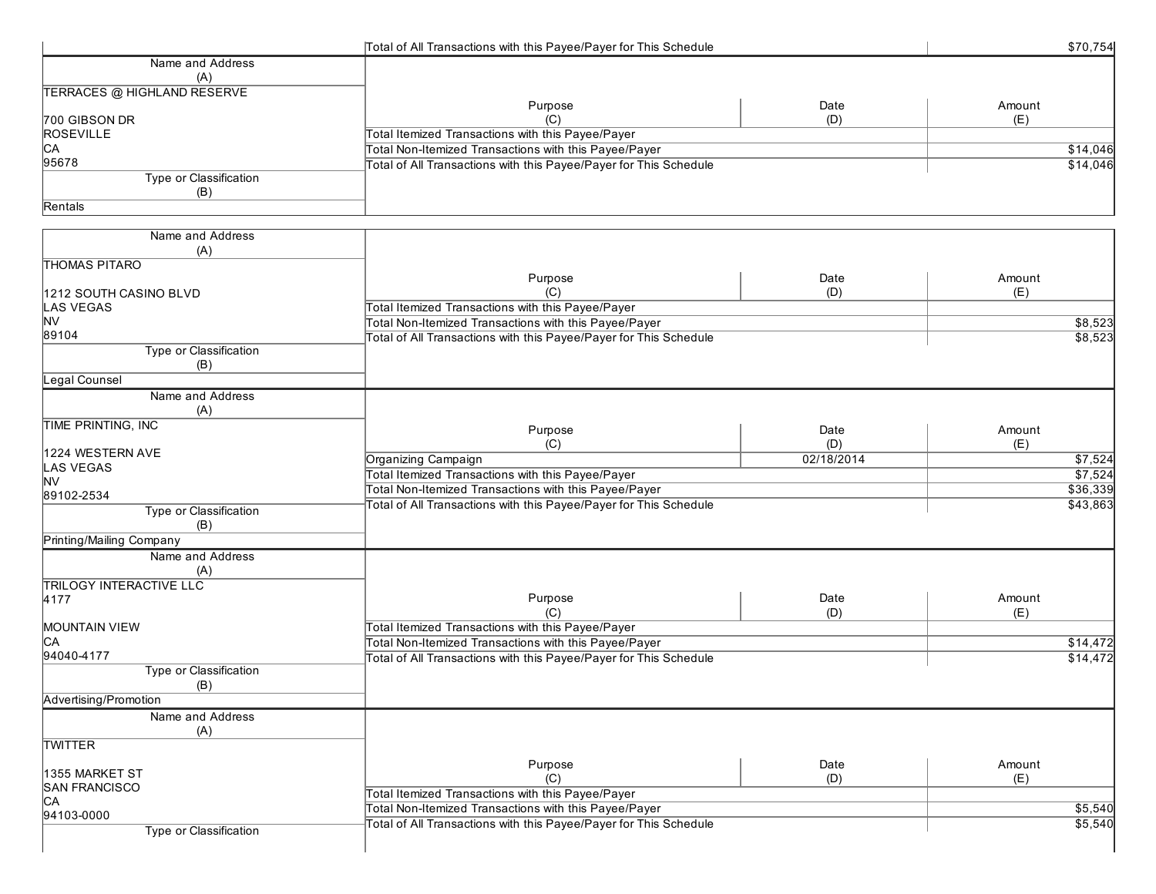|                                    | Total of All Transactions with this Payee/Payer for This Schedule |            | \$70,754 |
|------------------------------------|-------------------------------------------------------------------|------------|----------|
| Name and Address                   |                                                                   |            |          |
| (A)                                |                                                                   |            |          |
| <b>TERRACES @ HIGHLAND RESERVE</b> |                                                                   |            |          |
|                                    | Purpose                                                           | Date       | Amount   |
| 700 GIBSON DR                      | (C)                                                               | (D)        | (E)      |
| <b>ROSEVILLE</b>                   | Total Itemized Transactions with this Payee/Payer                 |            |          |
| CA                                 | Total Non-Itemized Transactions with this Payee/Payer             |            | \$14,046 |
| 95678                              | Total of All Transactions with this Payee/Payer for This Schedule |            | \$14,046 |
| Type or Classification             |                                                                   |            |          |
| (B)                                |                                                                   |            |          |
| Rentals                            |                                                                   |            |          |
| Name and Address                   |                                                                   |            |          |
| (A)                                |                                                                   |            |          |
| <b>THOMAS PITARO</b>               |                                                                   |            |          |
|                                    | Purpose                                                           | Date       | Amount   |
| 1212 SOUTH CASINO BLVD             | (C)                                                               | (D)        | (E)      |
| LAS VEGAS                          | Total Itemized Transactions with this Payee/Payer                 |            |          |
| <b>NV</b>                          | Total Non-Itemized Transactions with this Payee/Payer             |            | \$8,523  |
| 89104                              | Total of All Transactions with this Payee/Payer for This Schedule |            | \$8,523  |
| Type or Classification             |                                                                   |            |          |
| (B)                                |                                                                   |            |          |
| Legal Counsel                      |                                                                   |            |          |
| Name and Address                   |                                                                   |            |          |
| (A)                                |                                                                   |            |          |
| <b>TIME PRINTING, INC</b>          |                                                                   |            |          |
|                                    | Purpose                                                           | Date       | Amount   |
| 1224 WESTERN AVE                   | (C)                                                               | (D)        | (E)      |
| LAS VEGAS                          | Organizing Campaign                                               | 02/18/2014 | \$7,524  |
| lnv                                | Total Itemized Transactions with this Payee/Payer                 |            | \$7,524  |
| 89102-2534                         | Total Non-Itemized Transactions with this Payee/Payer             |            | \$36,339 |
| Type or Classification             | Total of All Transactions with this Payee/Payer for This Schedule |            | \$43,863 |
| (B)                                |                                                                   |            |          |
| Printing/Mailing Company           |                                                                   |            |          |
| Name and Address                   |                                                                   |            |          |
| (A)                                |                                                                   |            |          |
| <b>TRILOGY INTERACTIVE LLC</b>     |                                                                   |            |          |
| 4177                               | Purpose                                                           | Date       | Amount   |
|                                    | (C)                                                               | (D)        | (E)      |
| <b>MOUNTAIN VIEW</b>               | Total Itemized Transactions with this Payee/Payer                 |            |          |
| CА                                 | Total Non-Itemized Transactions with this Payee/Payer             |            | \$14,472 |
| 94040-4177                         | Total of All Transactions with this Payee/Payer for This Schedule |            | \$14,472 |
| Type or Classification             |                                                                   |            |          |
| (B)                                |                                                                   |            |          |
| Advertising/Promotion              |                                                                   |            |          |
| Name and Address                   |                                                                   |            |          |
| (A)                                |                                                                   |            |          |
| <b>TWITTER</b>                     |                                                                   |            |          |
|                                    | Purpose                                                           | Date       | Amount   |
| 1355 MARKET ST                     | (C)                                                               | (D)        | (E)      |
| SAN FRANCISCO                      | Total Itemized Transactions with this Payee/Payer                 |            |          |
| <b>CA</b>                          | Total Non-Itemized Transactions with this Payee/Payer             |            | \$5,540  |
| 94103-0000                         | Total of All Transactions with this Payee/Payer for This Schedule |            | \$5,540  |
| Type or Classification             |                                                                   |            |          |
|                                    |                                                                   |            |          |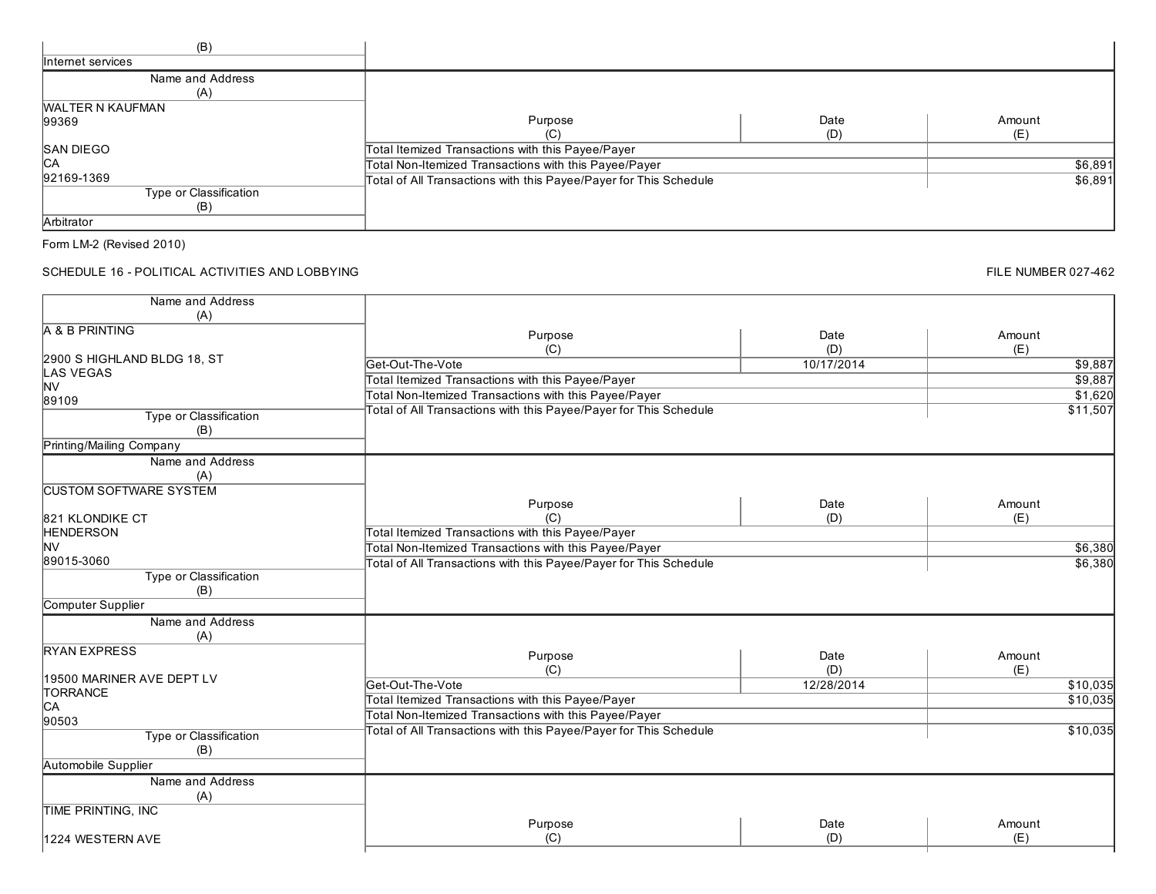| (B)                     |                                                                   |      |         |
|-------------------------|-------------------------------------------------------------------|------|---------|
| Internet services       |                                                                   |      |         |
| Name and Address        |                                                                   |      |         |
| (A)                     |                                                                   |      |         |
| <b>WALTER N KAUFMAN</b> |                                                                   |      |         |
| 99369                   | Purpose                                                           | Date | Amount  |
|                         | ا با                                                              | (D)  | (E)     |
| <b>SAN DIEGO</b>        | Total Itemized Transactions with this Payee/Payer                 |      |         |
| <b>ICA</b>              | Total Non-Itemized Transactions with this Payee/Payer             |      | \$6,891 |
| 92169-1369              | Total of All Transactions with this Payee/Payer for This Schedule |      | \$6,891 |
| Type or Classification  |                                                                   |      |         |
| (B)                     |                                                                   |      |         |
| Arbitrator              |                                                                   |      |         |

SCHEDULE 16 - POLITICAL ACTIVITIES AND LOBBYING

| Name and Address              |                                                                   |            |          |
|-------------------------------|-------------------------------------------------------------------|------------|----------|
| (A)                           |                                                                   |            |          |
| A & B PRINTING                | Purpose                                                           | Date       | Amount   |
| 2900 S HIGHLAND BLDG 18, ST   | (C)                                                               | (D)        | (E)      |
| <b>LAS VEGAS</b>              | Get-Out-The-Vote                                                  | 10/17/2014 | \$9,887  |
| <b>NV</b>                     | Total Itemized Transactions with this Payee/Payer                 |            | \$9,887  |
| 89109                         | Total Non-Itemized Transactions with this Payee/Payer             |            | \$1,620  |
| Type or Classification        | Total of All Transactions with this Payee/Payer for This Schedule |            | \$11,507 |
| (B)                           |                                                                   |            |          |
| Printing/Mailing Company      |                                                                   |            |          |
| Name and Address              |                                                                   |            |          |
| (A)                           |                                                                   |            |          |
| <b>CUSTOM SOFTWARE SYSTEM</b> |                                                                   |            |          |
|                               | Purpose                                                           | Date       | Amount   |
| 821 KLONDIKE CT               | (C)                                                               | (D)        | (E)      |
| <b>HENDERSON</b>              | Total Itemized Transactions with this Payee/Payer                 |            |          |
| <b>NV</b>                     | Total Non-Itemized Transactions with this Payee/Payer             |            | \$6,380  |
| 89015-3060                    | Total of All Transactions with this Payee/Payer for This Schedule |            | \$6,380  |
| <b>Type or Classification</b> |                                                                   |            |          |
| (B)                           |                                                                   |            |          |
| Computer Supplier             |                                                                   |            |          |
| Name and Address              |                                                                   |            |          |
| (A)                           |                                                                   |            |          |
| <b>RYAN EXPRESS</b>           | Purpose                                                           | Date       | Amount   |
|                               | (C)                                                               | (D)        | (E)      |
| 19500 MARINER AVE DEPT LV     | Get-Out-The-Vote                                                  | 12/28/2014 | \$10,035 |
| <b>TORRANCE</b>               | Total Itemized Transactions with this Payee/Payer                 |            | \$10,035 |
| CA                            | Total Non-Itemized Transactions with this Payee/Payer             |            |          |
| 90503                         | Total of All Transactions with this Payee/Payer for This Schedule |            | \$10,035 |
| <b>Type or Classification</b> |                                                                   |            |          |
| (B)                           |                                                                   |            |          |
| Automobile Supplier           |                                                                   |            |          |
| Name and Address              |                                                                   |            |          |
| (A)                           |                                                                   |            |          |
| <b>TIME PRINTING, INC</b>     |                                                                   |            |          |
|                               | Purpose                                                           | Date       | Amount   |
| 1224 WESTERN AVE              | (C)                                                               | (D)        | (E)      |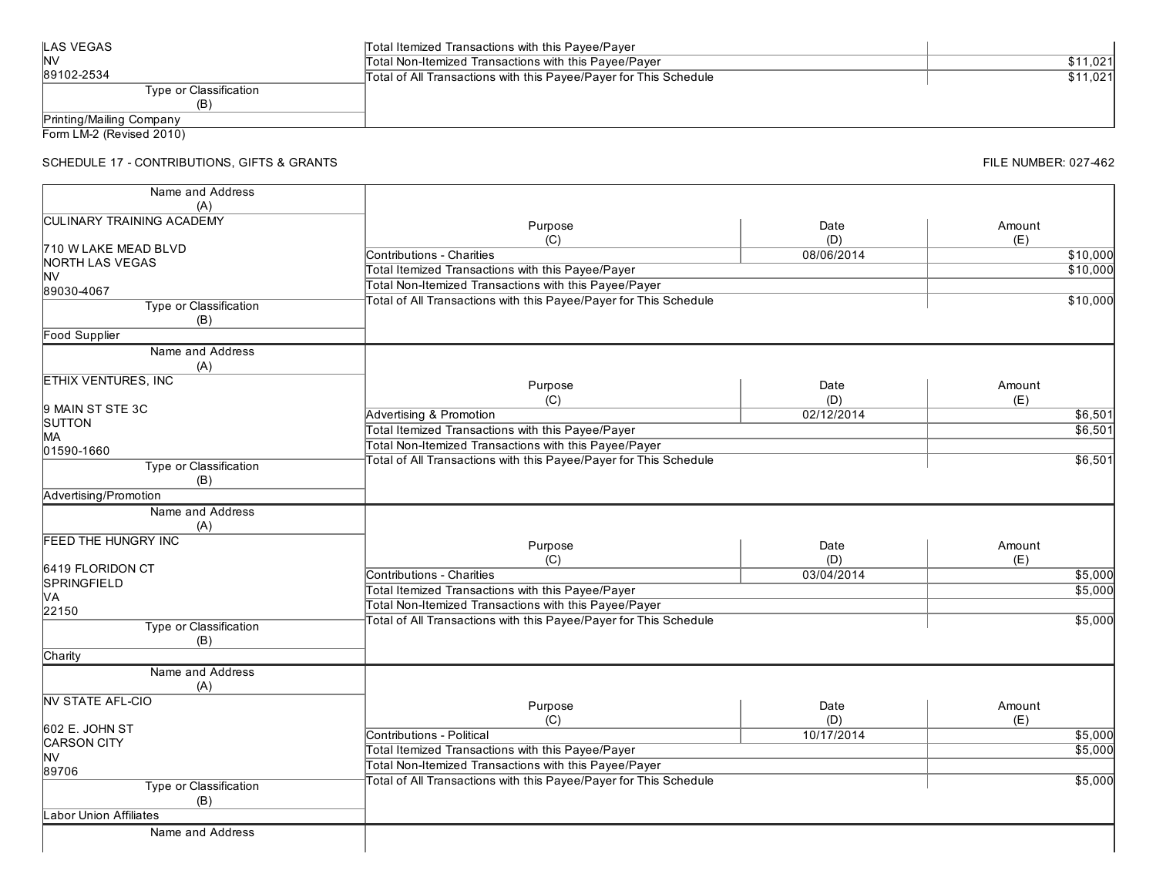| <b>LAS VEGAS</b>         | Total Itemized Transactions with this Payee/Payer                 |          |
|--------------------------|-------------------------------------------------------------------|----------|
| <b>INV</b>               | Total Non-Itemized Transactions with this Payee/Payer             | \$11.021 |
| 89102-2534               | Total of All Transactions with this Payee/Payer for This Schedule | \$11.021 |
| Type or Classification   |                                                                   |          |
|                          |                                                                   |          |
| Printing/Mailing Company |                                                                   |          |

### SCHEDULE 17 - CONTRIBUTIONS, GIFTS & GRANTS

| Name and Address                 |                                                                   |             |               |
|----------------------------------|-------------------------------------------------------------------|-------------|---------------|
| (A)                              |                                                                   |             |               |
| <b>CULINARY TRAINING ACADEMY</b> | Purpose<br>(C)                                                    | Date<br>(D) | Amount<br>(E) |
| 710 W LAKE MEAD BLVD             | Contributions - Charities                                         | 08/06/2014  |               |
| NORTH LAS VEGAS                  |                                                                   |             | \$10,000      |
| <b>NV</b>                        | Total Itemized Transactions with this Payee/Payer                 |             | \$10,000      |
| 89030-4067                       | Total Non-Itemized Transactions with this Payee/Payer             |             |               |
| Type or Classification           | Total of All Transactions with this Payee/Payer for This Schedule |             | \$10,000      |
| (B)                              |                                                                   |             |               |
| <b>Food Supplier</b>             |                                                                   |             |               |
| Name and Address                 |                                                                   |             |               |
| (A)                              |                                                                   |             |               |
| <b>ETHIX VENTURES, INC</b>       | Purpose                                                           | Date        | Amount        |
|                                  |                                                                   |             |               |
| 9 MAIN ST STE 3C                 | (C)                                                               | (D)         | (E)           |
| <b>SUTTON</b>                    | <b>Advertising &amp; Promotion</b>                                | 02/12/2014  | \$6,501       |
| MA                               | Total Itemized Transactions with this Payee/Payer                 |             | \$6,501       |
| 01590-1660                       | Total Non-Itemized Transactions with this Payee/Payer             |             |               |
| Type or Classification           | Total of All Transactions with this Payee/Payer for This Schedule |             | \$6,501       |
| (B)                              |                                                                   |             |               |
| Advertising/Promotion            |                                                                   |             |               |
| Name and Address                 |                                                                   |             |               |
| (A)                              |                                                                   |             |               |
| <b>FEED THE HUNGRY INC</b>       |                                                                   |             |               |
|                                  | Purpose                                                           | Date        | Amount        |
| 6419 FLORIDON CT                 | (C)                                                               | (D)         | (E)           |
| SPRINGFIELD                      | <b>Contributions - Charities</b>                                  | 03/04/2014  | \$5,000       |
| MА                               | Total Itemized Transactions with this Payee/Payer                 |             | \$5,000       |
| 22150                            | Total Non-Itemized Transactions with this Payee/Payer             |             |               |
| Type or Classification           | Total of All Transactions with this Payee/Payer for This Schedule |             | \$5,000       |
| (B)                              |                                                                   |             |               |
| Charity                          |                                                                   |             |               |
| Name and Address                 |                                                                   |             |               |
| (A)                              |                                                                   |             |               |
| <b>NV STATE AFL-CIO</b>          |                                                                   |             |               |
|                                  | Purpose                                                           | Date        | Amount        |
| 602 E. JOHN ST                   | (C)                                                               | (D)         | (E)           |
| <b>CARSON CITY</b>               | Contributions - Political                                         | 10/17/2014  | \$5,000       |
| <b>NV</b>                        | Total Itemized Transactions with this Payee/Payer                 |             | \$5,000       |
| 89706                            | Total Non-Itemized Transactions with this Payee/Payer             |             |               |
|                                  | Total of All Transactions with this Payee/Payer for This Schedule |             | \$5,000       |
| Type or Classification           |                                                                   |             |               |
| (B)                              |                                                                   |             |               |
| <b>Labor Union Affiliates</b>    |                                                                   |             |               |
| Name and Address                 |                                                                   |             |               |
|                                  |                                                                   |             |               |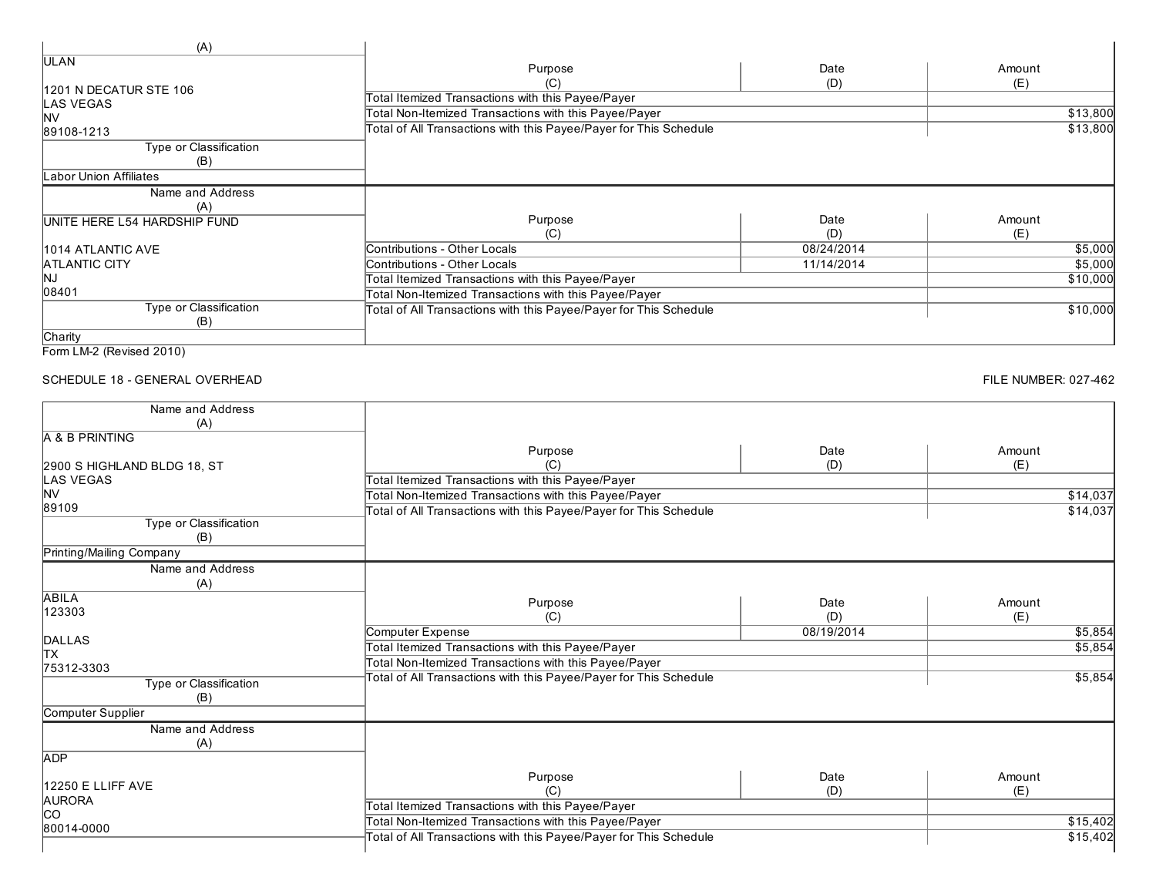| (A)                          |                                                                   |            |          |
|------------------------------|-------------------------------------------------------------------|------------|----------|
| ULAN                         | Purpose                                                           | Date       | Amount   |
| 1201 N DECATUR STE 106       | (C)<br>Total Itemized Transactions with this Payee/Payer          | (D)        | (E)      |
| LAS VEGAS                    |                                                                   |            |          |
| <b>NV</b>                    | Total Non-Itemized Transactions with this Payee/Payer             |            | \$13,800 |
| 89108-1213                   | Total of All Transactions with this Payee/Payer for This Schedule |            | \$13,800 |
| Type or Classification       |                                                                   |            |          |
| (B)                          |                                                                   |            |          |
| abor Union Affiliates        |                                                                   |            |          |
| Name and Address             |                                                                   |            |          |
| (A)                          |                                                                   |            |          |
| UNITE HERE L54 HARDSHIP FUND | Purpose                                                           | Date       | Amount   |
|                              | (C)                                                               | (D)        | (E)      |
| 1014 ATLANTIC AVE            | Contributions - Other Locals                                      | 08/24/2014 | \$5,000  |
| <b>ATLANTIC CITY</b>         | Contributions - Other Locals                                      | 11/14/2014 | \$5,000  |
| ΙNJ                          | Total Itemized Transactions with this Payee/Payer                 |            | \$10,000 |
| 08401                        | Total Non-Itemized Transactions with this Payee/Payer             |            |          |
| Type or Classification       | Total of All Transactions with this Payee/Payer for This Schedule |            | \$10,000 |
| (B)                          |                                                                   |            |          |
| Charity                      |                                                                   |            |          |

```
Form LM-2 (Revised 2010)
```
### SCHEDULE 18 - GENERAL OVERHEAD

| Name and Address            |                                                                          |            |          |
|-----------------------------|--------------------------------------------------------------------------|------------|----------|
| (A)                         |                                                                          |            |          |
| A & B PRINTING              |                                                                          |            |          |
|                             | Purpose                                                                  | Date       | Amount   |
| 2900 S HIGHLAND BLDG 18, ST | (C)                                                                      | (D)        | (E)      |
| LAS VEGAS                   | Total Itemized Transactions with this Payee/Payer                        |            |          |
| <b>NV</b>                   | Total Non-Itemized Transactions with this Payee/Payer                    |            | \$14,037 |
| 89109                       | Total of All Transactions with this Payee/Payer for This Schedule        |            | \$14,037 |
| Type or Classification      |                                                                          |            |          |
| (B)                         |                                                                          |            |          |
| Printing/Mailing Company    |                                                                          |            |          |
| Name and Address            |                                                                          |            |          |
| (A)                         |                                                                          |            |          |
| <b>ABILA</b>                | Purpose                                                                  | Date       | Amount   |
| 123303                      | (C)                                                                      | (D)        | (E)      |
|                             | Computer Expense                                                         | 08/19/2014 | \$5,854  |
| DALLAS<br>TX                | Total Itemized Transactions with this Payee/Payer                        |            | \$5,854  |
|                             |                                                                          |            |          |
| 75312-3303                  | Total Non-Itemized Transactions with this Payee/Payer                    |            |          |
| Type or Classification      | Total of All Transactions with this Payee/Payer for This Schedule        |            | \$5,854  |
| (B)                         |                                                                          |            |          |
| Computer Supplier           |                                                                          |            |          |
| Name and Address            |                                                                          |            |          |
| (A)                         |                                                                          |            |          |
| <b>ADP</b>                  |                                                                          |            |          |
|                             | Purpose                                                                  | Date       | Amount   |
| 12250 E LLIFF AVE           | (C)                                                                      | (D)        | (E)      |
| <b>AURORA</b>               | Total Itemized Transactions with this Payee/Payer                        |            |          |
| <b>co</b>                   | Total Non-Itemized Transactions with this Payee/Payer                    |            | \$15,402 |
| 80014-0000                  |                                                                          |            |          |
|                             | <b>Total of All Transactions with this Payee/Payer for This Schedule</b> |            | \$15,402 |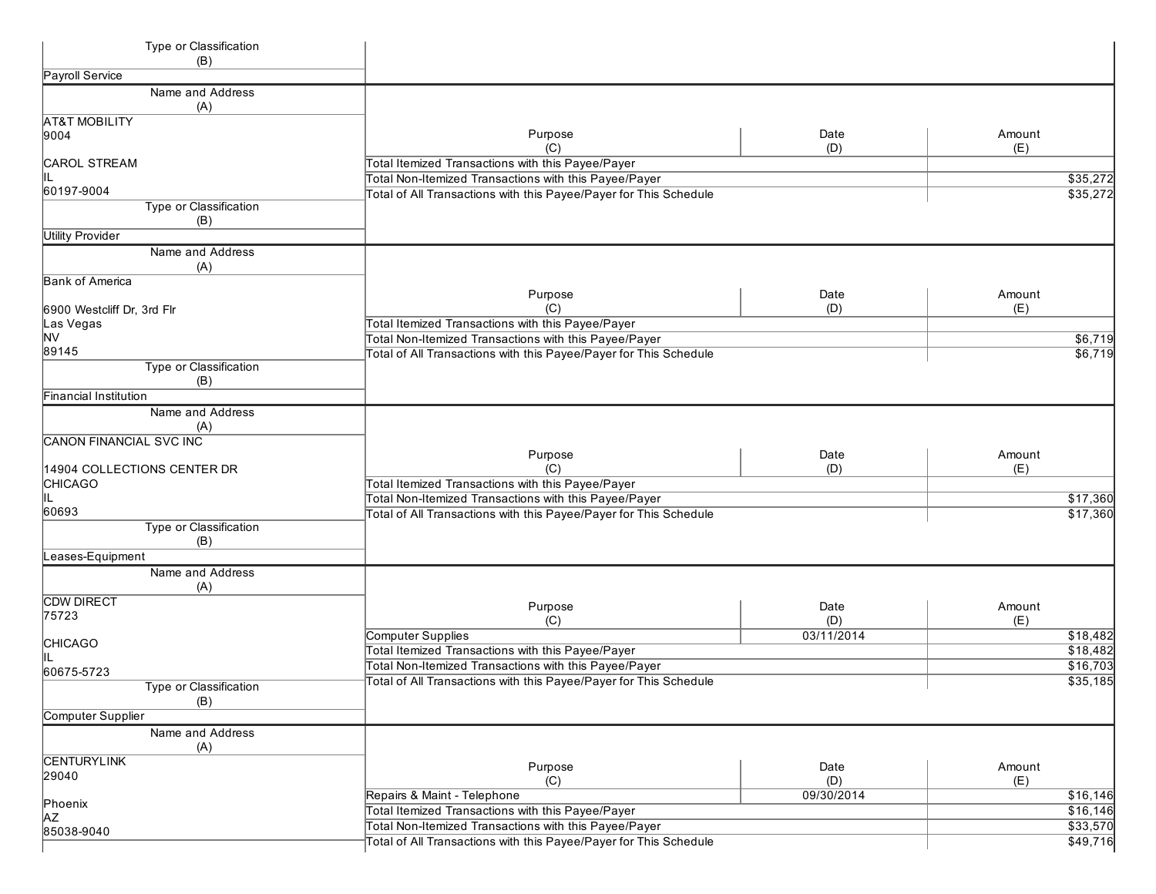| Type or Classification<br>(B)  |                                                                                                                            |            |                    |
|--------------------------------|----------------------------------------------------------------------------------------------------------------------------|------------|--------------------|
| Payroll Service                |                                                                                                                            |            |                    |
| Name and Address               |                                                                                                                            |            |                    |
| (A)                            |                                                                                                                            |            |                    |
| <b>AT&amp;T MOBILITY</b>       |                                                                                                                            |            |                    |
| 9004                           | Purpose                                                                                                                    | Date       | Amount             |
|                                | (C)                                                                                                                        | (D)        | (E)                |
| CAROL STREAM                   | Total Itemized Transactions with this Payee/Payer                                                                          |            |                    |
| IIL                            | Total Non-Itemized Transactions with this Payee/Payer                                                                      |            | \$35,272           |
| 60197-9004                     | Total of All Transactions with this Payee/Payer for This Schedule                                                          |            | \$35,272           |
| <b>Type or Classification</b>  |                                                                                                                            |            |                    |
| (B)                            |                                                                                                                            |            |                    |
| <b>Utility Provider</b>        |                                                                                                                            |            |                    |
| Name and Address               |                                                                                                                            |            |                    |
| (A)                            |                                                                                                                            |            |                    |
| <b>Bank of America</b>         |                                                                                                                            | Date       | Amount             |
|                                | Purpose<br>(C)                                                                                                             |            |                    |
| 6900 Westcliff Dr, 3rd Flr     | Total Itemized Transactions with this Payee/Payer                                                                          | (D)        | (E)                |
| Las Vegas<br><b>NV</b>         |                                                                                                                            |            |                    |
| 89145                          | Total Non-Itemized Transactions with this Payee/Payer<br>Total of All Transactions with this Payee/Payer for This Schedule |            | \$6,719<br>\$6,719 |
| Type or Classification         |                                                                                                                            |            |                    |
| (B)                            |                                                                                                                            |            |                    |
| Financial Institution          |                                                                                                                            |            |                    |
| Name and Address               |                                                                                                                            |            |                    |
| (A)                            |                                                                                                                            |            |                    |
| <b>CANON FINANCIAL SVC INC</b> |                                                                                                                            |            |                    |
|                                | Purpose                                                                                                                    | Date       | Amount             |
| 14904 COLLECTIONS CENTER DR    | (C)                                                                                                                        | (D)        | (E)                |
| <b>CHICAGO</b>                 | Total Itemized Transactions with this Payee/Payer                                                                          |            |                    |
|                                | Total Non-Itemized Transactions with this Payee/Payer                                                                      |            | \$17,360           |
| 60693                          | Total of All Transactions with this Payee/Payer for This Schedule                                                          |            | \$17,360           |
| Type or Classification         |                                                                                                                            |            |                    |
| (B)                            |                                                                                                                            |            |                    |
| Leases-Equipment               |                                                                                                                            |            |                    |
| Name and Address               |                                                                                                                            |            |                    |
| (A)                            |                                                                                                                            |            |                    |
| <b>CDW DIRECT</b>              | Purpose                                                                                                                    | Date       | Amount             |
| 75723                          | (C)                                                                                                                        | (D)        | (E)                |
|                                | Computer Supplies                                                                                                          | 03/11/2014 | \$18,482           |
| <b>CHICAGO</b>                 | Total Itemized Transactions with this Payee/Payer                                                                          |            | \$18,482           |
|                                | Total Non-Itemized Transactions with this Payee/Payer                                                                      |            | \$16,703           |
| 60675-5723                     | Total of All Transactions with this Payee/Payer for This Schedule                                                          |            | \$35,185           |
| Type or Classification         |                                                                                                                            |            |                    |
| (B)                            |                                                                                                                            |            |                    |
| Computer Supplier              |                                                                                                                            |            |                    |
| Name and Address<br>(A)        |                                                                                                                            |            |                    |
| <b>CENTURYLINK</b>             | Purpose                                                                                                                    | Date       | Amount             |
| 29040                          | (C)                                                                                                                        | (D)        | (E)                |
|                                | Repairs & Maint - Telephone                                                                                                | 09/30/2014 | \$16,146           |
| Phoenix                        | Total Itemized Transactions with this Payee/Payer                                                                          |            | \$16, 146          |
| JΑZ                            | Total Non-Itemized Transactions with this Payee/Payer                                                                      |            | \$33,570           |
| 85038-9040                     | Total of All Transactions with this Payee/Payer for This Schedule                                                          |            | \$49,716           |
|                                |                                                                                                                            |            |                    |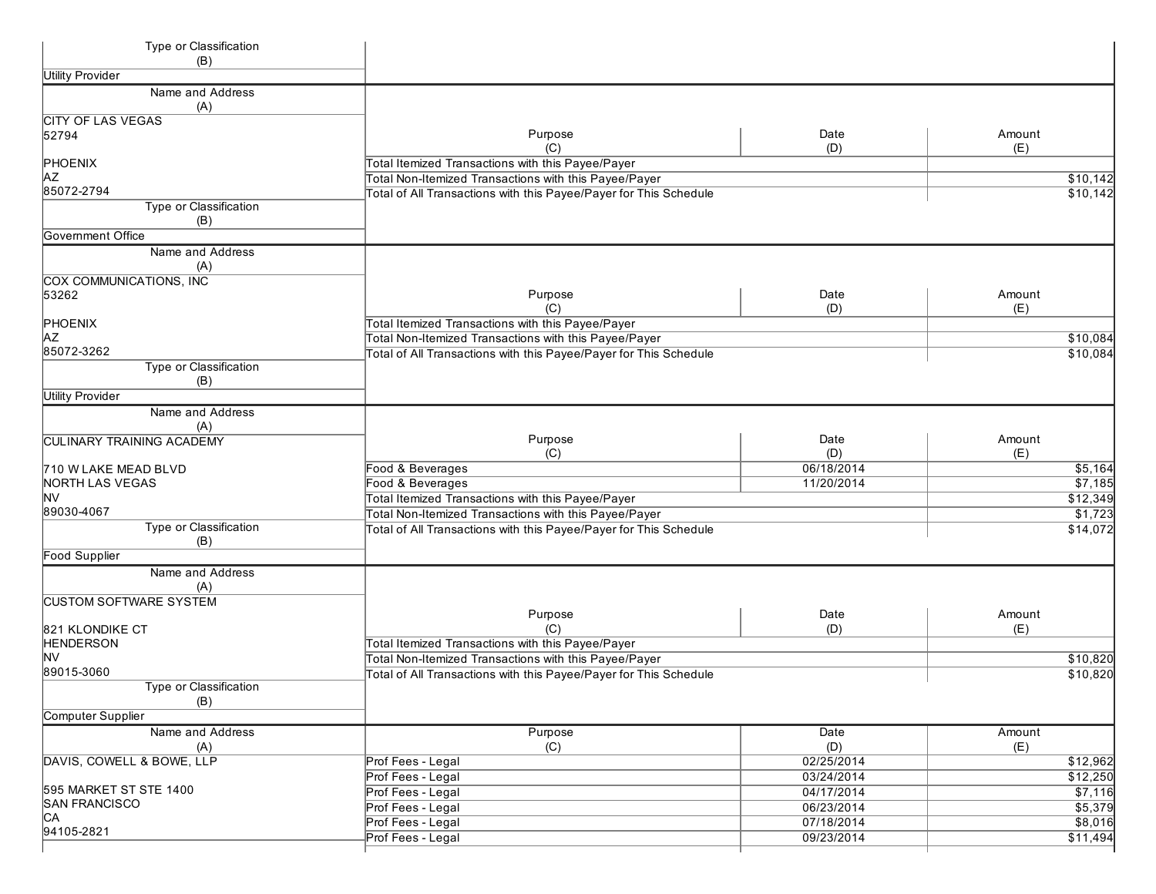| Type or Classification<br>(B)        |                                                                   |            |          |
|--------------------------------------|-------------------------------------------------------------------|------------|----------|
| <b>Utility Provider</b>              |                                                                   |            |          |
| Name and Address                     |                                                                   |            |          |
| (A)                                  |                                                                   |            |          |
| <b>CITY OF LAS VEGAS</b>             |                                                                   |            |          |
| 52794                                | Purpose                                                           | Date       | Amount   |
|                                      | (C)                                                               | (D)        | (E)      |
| PHOENIX                              | Total Itemized Transactions with this Payee/Payer                 |            |          |
| <b>AZ</b>                            | Total Non-Itemized Transactions with this Payee/Payer             |            | \$10,142 |
| 85072-2794                           | Total of All Transactions with this Payee/Payer for This Schedule |            | \$10,142 |
| <b>Type or Classification</b>        |                                                                   |            |          |
| (B)                                  |                                                                   |            |          |
| Government Office                    |                                                                   |            |          |
| Name and Address<br>(A)              |                                                                   |            |          |
| COX COMMUNICATIONS, INC              |                                                                   |            |          |
| 53262                                | Purpose                                                           | Date       | Amount   |
|                                      | (C)                                                               | (D)        | (E)      |
| PHOENIX                              | Total Itemized Transactions with this Payee/Payer                 |            |          |
| <b>AZ</b><br>85072-3262              | Total Non-Itemized Transactions with this Payee/Payer             |            | \$10,084 |
|                                      | Total of All Transactions with this Payee/Payer for This Schedule |            | \$10,084 |
| <b>Type or Classification</b><br>(B) |                                                                   |            |          |
| <b>Utility Provider</b>              |                                                                   |            |          |
|                                      |                                                                   |            |          |
| Name and Address                     |                                                                   |            |          |
| (A)                                  | Purpose                                                           | Date       | Amount   |
| <b>CULINARY TRAINING ACADEMY</b>     | (C)                                                               | (D)        | (E)      |
| 710 W LAKE MEAD BLVD                 | Food & Beverages                                                  | 06/18/2014 | \$5,164  |
| <b>NORTH LAS VEGAS</b>               | Food & Beverages                                                  | 11/20/2014 | \$7,185  |
| <b>NV</b>                            | Total Itemized Transactions with this Payee/Payer                 |            | \$12,349 |
| 89030-4067                           | Total Non-Itemized Transactions with this Payee/Payer             |            | \$1,723  |
| Type or Classification               | Total of All Transactions with this Payee/Payer for This Schedule |            | \$14,072 |
| (B)                                  |                                                                   |            |          |
| <b>Food Supplier</b>                 |                                                                   |            |          |
| Name and Address                     |                                                                   |            |          |
| (A)                                  |                                                                   |            |          |
| <b>CUSTOM SOFTWARE SYSTEM</b>        |                                                                   |            |          |
|                                      | Purpose                                                           | Date       | Amount   |
| 821 KLONDIKE CT                      | (C)                                                               | (D)        | (E)      |
| <b>HENDERSON</b>                     | Total Itemized Transactions with this Payee/Payer                 |            |          |
| <b>NV</b>                            | Total Non-Itemized Transactions with this Payee/Payer             |            | \$10,820 |
| 89015-3060                           | Total of All Transactions with this Payee/Payer for This Schedule |            | \$10,820 |
| Type or Classification               |                                                                   |            |          |
| (B)                                  |                                                                   |            |          |
| <b>Computer Supplier</b>             |                                                                   |            |          |
| Name and Address                     | Purpose                                                           | Date       | Amount   |
| (A)                                  | (C)                                                               | (D)        | (E)      |
| DAVIS, COWELL & BOWE, LLP            | Prof Fees - Legal                                                 | 02/25/2014 | \$12,962 |
|                                      | Prof Fees - Legal                                                 | 03/24/2014 | \$12,250 |
| 595 MARKET ST STE 1400               | Prof Fees - Legal                                                 | 04/17/2014 | \$7,116  |
| <b>SAN FRANCISCO</b>                 | Prof Fees - Legal                                                 | 06/23/2014 | \$5,379  |
| CA                                   | Prof Fees - Legal                                                 | 07/18/2014 | \$8,016  |
| 94105-2821                           | Prof Fees - Legal                                                 | 09/23/2014 | \$11,494 |
|                                      |                                                                   |            |          |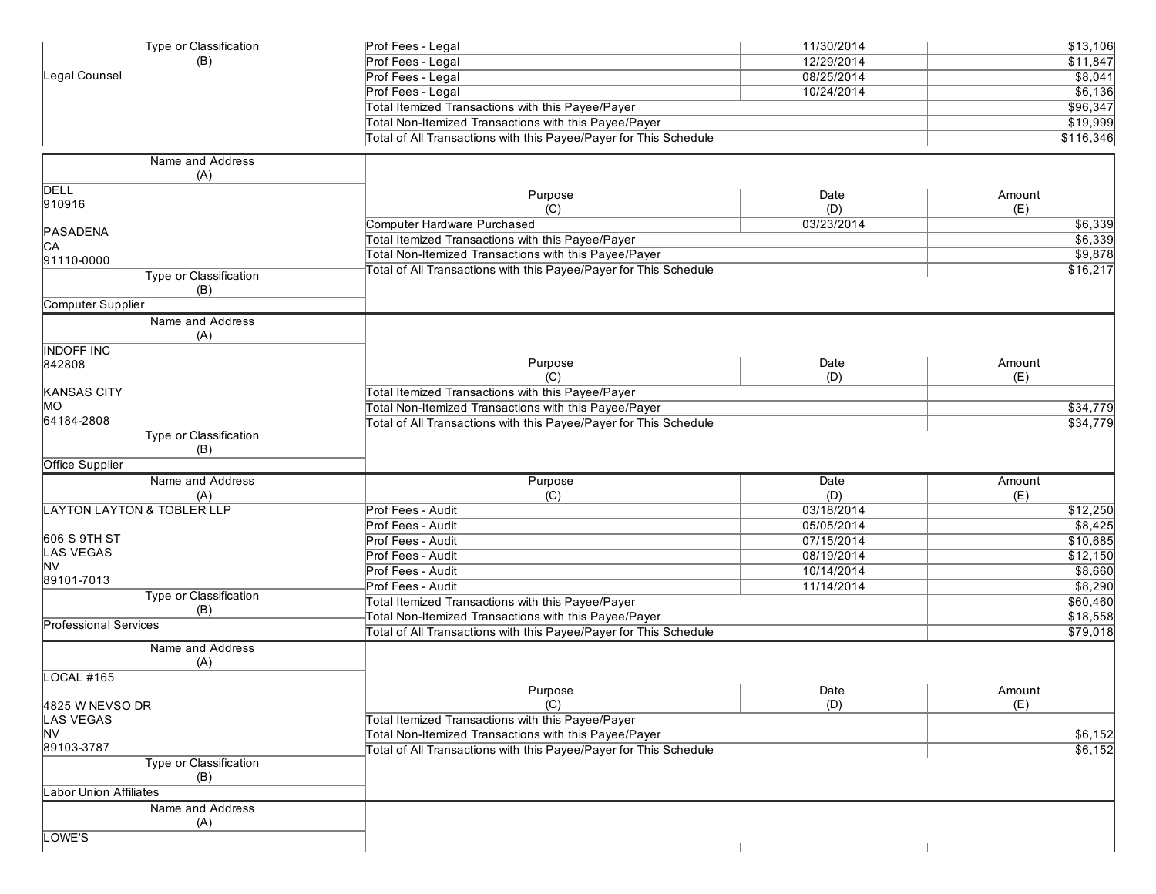| Type or Classification                | Prof Fees - Legal                                                 | 11/30/2014 | \$13,106  |
|---------------------------------------|-------------------------------------------------------------------|------------|-----------|
| (B)                                   | Prof Fees - Legal                                                 | 12/29/2014 | \$11,847  |
| Legal Counsel                         | Prof Fees - Legal                                                 | 08/25/2014 | \$8,041   |
|                                       | Prof Fees - Legal                                                 | 10/24/2014 | \$6,136   |
|                                       | Total Itemized Transactions with this Payee/Payer                 |            | \$96,347  |
|                                       | Total Non-Itemized Transactions with this Payee/Payer             |            | \$19,999  |
|                                       | Total of All Transactions with this Payee/Payer for This Schedule |            | \$116,346 |
| Name and Address                      |                                                                   |            |           |
| (A)                                   |                                                                   |            |           |
| <b>DELL</b>                           | Purpose                                                           | Date       | Amount    |
| 910916                                | (C)                                                               | (D)        | (E)       |
|                                       | Computer Hardware Purchased                                       | 03/23/2014 | \$6,339   |
| PASADENA                              | Total Itemized Transactions with this Payee/Payer                 |            | \$6,339   |
| C <sub>A</sub>                        |                                                                   |            |           |
| 91110-0000                            | Total Non-Itemized Transactions with this Payee/Payer             |            | \$9,878   |
| Type or Classification                | Total of All Transactions with this Payee/Payer for This Schedule |            | \$16,217  |
| (B)                                   |                                                                   |            |           |
| Computer Supplier                     |                                                                   |            |           |
| Name and Address                      |                                                                   |            |           |
| (A)                                   |                                                                   |            |           |
| <b>INDOFF INC</b>                     |                                                                   |            |           |
| 842808                                | Purpose                                                           | Date       | Amount    |
|                                       | (C)                                                               | (D)        | (E)       |
| <b>KANSAS CITY</b>                    | Total Itemized Transactions with this Payee/Payer                 |            |           |
| MO                                    | Total Non-Itemized Transactions with this Payee/Payer             |            | \$34,779  |
| 64184-2808                            | Total of All Transactions with this Payee/Payer for This Schedule |            | \$34,779  |
| <b>Type or Classification</b>         |                                                                   |            |           |
| (B)                                   |                                                                   |            |           |
| <b>Office Supplier</b>                |                                                                   |            |           |
| Name and Address                      | Purpose                                                           | Date       | Amount    |
| (A)                                   | (C)                                                               | (D)        | (E)       |
| <b>LAYTON LAYTON &amp; TOBLER LLP</b> | Prof Fees - Audit                                                 | 03/18/2014 | \$12,250  |
|                                       | Prof Fees - Audit                                                 | 05/05/2014 | \$8,425   |
| 606 S 9TH ST                          | Prof Fees - Audit                                                 | 07/15/2014 | \$10,685  |
| LAS VEGAS                             | Prof Fees - Audit                                                 | 08/19/2014 | \$12,150  |
| <b>NV</b>                             | Prof Fees - Audit                                                 | 10/14/2014 | \$8,660   |
| 89101-7013                            | Prof Fees - Audit                                                 | 11/14/2014 | \$8,290   |
| Type or Classification                | Total Itemized Transactions with this Payee/Payer                 |            | \$60,460  |
| (B)                                   | Total Non-Itemized Transactions with this Payee/Payer             |            | \$18,558  |
| <b>Professional Services</b>          | Total of All Transactions with this Payee/Payer for This Schedule |            | \$79,018  |
|                                       |                                                                   |            |           |
| Name and Address                      |                                                                   |            |           |
| (A)                                   |                                                                   |            |           |
| <b>LOCAL #165</b>                     |                                                                   |            |           |
|                                       | Purpose                                                           | Date       | Amount    |
| 4825 W NEVSO DR<br><b>LAS VEGAS</b>   | (C)<br>Total Itemized Transactions with this Payee/Payer          | (D)        | (E)       |
|                                       |                                                                   |            |           |
| <b>NV</b><br>89103-3787               | Total Non-Itemized Transactions with this Payee/Payer             |            | \$6,152   |
| Type or Classification                | Total of All Transactions with this Payee/Payer for This Schedule |            | \$6,152   |
| (B)                                   |                                                                   |            |           |
|                                       |                                                                   |            |           |
| Labor Union Affiliates                |                                                                   |            |           |
| Name and Address                      |                                                                   |            |           |
| (A)                                   |                                                                   |            |           |
| LOWE'S                                |                                                                   |            |           |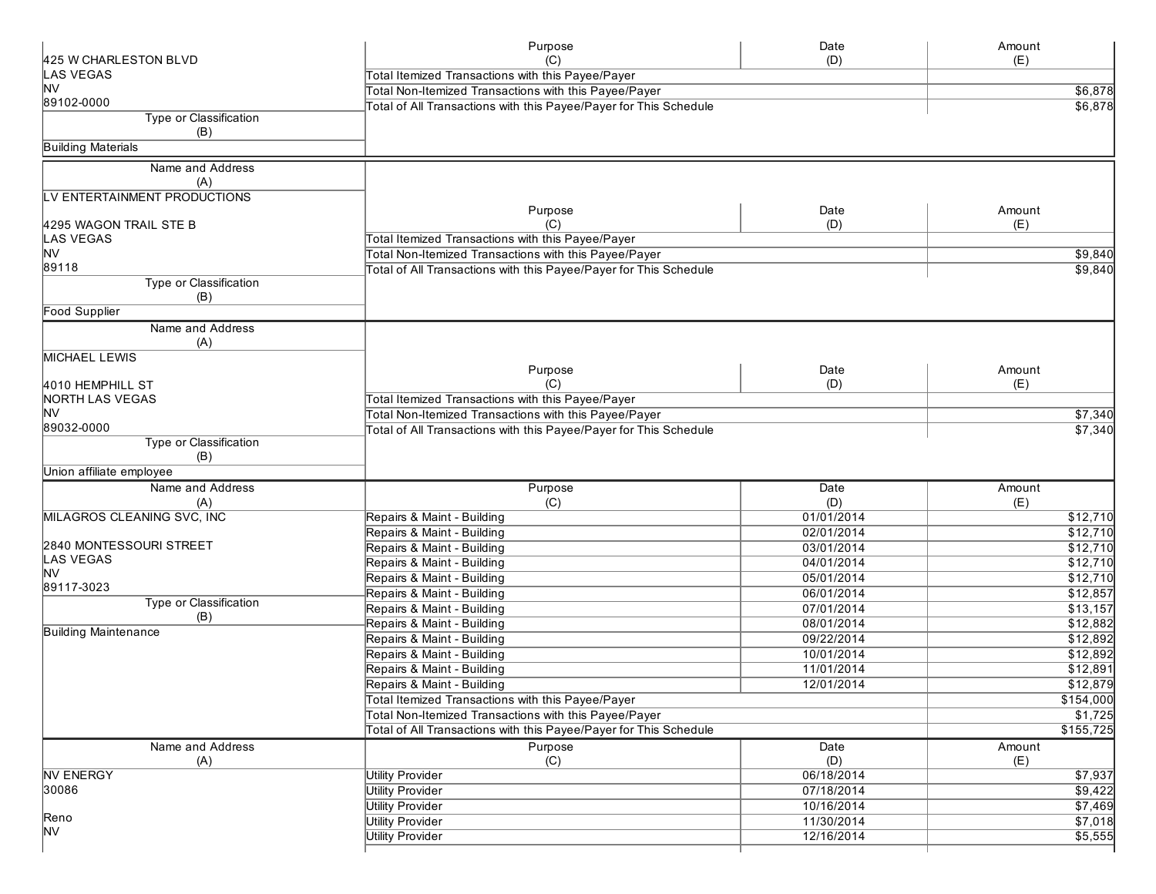|                               | Purpose                                                           | Date        | Amount    |
|-------------------------------|-------------------------------------------------------------------|-------------|-----------|
| 425 W CHARLESTON BLVD         | (C)                                                               | (D)         | (E)       |
| LAS VEGAS<br>M∨               | Total Itemized Transactions with this Payee/Payer                 |             |           |
| 89102-0000                    | Total Non-Itemized Transactions with this Payee/Payer             |             | \$6,878   |
| Type or Classification        | Total of All Transactions with this Payee/Payer for This Schedule |             | \$6,878   |
| (B)                           |                                                                   |             |           |
| <b>Building Materials</b>     |                                                                   |             |           |
| Name and Address              |                                                                   |             |           |
| (A)                           |                                                                   |             |           |
| LV ENTERTAINMENT PRODUCTIONS  |                                                                   |             |           |
|                               | Purpose                                                           | Date        | Amount    |
| 4295 WAGON TRAIL STE B        | (C)                                                               | (D)         | (E)       |
| LAS VEGAS                     | Total Itemized Transactions with this Payee/Payer                 |             |           |
| <b>NV</b>                     | Total Non-Itemized Transactions with this Payee/Payer             |             | \$9,840   |
| 89118                         | Total of All Transactions with this Payee/Payer for This Schedule |             | \$9,840   |
| <b>Type or Classification</b> |                                                                   |             |           |
| (B)                           |                                                                   |             |           |
| <b>Food Supplier</b>          |                                                                   |             |           |
| Name and Address              |                                                                   |             |           |
| (A)<br><b>MICHAEL LEWIS</b>   |                                                                   |             |           |
|                               | Purpose                                                           | Date        | Amount    |
| 4010 HEMPHILL ST              | (C)                                                               | (D)         | (E)       |
| <b>NORTH LAS VEGAS</b>        | Total Itemized Transactions with this Payee/Payer                 |             |           |
| lNV                           | Total Non-Itemized Transactions with this Payee/Payer             |             | \$7,340   |
| 89032-0000                    | Total of All Transactions with this Payee/Payer for This Schedule |             | \$7,340   |
| Type or Classification        |                                                                   |             |           |
| (B)                           |                                                                   |             |           |
| Union affiliate employee      |                                                                   |             |           |
| Name and Address              | Purpose                                                           | Date        | Amount    |
| (A)                           | (C)                                                               | (D)         | (E)       |
| MILAGROS CLEANING SVC, INC    | Repairs & Maint - Building                                        | 01/01/2014  | \$12,710  |
|                               | Repairs & Maint - Building                                        | 02/01/2014  | \$12,710  |
| 2840 MONTESSOURI STREET       | Repairs & Maint - Building                                        | 03/01/2014  | \$12,710  |
| LAS VEGAS<br>lNV              | Repairs & Maint - Building                                        | 04/01/2014  | \$12,710  |
| 89117-3023                    | Repairs & Maint - Building                                        | 05/01/2014  | \$12,710  |
| Type or Classification        | Repairs & Maint - Building                                        | 06/01/2014  | \$12,857  |
| (B)                           | Repairs & Maint - Building                                        | 07/01/2014  | \$13,157  |
| <b>Building Maintenance</b>   | Repairs & Maint - Building                                        | 08/01/2014  | \$12,882  |
|                               | Repairs & Maint - Building                                        | 09/22/2014  | \$12,892  |
|                               | Repairs & Maint - Building                                        | 10/01/2014  | \$12,892  |
|                               | Repairs & Maint - Building                                        | 11/01/2014  | \$12,891  |
|                               | Repairs & Maint - Building                                        | 12/01/2014  | \$12,879  |
|                               | Total Itemized Transactions with this Payee/Payer                 |             | \$154,000 |
|                               | Total Non-Itemized Transactions with this Payee/Payer             |             | \$1,725   |
|                               | Total of All Transactions with this Payee/Payer for This Schedule |             | \$155,725 |
| Name and Address              | Purpose                                                           | <b>Date</b> | Amount    |
| (A)                           | (C)                                                               | (D)         | (E)       |
| <b>NV ENERGY</b>              | <b>Utility Provider</b>                                           | 06/18/2014  | \$7,937   |
| 30086                         | <b>Utility Provider</b>                                           | 07/18/2014  | \$9,422   |
|                               | <b>Utility Provider</b>                                           | 10/16/2014  | \$7,469   |
| Reno<br><b>NV</b>             | <b>Utility Provider</b>                                           | 11/30/2014  | \$7,018   |
|                               | <b>Utility Provider</b>                                           | 12/16/2014  | \$5,555   |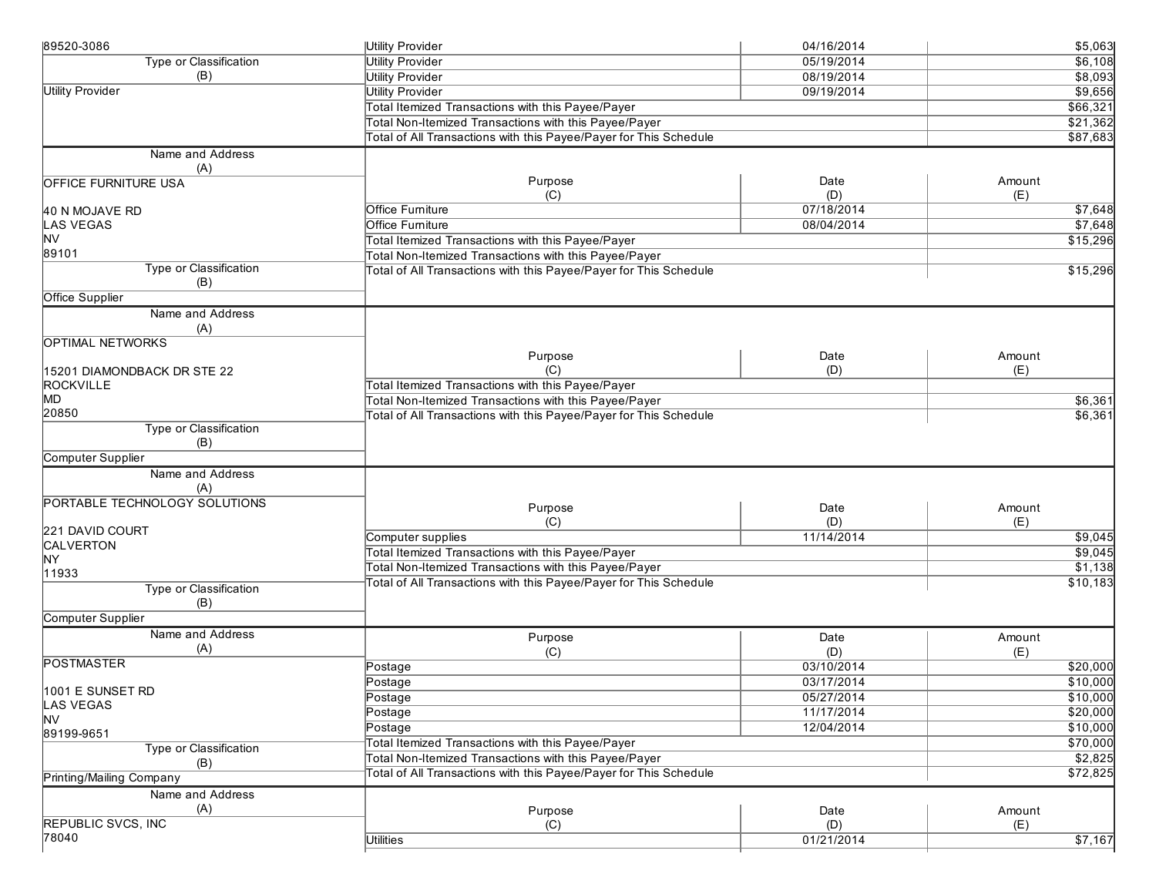| 89520-3086                    | <b>Utility Provider</b>                                           | 04/16/2014        | \$5,063            |
|-------------------------------|-------------------------------------------------------------------|-------------------|--------------------|
| Type or Classification        | <b>Utility Provider</b>                                           | 05/19/2014        | \$6,108            |
| (B)                           | <b>Utility Provider</b>                                           | 08/19/2014        | \$8,093            |
| <b>Utility Provider</b>       | <b>Utility Provider</b>                                           | 09/19/2014        | \$9,656            |
|                               | Total Itemized Transactions with this Payee/Payer                 |                   | \$66,321           |
|                               | Total Non-Itemized Transactions with this Payee/Payer             |                   | \$21,362           |
|                               | Total of All Transactions with this Payee/Payer for This Schedule |                   | \$87,683           |
| Name and Address              |                                                                   |                   |                    |
| (A)                           |                                                                   |                   |                    |
| <b>OFFICE FURNITURE USA</b>   | Purpose                                                           | Date              | Amount             |
|                               | (C)<br><b>Office Furniture</b>                                    | (D)<br>07/18/2014 | (E)<br>\$7,648     |
| 40 N MOJAVE RD<br>LAS VEGAS   | Office Furniture                                                  | 08/04/2014        |                    |
| lNV                           | Total Itemized Transactions with this Payee/Payer                 |                   | \$7,648            |
| 89101                         | Total Non-Itemized Transactions with this Payee/Payer             |                   | \$15,296           |
| Type or Classification        | Total of All Transactions with this Payee/Payer for This Schedule |                   | \$15,296           |
| (B)                           |                                                                   |                   |                    |
| <b>Office Supplier</b>        |                                                                   |                   |                    |
| Name and Address              |                                                                   |                   |                    |
| (A)                           |                                                                   |                   |                    |
| <b>OPTIMAL NETWORKS</b>       |                                                                   |                   |                    |
|                               | Purpose                                                           | Date              | Amount             |
| 15201 DIAMONDBACK DR STE 22   | (C)                                                               | (D)               | (E)                |
| <b>ROCKVILLE</b>              | Total Itemized Transactions with this Payee/Payer                 |                   |                    |
| MD                            | Total Non-Itemized Transactions with this Payee/Payer             |                   | \$6,361            |
| 20850                         | Total of All Transactions with this Payee/Payer for This Schedule |                   | \$6,361            |
| Type or Classification<br>(B) |                                                                   |                   |                    |
| Computer Supplier             |                                                                   |                   |                    |
| Name and Address              |                                                                   |                   |                    |
| (A)                           |                                                                   |                   |                    |
| PORTABLE TECHNOLOGY SOLUTIONS |                                                                   |                   |                    |
|                               | Purpose                                                           | Date              | Amount             |
| 221 DAVID COURT               | (C)<br>Computer supplies                                          | (D)<br>11/14/2014 | (E)                |
| CALVERTON                     | Total Itemized Transactions with this Payee/Payer                 |                   | \$9,045<br>\$9,045 |
| ŅΥ                            | Total Non-Itemized Transactions with this Payee/Payer             |                   | \$1,138            |
| 11933                         | Total of All Transactions with this Payee/Payer for This Schedule |                   | \$10,183           |
| Type or Classification        |                                                                   |                   |                    |
| (B)                           |                                                                   |                   |                    |
| Computer Supplier             |                                                                   |                   |                    |
| Name and Address              | Purpose                                                           | Date              | Amount             |
| (A)<br><b>POSTMASTER</b>      | (C)                                                               | (D)               | (E)                |
|                               | Postage                                                           | 03/10/2014        | \$20,000           |
| 1001 E SUNSET RD              | Postage                                                           | 03/17/2014        | \$10,000           |
| LAS VEGAS                     | Postage                                                           | 05/27/2014        | \$10,000           |
| M∨                            | Postage                                                           | 11/17/2014        | \$20,000           |
| 89199-9651                    | Postage                                                           | 12/04/2014        | \$10,000           |
| Type or Classification        | Total Itemized Transactions with this Payee/Payer                 |                   | \$70,000           |
| (B)                           | Total Non-Itemized Transactions with this Payee/Payer             |                   | \$2,825            |
| Printing/Mailing Company      | Total of All Transactions with this Payee/Payer for This Schedule |                   | \$72,825           |
| Name and Address              |                                                                   |                   |                    |
| (A)                           | Purpose                                                           | Date              | Amount             |
| <b>REPUBLIC SVCS, INC</b>     | (C)                                                               | (D)               | (E)                |
| 78040                         | <b>Utilities</b>                                                  | 01/21/2014        | \$7,167            |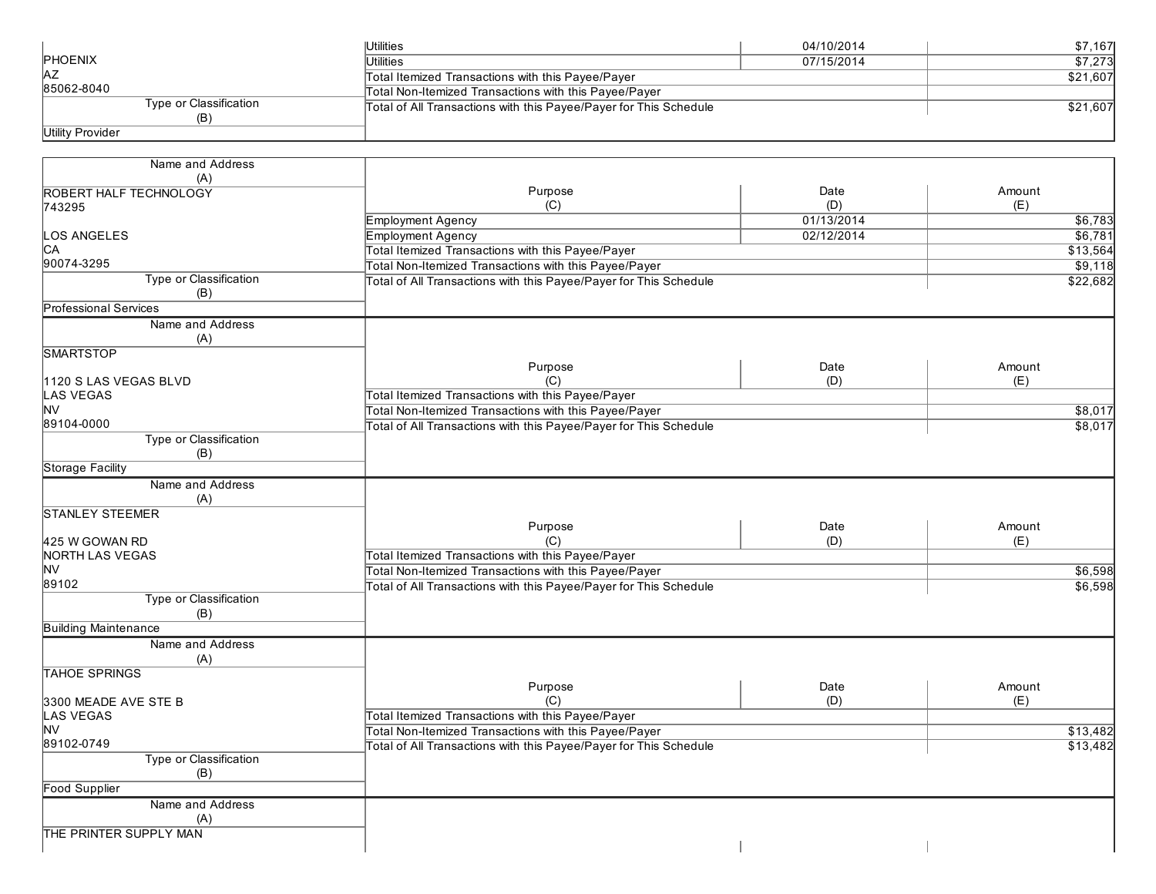|                        | Utilities                                                         | 04/10/2014 | \$7.1671 |
|------------------------|-------------------------------------------------------------------|------------|----------|
| <b>PHOENIX</b>         | Utilities                                                         | 07/15/2014 | \$7.273  |
| <b>IAZ</b>             | Total Itemized Transactions with this Payee/Payer                 |            | \$21,607 |
| 85062-8040             | Total Non-Itemized Transactions with this Payee/Payer             |            |          |
| Type or Classification | Total of All Transactions with this Payee/Payer for This Schedule |            | \$21.607 |
| (B)                    |                                                                   |            |          |
| Utility Provider       |                                                                   |            |          |

| Purpose<br>Date<br>Amount<br><b>ROBERT HALF TECHNOLOGY</b><br>(C)<br>(D)<br>(E)<br>743295<br><b>Employment Agency</b><br>01/13/2014<br>\$6,783<br>LOS ANGELES<br><b>Employment Agency</b><br>02/12/2014<br>\$6,781<br>IСA<br>Total Itemized Transactions with this Payee/Payer<br>\$13,564<br>90074-3295<br>Total Non-Itemized Transactions with this Payee/Payer<br>\$9,118<br>Type or Classification<br>Total of All Transactions with this Payee/Payer for This Schedule<br>\$22,682<br>(B)<br><b>Professional Services</b><br>Name and Address<br>(A)<br><b>SMARTSTOP</b><br>Purpose<br>Date<br>Amount<br>(C)<br>(D)<br>(E)<br>1120 S LAS VEGAS BLVD<br>Total Itemized Transactions with this Payee/Payer<br>LAS VEGAS<br>Total Non-Itemized Transactions with this Payee/Payer<br>\$8,017<br>89104-0000<br>Total of All Transactions with this Payee/Payer for This Schedule<br>\$8,017<br>Type or Classification<br>(B)<br><b>Storage Facility</b><br>Name and Address<br>(A)<br><b>STANLEY STEEMER</b><br>Purpose<br>Date<br>Amount<br>(C)<br>(D)<br>(E)<br>425 W GOWAN RD<br>Total Itemized Transactions with this Payee/Payer<br><b>NORTH LAS VEGAS</b><br><b>NV</b><br>Total Non-Itemized Transactions with this Payee/Payer<br>\$6,598<br>89102<br>Total of All Transactions with this Payee/Payer for This Schedule<br>\$6,598<br>Type or Classification<br>(B)<br><b>Building Maintenance</b><br>Name and Address<br>(A)<br><b>TAHOE SPRINGS</b><br>Date<br>Purpose<br>Amount<br>(C)<br>(D)<br>(E)<br>3300 MEADE AVE STE B<br>Total Itemized Transactions with this Payee/Payer<br>LAS VEGAS<br><b>NV</b><br>Total Non-Itemized Transactions with this Payee/Payer<br>\$13,482<br>89102-0749<br>Total of All Transactions with this Payee/Payer for This Schedule<br>\$13,482<br>Type or Classification<br>(B)<br><b>Food Supplier</b><br>Name and Address<br>(A) | Name and Address       |  |  |
|--------------------------------------------------------------------------------------------------------------------------------------------------------------------------------------------------------------------------------------------------------------------------------------------------------------------------------------------------------------------------------------------------------------------------------------------------------------------------------------------------------------------------------------------------------------------------------------------------------------------------------------------------------------------------------------------------------------------------------------------------------------------------------------------------------------------------------------------------------------------------------------------------------------------------------------------------------------------------------------------------------------------------------------------------------------------------------------------------------------------------------------------------------------------------------------------------------------------------------------------------------------------------------------------------------------------------------------------------------------------------------------------------------------------------------------------------------------------------------------------------------------------------------------------------------------------------------------------------------------------------------------------------------------------------------------------------------------------------------------------------------------------------------------------------------------------------------------------------------------------------------|------------------------|--|--|
|                                                                                                                                                                                                                                                                                                                                                                                                                                                                                                                                                                                                                                                                                                                                                                                                                                                                                                                                                                                                                                                                                                                                                                                                                                                                                                                                                                                                                                                                                                                                                                                                                                                                                                                                                                                                                                                                                | (A)                    |  |  |
|                                                                                                                                                                                                                                                                                                                                                                                                                                                                                                                                                                                                                                                                                                                                                                                                                                                                                                                                                                                                                                                                                                                                                                                                                                                                                                                                                                                                                                                                                                                                                                                                                                                                                                                                                                                                                                                                                |                        |  |  |
|                                                                                                                                                                                                                                                                                                                                                                                                                                                                                                                                                                                                                                                                                                                                                                                                                                                                                                                                                                                                                                                                                                                                                                                                                                                                                                                                                                                                                                                                                                                                                                                                                                                                                                                                                                                                                                                                                |                        |  |  |
|                                                                                                                                                                                                                                                                                                                                                                                                                                                                                                                                                                                                                                                                                                                                                                                                                                                                                                                                                                                                                                                                                                                                                                                                                                                                                                                                                                                                                                                                                                                                                                                                                                                                                                                                                                                                                                                                                |                        |  |  |
|                                                                                                                                                                                                                                                                                                                                                                                                                                                                                                                                                                                                                                                                                                                                                                                                                                                                                                                                                                                                                                                                                                                                                                                                                                                                                                                                                                                                                                                                                                                                                                                                                                                                                                                                                                                                                                                                                |                        |  |  |
|                                                                                                                                                                                                                                                                                                                                                                                                                                                                                                                                                                                                                                                                                                                                                                                                                                                                                                                                                                                                                                                                                                                                                                                                                                                                                                                                                                                                                                                                                                                                                                                                                                                                                                                                                                                                                                                                                |                        |  |  |
|                                                                                                                                                                                                                                                                                                                                                                                                                                                                                                                                                                                                                                                                                                                                                                                                                                                                                                                                                                                                                                                                                                                                                                                                                                                                                                                                                                                                                                                                                                                                                                                                                                                                                                                                                                                                                                                                                |                        |  |  |
|                                                                                                                                                                                                                                                                                                                                                                                                                                                                                                                                                                                                                                                                                                                                                                                                                                                                                                                                                                                                                                                                                                                                                                                                                                                                                                                                                                                                                                                                                                                                                                                                                                                                                                                                                                                                                                                                                |                        |  |  |
|                                                                                                                                                                                                                                                                                                                                                                                                                                                                                                                                                                                                                                                                                                                                                                                                                                                                                                                                                                                                                                                                                                                                                                                                                                                                                                                                                                                                                                                                                                                                                                                                                                                                                                                                                                                                                                                                                |                        |  |  |
|                                                                                                                                                                                                                                                                                                                                                                                                                                                                                                                                                                                                                                                                                                                                                                                                                                                                                                                                                                                                                                                                                                                                                                                                                                                                                                                                                                                                                                                                                                                                                                                                                                                                                                                                                                                                                                                                                |                        |  |  |
|                                                                                                                                                                                                                                                                                                                                                                                                                                                                                                                                                                                                                                                                                                                                                                                                                                                                                                                                                                                                                                                                                                                                                                                                                                                                                                                                                                                                                                                                                                                                                                                                                                                                                                                                                                                                                                                                                |                        |  |  |
|                                                                                                                                                                                                                                                                                                                                                                                                                                                                                                                                                                                                                                                                                                                                                                                                                                                                                                                                                                                                                                                                                                                                                                                                                                                                                                                                                                                                                                                                                                                                                                                                                                                                                                                                                                                                                                                                                |                        |  |  |
|                                                                                                                                                                                                                                                                                                                                                                                                                                                                                                                                                                                                                                                                                                                                                                                                                                                                                                                                                                                                                                                                                                                                                                                                                                                                                                                                                                                                                                                                                                                                                                                                                                                                                                                                                                                                                                                                                |                        |  |  |
|                                                                                                                                                                                                                                                                                                                                                                                                                                                                                                                                                                                                                                                                                                                                                                                                                                                                                                                                                                                                                                                                                                                                                                                                                                                                                                                                                                                                                                                                                                                                                                                                                                                                                                                                                                                                                                                                                |                        |  |  |
|                                                                                                                                                                                                                                                                                                                                                                                                                                                                                                                                                                                                                                                                                                                                                                                                                                                                                                                                                                                                                                                                                                                                                                                                                                                                                                                                                                                                                                                                                                                                                                                                                                                                                                                                                                                                                                                                                | <b>NV</b>              |  |  |
|                                                                                                                                                                                                                                                                                                                                                                                                                                                                                                                                                                                                                                                                                                                                                                                                                                                                                                                                                                                                                                                                                                                                                                                                                                                                                                                                                                                                                                                                                                                                                                                                                                                                                                                                                                                                                                                                                |                        |  |  |
|                                                                                                                                                                                                                                                                                                                                                                                                                                                                                                                                                                                                                                                                                                                                                                                                                                                                                                                                                                                                                                                                                                                                                                                                                                                                                                                                                                                                                                                                                                                                                                                                                                                                                                                                                                                                                                                                                |                        |  |  |
|                                                                                                                                                                                                                                                                                                                                                                                                                                                                                                                                                                                                                                                                                                                                                                                                                                                                                                                                                                                                                                                                                                                                                                                                                                                                                                                                                                                                                                                                                                                                                                                                                                                                                                                                                                                                                                                                                |                        |  |  |
|                                                                                                                                                                                                                                                                                                                                                                                                                                                                                                                                                                                                                                                                                                                                                                                                                                                                                                                                                                                                                                                                                                                                                                                                                                                                                                                                                                                                                                                                                                                                                                                                                                                                                                                                                                                                                                                                                |                        |  |  |
|                                                                                                                                                                                                                                                                                                                                                                                                                                                                                                                                                                                                                                                                                                                                                                                                                                                                                                                                                                                                                                                                                                                                                                                                                                                                                                                                                                                                                                                                                                                                                                                                                                                                                                                                                                                                                                                                                |                        |  |  |
|                                                                                                                                                                                                                                                                                                                                                                                                                                                                                                                                                                                                                                                                                                                                                                                                                                                                                                                                                                                                                                                                                                                                                                                                                                                                                                                                                                                                                                                                                                                                                                                                                                                                                                                                                                                                                                                                                |                        |  |  |
|                                                                                                                                                                                                                                                                                                                                                                                                                                                                                                                                                                                                                                                                                                                                                                                                                                                                                                                                                                                                                                                                                                                                                                                                                                                                                                                                                                                                                                                                                                                                                                                                                                                                                                                                                                                                                                                                                |                        |  |  |
|                                                                                                                                                                                                                                                                                                                                                                                                                                                                                                                                                                                                                                                                                                                                                                                                                                                                                                                                                                                                                                                                                                                                                                                                                                                                                                                                                                                                                                                                                                                                                                                                                                                                                                                                                                                                                                                                                |                        |  |  |
|                                                                                                                                                                                                                                                                                                                                                                                                                                                                                                                                                                                                                                                                                                                                                                                                                                                                                                                                                                                                                                                                                                                                                                                                                                                                                                                                                                                                                                                                                                                                                                                                                                                                                                                                                                                                                                                                                |                        |  |  |
|                                                                                                                                                                                                                                                                                                                                                                                                                                                                                                                                                                                                                                                                                                                                                                                                                                                                                                                                                                                                                                                                                                                                                                                                                                                                                                                                                                                                                                                                                                                                                                                                                                                                                                                                                                                                                                                                                |                        |  |  |
|                                                                                                                                                                                                                                                                                                                                                                                                                                                                                                                                                                                                                                                                                                                                                                                                                                                                                                                                                                                                                                                                                                                                                                                                                                                                                                                                                                                                                                                                                                                                                                                                                                                                                                                                                                                                                                                                                |                        |  |  |
|                                                                                                                                                                                                                                                                                                                                                                                                                                                                                                                                                                                                                                                                                                                                                                                                                                                                                                                                                                                                                                                                                                                                                                                                                                                                                                                                                                                                                                                                                                                                                                                                                                                                                                                                                                                                                                                                                |                        |  |  |
|                                                                                                                                                                                                                                                                                                                                                                                                                                                                                                                                                                                                                                                                                                                                                                                                                                                                                                                                                                                                                                                                                                                                                                                                                                                                                                                                                                                                                                                                                                                                                                                                                                                                                                                                                                                                                                                                                |                        |  |  |
|                                                                                                                                                                                                                                                                                                                                                                                                                                                                                                                                                                                                                                                                                                                                                                                                                                                                                                                                                                                                                                                                                                                                                                                                                                                                                                                                                                                                                                                                                                                                                                                                                                                                                                                                                                                                                                                                                |                        |  |  |
|                                                                                                                                                                                                                                                                                                                                                                                                                                                                                                                                                                                                                                                                                                                                                                                                                                                                                                                                                                                                                                                                                                                                                                                                                                                                                                                                                                                                                                                                                                                                                                                                                                                                                                                                                                                                                                                                                |                        |  |  |
|                                                                                                                                                                                                                                                                                                                                                                                                                                                                                                                                                                                                                                                                                                                                                                                                                                                                                                                                                                                                                                                                                                                                                                                                                                                                                                                                                                                                                                                                                                                                                                                                                                                                                                                                                                                                                                                                                |                        |  |  |
|                                                                                                                                                                                                                                                                                                                                                                                                                                                                                                                                                                                                                                                                                                                                                                                                                                                                                                                                                                                                                                                                                                                                                                                                                                                                                                                                                                                                                                                                                                                                                                                                                                                                                                                                                                                                                                                                                |                        |  |  |
|                                                                                                                                                                                                                                                                                                                                                                                                                                                                                                                                                                                                                                                                                                                                                                                                                                                                                                                                                                                                                                                                                                                                                                                                                                                                                                                                                                                                                                                                                                                                                                                                                                                                                                                                                                                                                                                                                |                        |  |  |
|                                                                                                                                                                                                                                                                                                                                                                                                                                                                                                                                                                                                                                                                                                                                                                                                                                                                                                                                                                                                                                                                                                                                                                                                                                                                                                                                                                                                                                                                                                                                                                                                                                                                                                                                                                                                                                                                                |                        |  |  |
|                                                                                                                                                                                                                                                                                                                                                                                                                                                                                                                                                                                                                                                                                                                                                                                                                                                                                                                                                                                                                                                                                                                                                                                                                                                                                                                                                                                                                                                                                                                                                                                                                                                                                                                                                                                                                                                                                |                        |  |  |
|                                                                                                                                                                                                                                                                                                                                                                                                                                                                                                                                                                                                                                                                                                                                                                                                                                                                                                                                                                                                                                                                                                                                                                                                                                                                                                                                                                                                                                                                                                                                                                                                                                                                                                                                                                                                                                                                                |                        |  |  |
|                                                                                                                                                                                                                                                                                                                                                                                                                                                                                                                                                                                                                                                                                                                                                                                                                                                                                                                                                                                                                                                                                                                                                                                                                                                                                                                                                                                                                                                                                                                                                                                                                                                                                                                                                                                                                                                                                |                        |  |  |
|                                                                                                                                                                                                                                                                                                                                                                                                                                                                                                                                                                                                                                                                                                                                                                                                                                                                                                                                                                                                                                                                                                                                                                                                                                                                                                                                                                                                                                                                                                                                                                                                                                                                                                                                                                                                                                                                                |                        |  |  |
|                                                                                                                                                                                                                                                                                                                                                                                                                                                                                                                                                                                                                                                                                                                                                                                                                                                                                                                                                                                                                                                                                                                                                                                                                                                                                                                                                                                                                                                                                                                                                                                                                                                                                                                                                                                                                                                                                |                        |  |  |
|                                                                                                                                                                                                                                                                                                                                                                                                                                                                                                                                                                                                                                                                                                                                                                                                                                                                                                                                                                                                                                                                                                                                                                                                                                                                                                                                                                                                                                                                                                                                                                                                                                                                                                                                                                                                                                                                                |                        |  |  |
|                                                                                                                                                                                                                                                                                                                                                                                                                                                                                                                                                                                                                                                                                                                                                                                                                                                                                                                                                                                                                                                                                                                                                                                                                                                                                                                                                                                                                                                                                                                                                                                                                                                                                                                                                                                                                                                                                |                        |  |  |
|                                                                                                                                                                                                                                                                                                                                                                                                                                                                                                                                                                                                                                                                                                                                                                                                                                                                                                                                                                                                                                                                                                                                                                                                                                                                                                                                                                                                                                                                                                                                                                                                                                                                                                                                                                                                                                                                                |                        |  |  |
|                                                                                                                                                                                                                                                                                                                                                                                                                                                                                                                                                                                                                                                                                                                                                                                                                                                                                                                                                                                                                                                                                                                                                                                                                                                                                                                                                                                                                                                                                                                                                                                                                                                                                                                                                                                                                                                                                |                        |  |  |
|                                                                                                                                                                                                                                                                                                                                                                                                                                                                                                                                                                                                                                                                                                                                                                                                                                                                                                                                                                                                                                                                                                                                                                                                                                                                                                                                                                                                                                                                                                                                                                                                                                                                                                                                                                                                                                                                                |                        |  |  |
|                                                                                                                                                                                                                                                                                                                                                                                                                                                                                                                                                                                                                                                                                                                                                                                                                                                                                                                                                                                                                                                                                                                                                                                                                                                                                                                                                                                                                                                                                                                                                                                                                                                                                                                                                                                                                                                                                | THE PRINTER SUPPLY MAN |  |  |
|                                                                                                                                                                                                                                                                                                                                                                                                                                                                                                                                                                                                                                                                                                                                                                                                                                                                                                                                                                                                                                                                                                                                                                                                                                                                                                                                                                                                                                                                                                                                                                                                                                                                                                                                                                                                                                                                                |                        |  |  |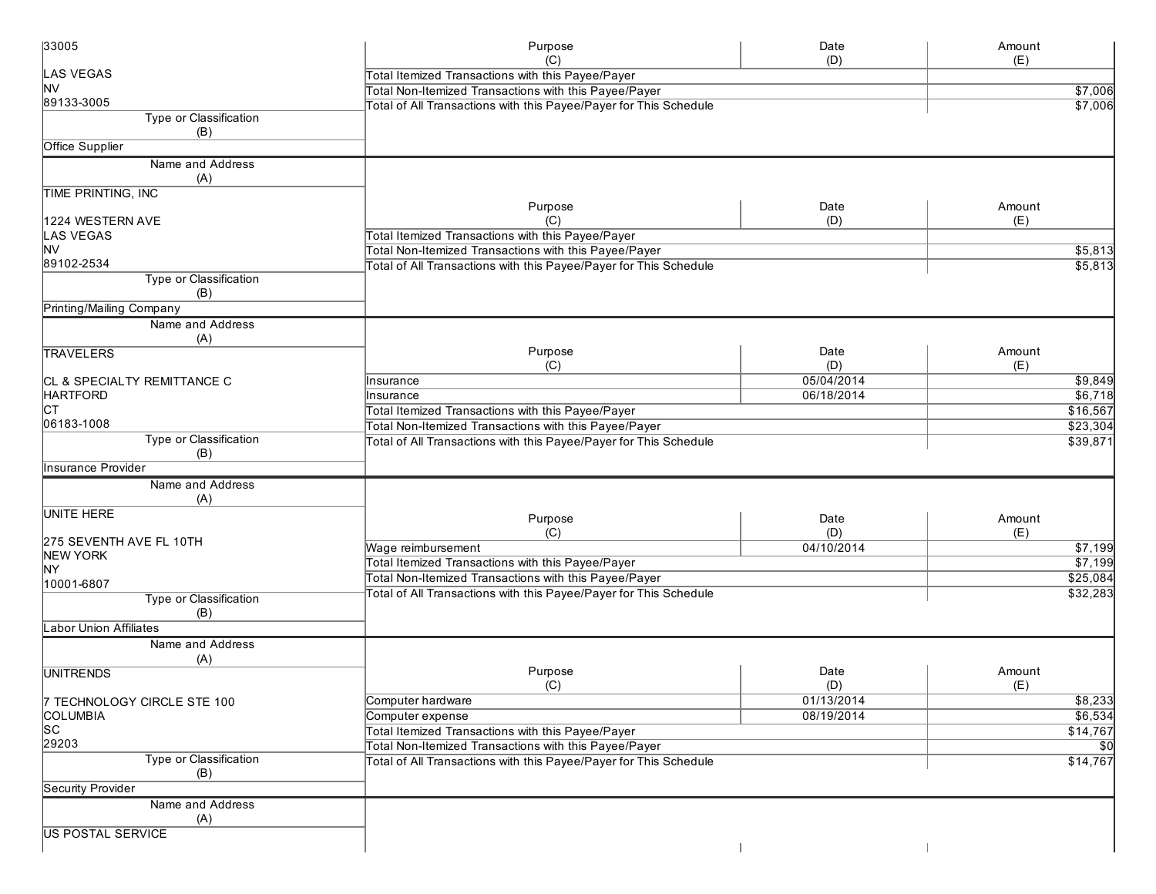| 33005                         | Purpose                                                                                                                    | Date              | Amount              |
|-------------------------------|----------------------------------------------------------------------------------------------------------------------------|-------------------|---------------------|
| <b>LAS VEGAS</b>              | (C)                                                                                                                        | (D)               | (E)                 |
| lNV                           | Total Itemized Transactions with this Payee/Payer                                                                          |                   |                     |
| 89133-3005                    | Total Non-Itemized Transactions with this Payee/Payer<br>Total of All Transactions with this Payee/Payer for This Schedule |                   | \$7,006<br>\$7,006  |
| Type or Classification<br>(B) |                                                                                                                            |                   |                     |
| <b>Office Supplier</b>        |                                                                                                                            |                   |                     |
|                               |                                                                                                                            |                   |                     |
| Name and Address<br>(A)       |                                                                                                                            |                   |                     |
| <b>TIME PRINTING, INC</b>     |                                                                                                                            |                   |                     |
|                               | Purpose                                                                                                                    | Date              | Amount              |
| 1224 WESTERN AVE              | (C)                                                                                                                        | (D)               | (E)                 |
| <b>LAS VEGAS</b>              | Total Itemized Transactions with this Payee/Payer                                                                          |                   |                     |
| <b>NV</b><br>89102-2534       | Total Non-Itemized Transactions with this Payee/Payer                                                                      |                   | \$5,813             |
| <b>Type or Classification</b> | Total of All Transactions with this Payee/Payer for This Schedule                                                          |                   | \$5,813             |
| (B)                           |                                                                                                                            |                   |                     |
| Printing/Mailing Company      |                                                                                                                            |                   |                     |
| Name and Address              |                                                                                                                            |                   |                     |
| (A)                           |                                                                                                                            |                   |                     |
| TRAVELERS                     | Purpose                                                                                                                    | Date              | Amount              |
|                               | (C)                                                                                                                        | (D)               | (E)                 |
| CL & SPECIALTY REMITTANCE C   | Insurance                                                                                                                  | 05/04/2014        | \$9,849             |
| <b>HARTFORD</b>               | Insurance                                                                                                                  | 06/18/2014        | \$6,718             |
| Iст                           | Total Itemized Transactions with this Payee/Payer                                                                          |                   | \$16,567            |
| 06183-1008                    | Total Non-Itemized Transactions with this Payee/Payer                                                                      |                   | \$23,304            |
| Type or Classification        | Total of All Transactions with this Payee/Payer for This Schedule                                                          |                   | \$39,871            |
| (B)<br>Insurance Provider     |                                                                                                                            |                   |                     |
| Name and Address              |                                                                                                                            |                   |                     |
| (A)                           |                                                                                                                            |                   |                     |
| <b>UNITE HERE</b>             |                                                                                                                            |                   |                     |
|                               | Purpose                                                                                                                    | Date              | Amount              |
| 275 SEVENTH AVE FL 10TH       | (C)                                                                                                                        | (D)<br>04/10/2014 | (E)                 |
| NEW YORK                      | Wage reimbursement                                                                                                         |                   | \$7,199             |
| ΝY                            | Total Itemized Transactions with this Payee/Payer                                                                          |                   | \$7,199<br>\$25,084 |
| 10001-6807                    | Total Non-Itemized Transactions with this Payee/Payer<br>Total of All Transactions with this Payee/Payer for This Schedule |                   | \$32,283            |
| Type or Classification        |                                                                                                                            |                   |                     |
| (B)                           |                                                                                                                            |                   |                     |
| <b>Labor Union Affiliates</b> |                                                                                                                            |                   |                     |
| Name and Address              |                                                                                                                            |                   |                     |
| (A)                           |                                                                                                                            |                   |                     |
| <b>UNITRENDS</b>              | Purpose<br>(C)                                                                                                             | Date<br>(D)       | Amount              |
| 7 TECHNOLOGY CIRCLE STE 100   | Computer hardware                                                                                                          | 01/13/2014        | (E)<br>\$8,233      |
| <b>COLUMBIA</b>               | Computer expense                                                                                                           | 08/19/2014        | \$6,534             |
| <b>SC</b>                     | Total Itemized Transactions with this Payee/Payer                                                                          |                   | \$14,767            |
| 29203                         | Total Non-Itemized Transactions with this Payee/Payer                                                                      |                   | \$0                 |
| <b>Type or Classification</b> | Total of All Transactions with this Payee/Payer for This Schedule                                                          |                   | \$14,767            |
| (B)                           |                                                                                                                            |                   |                     |
| Security Provider             |                                                                                                                            |                   |                     |
| Name and Address              |                                                                                                                            |                   |                     |
| (A)                           |                                                                                                                            |                   |                     |
| <b>US POSTAL SERVICE</b>      |                                                                                                                            |                   |                     |
|                               |                                                                                                                            |                   |                     |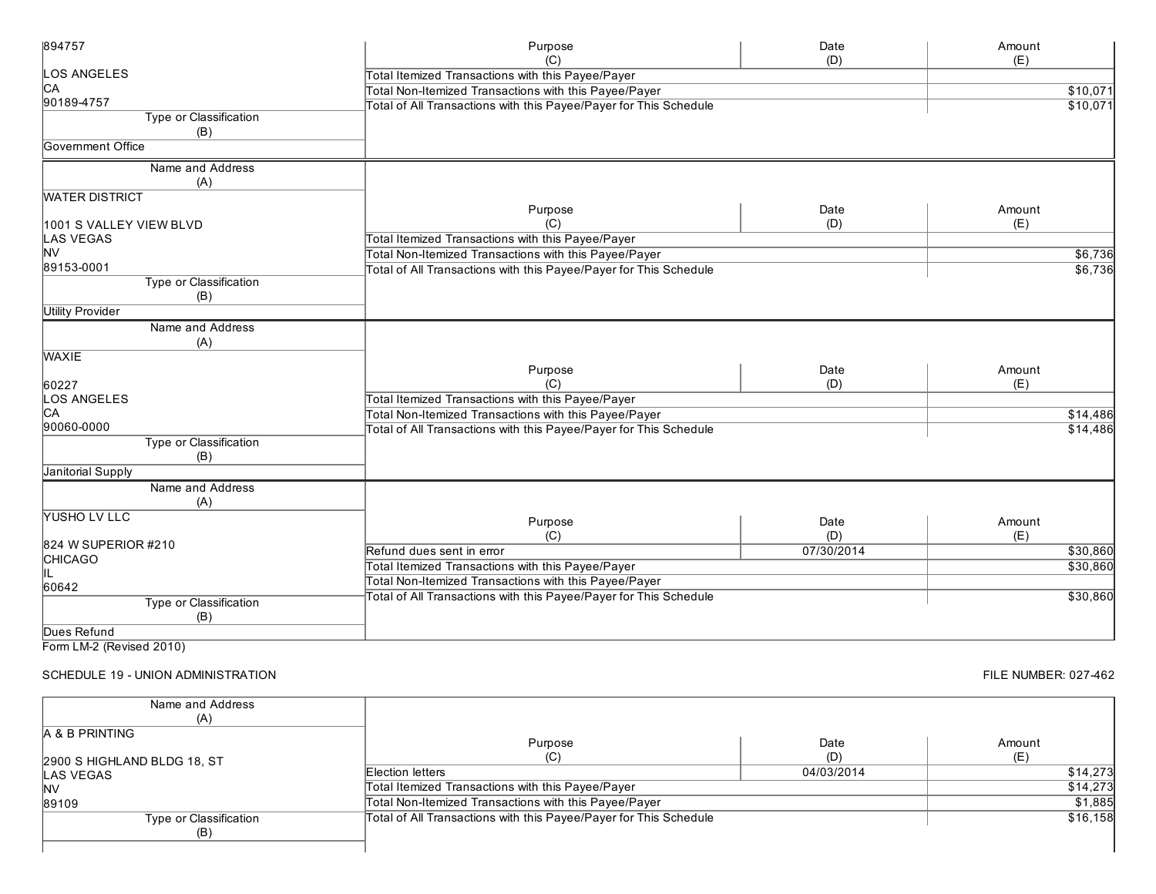| (D)<br>(C)                                                                                         | (E)      |
|----------------------------------------------------------------------------------------------------|----------|
|                                                                                                    |          |
| LOS ANGELES<br>Total Itemized Transactions with this Payee/Payer                                   |          |
| CA<br>Total Non-Itemized Transactions with this Payee/Payer                                        | \$10,071 |
| 90189-4757<br>Total of All Transactions with this Payee/Payer for This Schedule                    | \$10,071 |
| Type or Classification                                                                             |          |
| (B)                                                                                                |          |
| Government Office                                                                                  |          |
| Name and Address                                                                                   |          |
| (A)                                                                                                |          |
| <b>WATER DISTRICT</b>                                                                              |          |
| Purpose<br>Date                                                                                    | Amount   |
| (C)<br>(D)<br>1001 S VALLEY VIEW BLVD                                                              | (E)      |
| Total Itemized Transactions with this Payee/Payer<br><b>LAS VEGAS</b>                              |          |
| <b>NV</b><br>Total Non-Itemized Transactions with this Payee/Payer                                 | \$6,736  |
| 89153-0001<br>Total of All Transactions with this Payee/Payer for This Schedule                    | \$6,736  |
| <b>Type or Classification</b>                                                                      |          |
| (B)                                                                                                |          |
| <b>Utility Provider</b>                                                                            |          |
| Name and Address                                                                                   |          |
| (A)                                                                                                |          |
| <b>WAXIE</b>                                                                                       |          |
| Purpose<br>Date                                                                                    | Amount   |
| (C)<br>(D)<br>60227                                                                                | (E)      |
| LOS ANGELES<br>Total Itemized Transactions with this Payee/Payer                                   |          |
| CА<br>Total Non-Itemized Transactions with this Payee/Payer                                        | \$14,486 |
| 90060-0000<br>Total of All Transactions with this Payee/Payer for This Schedule                    | \$14,486 |
| Type or Classification                                                                             |          |
| (B)                                                                                                |          |
| Janitorial Supply                                                                                  |          |
| Name and Address                                                                                   |          |
| (A)                                                                                                |          |
| YUSHO LV LLC<br>Purpose<br>Date                                                                    | Amount   |
| (C)<br>(D)                                                                                         | (E)      |
| 824 W SUPERIOR #210<br>Refund dues sent in error<br>07/30/2014                                     | \$30,860 |
| <b>CHICAGO</b><br>Total Itemized Transactions with this Payee/Payer                                | \$30,860 |
| IIL<br>Total Non-Itemized Transactions with this Payee/Payer                                       |          |
| 60642                                                                                              |          |
| Total of All Transactions with this Payee/Payer for This Schedule<br><b>Type or Classification</b> | \$30,860 |
| (B)                                                                                                |          |
| Dues Refund                                                                                        |          |

### SCHEDULE 19 - UNION ADMINISTRATION

| Name and Address            |                                                                   |            |          |
|-----------------------------|-------------------------------------------------------------------|------------|----------|
| (A)                         |                                                                   |            |          |
| <b>A &amp; B PRINTING</b>   |                                                                   |            |          |
|                             | Purpose                                                           | Date       | Amount   |
| 2900 S HIGHLAND BLDG 18, ST | (C)                                                               | (D)        |          |
| <b>LAS VEGAS</b>            | Election letters                                                  | 04/03/2014 | \$14,273 |
| IN٧                         | Total Itemized Transactions with this Payee/Payer                 |            | \$14,273 |
| 89109                       | Total Non-Itemized Transactions with this Payee/Payer             |            | \$1,885  |
| Type or Classification      | Total of All Transactions with this Payee/Payer for This Schedule |            | \$16,158 |
| (B)                         |                                                                   |            |          |
|                             |                                                                   |            |          |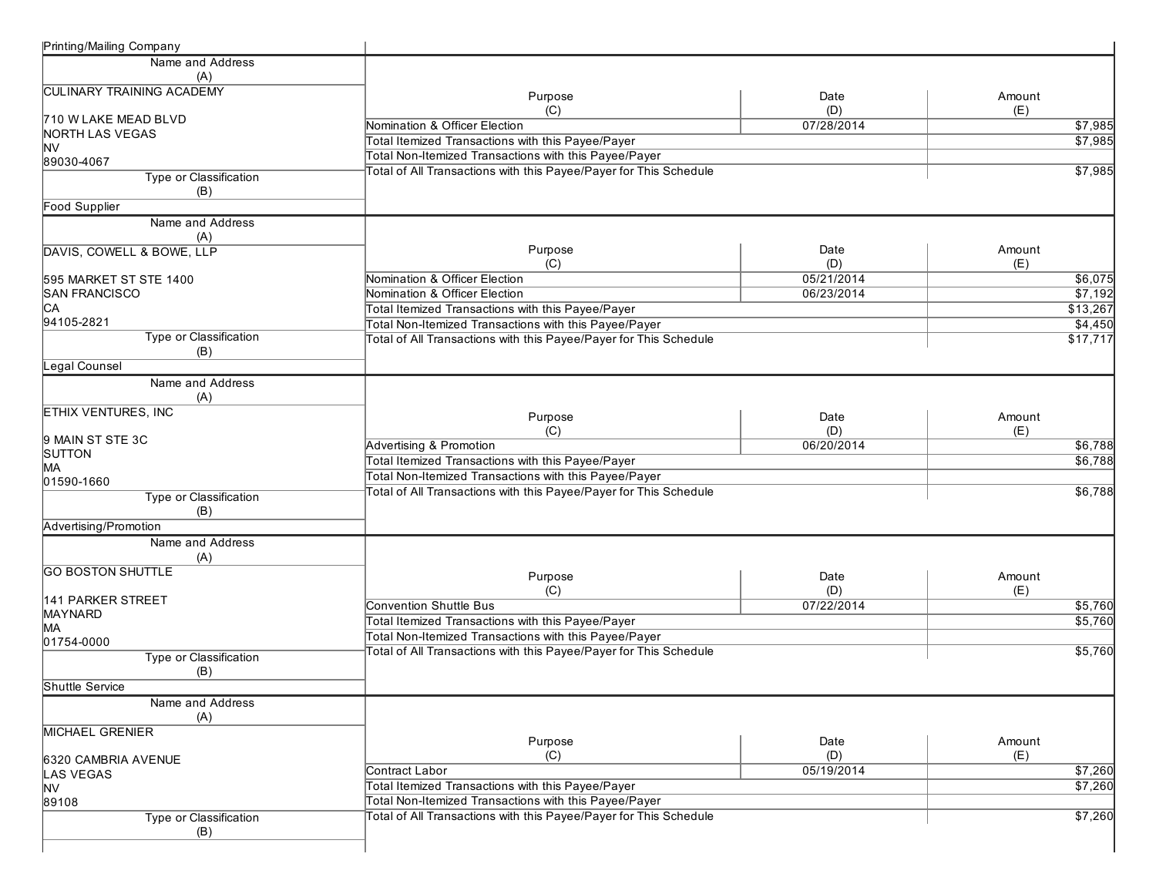| Printing/Mailing Company          |                                                                          |            |                 |
|-----------------------------------|--------------------------------------------------------------------------|------------|-----------------|
| Name and Address                  |                                                                          |            |                 |
| (A)                               |                                                                          |            |                 |
| <b>CULINARY TRAINING ACADEMY</b>  | Purpose                                                                  | Date       | Amount          |
|                                   | (C)                                                                      | (D)        | (E)             |
| 710 W LAKE MEAD BLVD              | Nomination & Officer Election                                            | 07/28/2014 | $\sqrt{$7,985}$ |
| NORTH LAS VEGAS                   | Total Itemized Transactions with this Payee/Payer                        |            | \$7,985         |
| <b>NV</b>                         | Total Non-Itemized Transactions with this Payee/Payer                    |            |                 |
| 89030-4067                        | <b>Total of All Transactions with this Payee/Payer for This Schedule</b> |            | \$7,985         |
| Type or Classification            |                                                                          |            |                 |
| (B)                               |                                                                          |            |                 |
| <b>Food Supplier</b>              |                                                                          |            |                 |
| Name and Address                  |                                                                          |            |                 |
| (A)                               |                                                                          |            |                 |
| DAVIS, COWELL & BOWE, LLP         | Purpose                                                                  | Date       | Amount          |
|                                   | (C)                                                                      | (D)        | (E)             |
| 595 MARKET ST STE 1400            | Nomination & Officer Election                                            | 05/21/2014 | \$6,075         |
| <b>SAN FRANCISCO</b><br>IСA       | Nomination & Officer Election                                            | 06/23/2014 | \$7,192         |
| 94105-2821                        | Total Itemized Transactions with this Payee/Payer                        |            | \$13,267        |
|                                   | Total Non-Itemized Transactions with this Payee/Payer                    |            | \$4,450         |
| Type or Classification<br>(B)     | Total of All Transactions with this Payee/Payer for This Schedule        |            | \$17,717        |
| Legal Counsel                     |                                                                          |            |                 |
|                                   |                                                                          |            |                 |
| Name and Address                  |                                                                          |            |                 |
| (A)<br><b>ETHIX VENTURES, INC</b> |                                                                          |            |                 |
|                                   | Purpose                                                                  | Date       | Amount          |
| 9 MAIN ST STE 3C                  | (C)                                                                      | (D)        | (E)             |
| SUTTON                            | Advertising & Promotion                                                  | 06/20/2014 | \$6,788         |
| MA                                | Total Itemized Transactions with this Payee/Payer                        |            | \$6,788         |
| 01590-1660                        | Total Non-Itemized Transactions with this Payee/Payer                    |            |                 |
| Type or Classification            | Total of All Transactions with this Payee/Payer for This Schedule        |            | \$6,788         |
| (B)                               |                                                                          |            |                 |
| Advertising/Promotion             |                                                                          |            |                 |
| Name and Address                  |                                                                          |            |                 |
| (A)                               |                                                                          |            |                 |
| <b>GO BOSTON SHUTTLE</b>          |                                                                          |            |                 |
|                                   | Purpose                                                                  | Date       | Amount          |
| 141 PARKER STREET                 | (C)                                                                      | (D)        | (E)             |
| MAYNARD                           | <b>Convention Shuttle Bus</b>                                            | 07/22/2014 | \$5,760         |
| MA                                | Total Itemized Transactions with this Payee/Payer                        |            | \$5,760         |
| 01754-0000                        | Total Non-Itemized Transactions with this Payee/Payer                    |            |                 |
| Type or Classification            | <b>Total of All Transactions with this Payee/Payer for This Schedule</b> |            | \$5,760         |
| (B)                               |                                                                          |            |                 |
| Shuttle Service                   |                                                                          |            |                 |
| Name and Address                  |                                                                          |            |                 |
| (A)                               |                                                                          |            |                 |
| <b>MICHAEL GRENIER</b>            |                                                                          |            |                 |
|                                   | Purpose                                                                  | Date       | Amount          |
| 6320 CAMBRIA AVENUE               | (C)                                                                      | (D)        | (E)             |
| <b>LAS VEGAS</b>                  | Contract Labor                                                           | 05/19/2014 | \$7,260         |
| <b>NV</b>                         | Total Itemized Transactions with this Payee/Payer                        |            | \$7,260         |
| 89108                             | Total Non-Itemized Transactions with this Payee/Payer                    |            |                 |
| <b>Type or Classification</b>     | Total of All Transactions with this Payee/Payer for This Schedule        |            | \$7,260         |
| (B)                               |                                                                          |            |                 |
|                                   |                                                                          |            |                 |